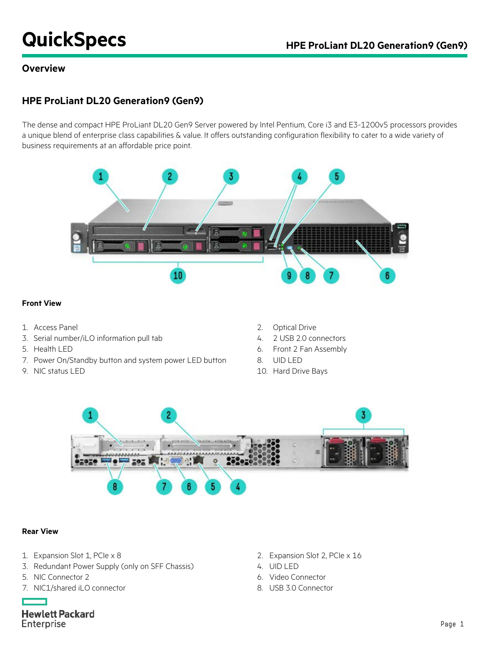# **QuickSpecs HPE ProLiant DL20 Generation9 (Gen9)**

#### **Overview**

# **HPE ProLiant DL20 Generation9 (Gen9)**

The dense and compact HPE ProLiant DL20 Gen9 Server powered by Intel Pentium, Core i3 and E3-1200v5 processors provides a unique blend of enterprise class capabilities & value. It offers outstanding configuration flexibility to cater to a wide variety of business requirements at an affordable price point.



#### **Front View**

- 
- 3. Serial number/iLO information pull tab 4. 2 USB 2.0 connectors
- 
- 7. Power On/Standby button and system power LED button 8. UID LED
- 
- 1. Access Panel 2. Optical Drive
	-
- 5. Health LED 6. Front 2 Fan Assembly
	-
- 9. NIC status LED 10. Hard Drive Bays



#### **Rear View**

- 1. Expansion Slot 1, PCIe x 8 2. Expansion Slot 2, PCIe x 16
- 3. Redundant Power Supply (only on SFF Chassis) 4. UID LED
- 
- 7. NIC1/shared iLO connector 8. USB 3.0 Connector
- 
- 
- 5. NIC Connector 2 6. Video Connector
	-

**Hewlett Packard** Enterprise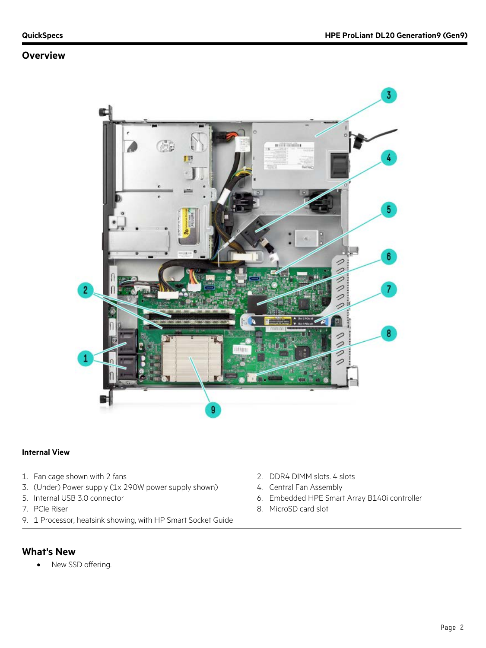#### **Overview**



#### **Internal View**

- 1. Fan cage shown with 2 fans 2. DDR4 DIMM slots. 4 slots
- 3. (Under) Power supply (1x 290W power supply shown) 4. Central Fan Assembly
- 
- 
- 9. 1 Processor, heatsink showing, with HP Smart Socket Guide

#### **What's New**

• New SSD offering.

- 
- 
- 5. Internal USB 3.0 connector 6. Embedded HPE Smart Array B140i controller
- 7. PCIe Riser 8. MicroSD card slot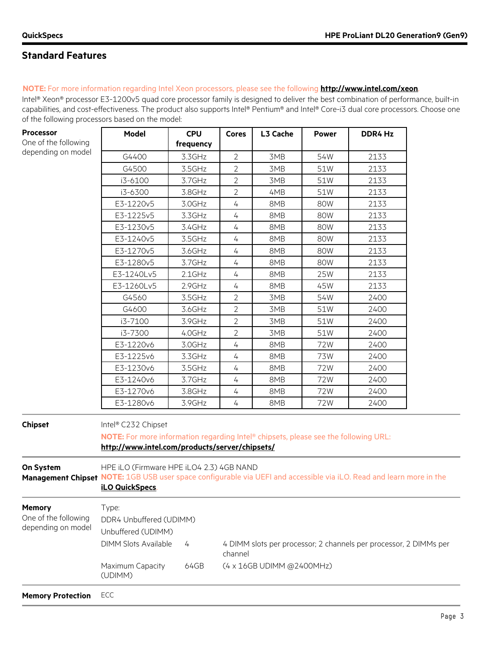$\mathbf{I}$ 

# **Standard Features**

#### **NOTE:** For more information regarding Intel Xeon processors, please see the following **<http://www.intel.com/xeon>**.

**Model CPU** 

Intel® Xeon® processor E3-1200v5 quad core processor family is designed to deliver the best combination of performance, built-in capabilities, and cost-effectiveness. The product also supports Intel® Pentium® and Intel® Core-i3 dual core processors. Choose one of the following processors based on the model:

**Cores L3 Cache Power DDR4 Hz**

 $\mathsf{I}$ 

| One of the following                                        |                                                                                                                                                                                     | frequency |                |                           |     |                                                                   |  |
|-------------------------------------------------------------|-------------------------------------------------------------------------------------------------------------------------------------------------------------------------------------|-----------|----------------|---------------------------|-----|-------------------------------------------------------------------|--|
| depending on model                                          | G4400                                                                                                                                                                               | 3.3GHz    | $\overline{2}$ | 3MB                       | 54W | 2133                                                              |  |
|                                                             | G4500                                                                                                                                                                               | 3.5GHz    | $\overline{2}$ | 3MB                       | 51W | 2133                                                              |  |
|                                                             | i3-6100                                                                                                                                                                             | 3.7GHz    | $\overline{2}$ | 3MB                       | 51W | 2133                                                              |  |
|                                                             | i3-6300                                                                                                                                                                             | 3.8GHz    | $\overline{2}$ | 4MB                       | 51W | 2133                                                              |  |
|                                                             | E3-1220v5                                                                                                                                                                           | 3.0GHz    | $\overline{4}$ | 8MB                       | 80W | 2133                                                              |  |
|                                                             | E3-1225v5                                                                                                                                                                           | 3.3GHz    | 4              | 8MB                       | 80W | 2133                                                              |  |
|                                                             | E3-1230v5                                                                                                                                                                           | 3.4GHz    | $\overline{4}$ | 8MB                       | 80W | 2133                                                              |  |
|                                                             | E3-1240v5                                                                                                                                                                           | 3.5GHz    | $\overline{4}$ | 8MB                       | 80W | 2133                                                              |  |
|                                                             | E3-1270v5                                                                                                                                                                           | 3.6GHz    | $\overline{4}$ | 8MB                       | 80W | 2133                                                              |  |
|                                                             | E3-1280v5                                                                                                                                                                           | 3.7GHz    | $\overline{4}$ | 8MB                       | 80W | 2133                                                              |  |
|                                                             | E3-1240Lv5                                                                                                                                                                          | $2.1$ GHz | 4              | 8MB                       | 25W | 2133                                                              |  |
|                                                             | E3-1260Lv5                                                                                                                                                                          | 2.9GHz    | 4              | 8MB                       | 45W | 2133                                                              |  |
|                                                             | G4560                                                                                                                                                                               | 3.5GHz    | $\overline{2}$ | 3MB                       | 54W | 2400                                                              |  |
|                                                             | G4600                                                                                                                                                                               | 3.6GHz    | $\overline{2}$ | 3MB                       | 51W | 2400                                                              |  |
|                                                             | i3-7100                                                                                                                                                                             | 3.9GHz    | $\overline{2}$ | 3MB                       | 51W | 2400                                                              |  |
|                                                             | i3-7300                                                                                                                                                                             | 4.0GHz    | $\overline{2}$ | 3MB                       | 51W | 2400                                                              |  |
|                                                             | E3-1220v6                                                                                                                                                                           | 3.0GHz    | $\overline{4}$ | 8MB                       | 72W | 2400                                                              |  |
|                                                             | E3-1225v6                                                                                                                                                                           | 3.3GHz    | $\overline{4}$ | 8MB                       | 73W | 2400                                                              |  |
|                                                             | E3-1230v6                                                                                                                                                                           | 3.5GHz    | $\overline{4}$ | 8MB                       | 72W | 2400                                                              |  |
|                                                             | E3-1240v6                                                                                                                                                                           | 3.7GHz    | 4              | 8MB                       | 72W | 2400                                                              |  |
|                                                             | E3-1270v6                                                                                                                                                                           | 3.8GHz    | $\overline{4}$ | 8MB                       | 72W | 2400                                                              |  |
|                                                             | E3-1280v6                                                                                                                                                                           | 3.9GHz    | $\overline{4}$ | 8MB                       | 72W | 2400                                                              |  |
| <b>Chipset</b>                                              | Intel® C232 Chipset<br>NOTE: For more information regarding Intel® chipsets, please see the following URL:<br>http://www.intel.com/products/server/chipsets/                        |           |                |                           |     |                                                                   |  |
| On System                                                   | HPE iLO (Firmware HPE iLO4 2.3) 4GB NAND<br>Management Chipset NOTE: 1GB USB user space configurable via UEFI and accessible via iLO. Read and learn more in the<br>iLO QuickSpecs. |           |                |                           |     |                                                                   |  |
| <b>Memory</b><br>One of the following<br>depending on model | Type:<br>DDR4 Unbuffered (UDIMM)<br>Unbuffered (UDIMM)                                                                                                                              |           |                |                           |     |                                                                   |  |
|                                                             | <b>DIMM Slots Available</b>                                                                                                                                                         | 4         | channel        |                           |     | 4 DIMM slots per processor; 2 channels per processor, 2 DIMMs per |  |
|                                                             | Maximum Capacity<br>(UDIMM)                                                                                                                                                         | 64GB      |                | (4 x 16GB UDIMM @2400MHz) |     |                                                                   |  |
| <b>Memory Protection</b>                                    | ECC                                                                                                                                                                                 |           |                |                           |     |                                                                   |  |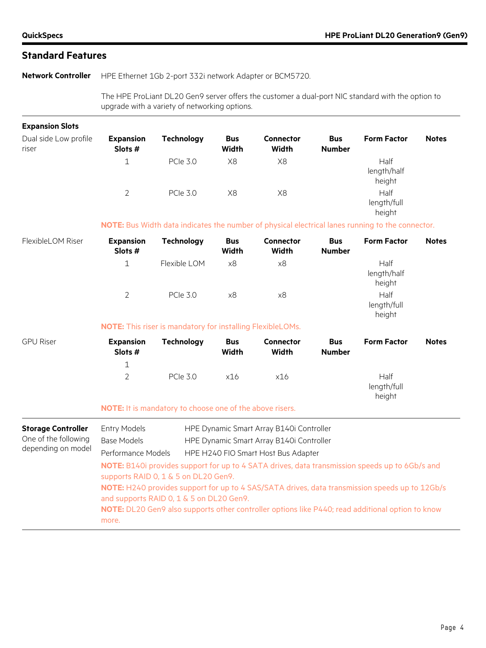**Network Controller** HPE Ethernet 1Gb 2-port 332i network Adapter or BCM5720.

The HPE ProLiant DL20 Gen9 server offers the customer a dual-port NIC standard with the option to upgrade with a variety of networking options.

| <b>Expansion Slots</b>                                                  |                                                                                                                                                                                                                                                                                      |                                                                   |                            |                                                                                                                             |                             |                                                                                                  |              |
|-------------------------------------------------------------------------|--------------------------------------------------------------------------------------------------------------------------------------------------------------------------------------------------------------------------------------------------------------------------------------|-------------------------------------------------------------------|----------------------------|-----------------------------------------------------------------------------------------------------------------------------|-----------------------------|--------------------------------------------------------------------------------------------------|--------------|
| Dual side Low profile<br>riser                                          | <b>Expansion</b><br>Slots #                                                                                                                                                                                                                                                          | <b>Technology</b>                                                 | <b>Bus</b><br><b>Width</b> | <b>Connector</b><br><b>Width</b>                                                                                            | <b>Bus</b><br><b>Number</b> | <b>Form Factor</b>                                                                               | <b>Notes</b> |
|                                                                         | $\mathbf 1$                                                                                                                                                                                                                                                                          | <b>PCIe 3.0</b>                                                   | X8                         | X8                                                                                                                          |                             | Half<br>length/half<br>height                                                                    |              |
|                                                                         | $\overline{2}$                                                                                                                                                                                                                                                                       | <b>PCIe 3.0</b>                                                   | X8                         | X8                                                                                                                          |                             | Half<br>length/full<br>height                                                                    |              |
|                                                                         |                                                                                                                                                                                                                                                                                      |                                                                   |                            |                                                                                                                             |                             | NOTE: Bus Width data indicates the number of physical electrical lanes running to the connector. |              |
| FlexibleLOM Riser                                                       | <b>Expansion</b><br>Slots #                                                                                                                                                                                                                                                          | <b>Technology</b>                                                 | <b>Bus</b><br><b>Width</b> | <b>Connector</b><br><b>Width</b>                                                                                            | <b>Bus</b><br><b>Number</b> | <b>Form Factor</b>                                                                               | <b>Notes</b> |
|                                                                         | $\mathbf 1$                                                                                                                                                                                                                                                                          | Flexible LOM                                                      | x8                         | x8                                                                                                                          |                             | Half<br>length/half<br>height                                                                    |              |
|                                                                         | $\overline{2}$                                                                                                                                                                                                                                                                       | <b>PCIe 3.0</b>                                                   | x8                         | x8                                                                                                                          |                             | Half<br>length/full<br>height                                                                    |              |
|                                                                         |                                                                                                                                                                                                                                                                                      | <b>NOTE:</b> This riser is mandatory for installing FlexibleLOMs. |                            |                                                                                                                             |                             |                                                                                                  |              |
| <b>GPU Riser</b>                                                        | <b>Expansion</b><br>Slots #                                                                                                                                                                                                                                                          | <b>Technology</b>                                                 | <b>Bus</b><br><b>Width</b> | <b>Connector</b><br><b>Width</b>                                                                                            | <b>Bus</b><br><b>Number</b> | <b>Form Factor</b>                                                                               | <b>Notes</b> |
|                                                                         | $\mathbf 1$                                                                                                                                                                                                                                                                          |                                                                   |                            |                                                                                                                             |                             |                                                                                                  |              |
|                                                                         | $\overline{2}$                                                                                                                                                                                                                                                                       | <b>PCIe 3.0</b>                                                   | x16                        | x16                                                                                                                         |                             | Half<br>length/full<br>height                                                                    |              |
|                                                                         |                                                                                                                                                                                                                                                                                      | NOTE: It is mandatory to choose one of the above risers.          |                            |                                                                                                                             |                             |                                                                                                  |              |
| <b>Storage Controller</b><br>One of the following<br>depending on model | <b>Entry Models</b><br><b>Base Models</b><br>Performance Models                                                                                                                                                                                                                      |                                                                   |                            | HPE Dynamic Smart Array B140i Controller<br>HPE Dynamic Smart Array B140i Controller<br>HPE H240 FIO Smart Host Bus Adapter |                             |                                                                                                  |              |
|                                                                         | NOTE: B140i provides support for up to 4 SATA drives, data transmission speeds up to 6Gb/s and<br>supports RAID 0, 1 & 5 on DL20 Gen9.<br>NOTE: H240 provides support for up to 4 SAS/SATA drives, data transmission speeds up to 12Gb/s<br>and supports RAID 0, 1 & 5 on DL20 Gen9. |                                                                   |                            |                                                                                                                             |                             |                                                                                                  |              |
|                                                                         | more.                                                                                                                                                                                                                                                                                |                                                                   |                            |                                                                                                                             |                             | NOTE: DL20 Gen9 also supports other controller options like P440; read additional option to know |              |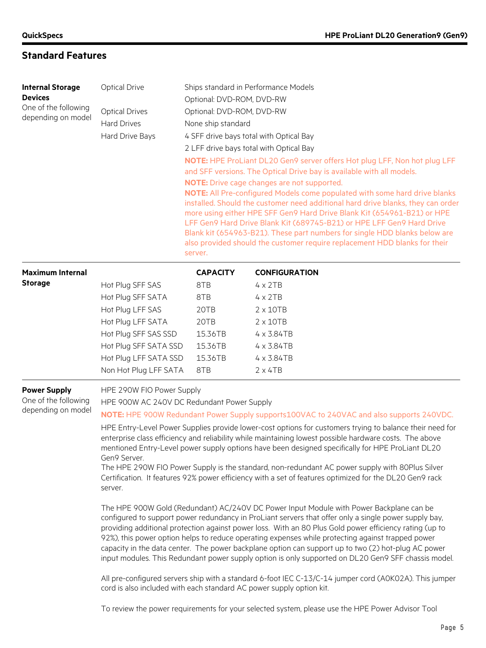| <b>Internal Storage</b><br><b>Devices</b><br>One of the following<br>depending on model | <b>Optical Drive</b><br><b>Optical Drives</b><br><b>Hard Drives</b><br>Hard Drive Bays                                                                                                                                                                                                                                                                                                                                                                                                                                                                                                                                                                                                                                                                                                                                                                                                                                                                                                                                                                                                                                                                                                                                                                                                                                                                                                                                                                                                                                                                      | Ships standard in Performance Models<br>Optional: DVD-ROM, DVD-RW<br>Optional: DVD-ROM, DVD-RW<br>None ship standard<br>4 SFF drive bays total with Optical Bay<br>2 LFF drive bays total with Optical Bay<br>NOTE: HPE ProLiant DL20 Gen9 server offers Hot plug LFF, Non hot plug LFF<br>and SFF versions. The Optical Drive bay is available with all models.<br>NOTE: Drive cage changes are not supported.<br>NOTE: All Pre-configured Models come populated with some hard drive blanks<br>installed. Should the customer need additional hard drive blanks, they can order<br>more using either HPE SFF Gen9 Hard Drive Blank Kit (654961-B21) or HPE<br>LFF Gen9 Hard Drive Blank Kit (689745-B21) or HPE LFF Gen9 Hard Drive<br>Blank kit (654963-B21). These part numbers for single HDD blanks below are<br>also provided should the customer require replacement HDD blanks for their<br>server. |                      |  |
|-----------------------------------------------------------------------------------------|-------------------------------------------------------------------------------------------------------------------------------------------------------------------------------------------------------------------------------------------------------------------------------------------------------------------------------------------------------------------------------------------------------------------------------------------------------------------------------------------------------------------------------------------------------------------------------------------------------------------------------------------------------------------------------------------------------------------------------------------------------------------------------------------------------------------------------------------------------------------------------------------------------------------------------------------------------------------------------------------------------------------------------------------------------------------------------------------------------------------------------------------------------------------------------------------------------------------------------------------------------------------------------------------------------------------------------------------------------------------------------------------------------------------------------------------------------------------------------------------------------------------------------------------------------------|--------------------------------------------------------------------------------------------------------------------------------------------------------------------------------------------------------------------------------------------------------------------------------------------------------------------------------------------------------------------------------------------------------------------------------------------------------------------------------------------------------------------------------------------------------------------------------------------------------------------------------------------------------------------------------------------------------------------------------------------------------------------------------------------------------------------------------------------------------------------------------------------------------------|----------------------|--|
| <b>Maximum Internal</b>                                                                 |                                                                                                                                                                                                                                                                                                                                                                                                                                                                                                                                                                                                                                                                                                                                                                                                                                                                                                                                                                                                                                                                                                                                                                                                                                                                                                                                                                                                                                                                                                                                                             | <b>CAPACITY</b>                                                                                                                                                                                                                                                                                                                                                                                                                                                                                                                                                                                                                                                                                                                                                                                                                                                                                              | <b>CONFIGURATION</b> |  |
| <b>Storage</b>                                                                          | Hot Plug SFF SAS                                                                                                                                                                                                                                                                                                                                                                                                                                                                                                                                                                                                                                                                                                                                                                                                                                                                                                                                                                                                                                                                                                                                                                                                                                                                                                                                                                                                                                                                                                                                            | 8TB                                                                                                                                                                                                                                                                                                                                                                                                                                                                                                                                                                                                                                                                                                                                                                                                                                                                                                          | $4 \times 2TB$       |  |
|                                                                                         | Hot Plug SFF SATA                                                                                                                                                                                                                                                                                                                                                                                                                                                                                                                                                                                                                                                                                                                                                                                                                                                                                                                                                                                                                                                                                                                                                                                                                                                                                                                                                                                                                                                                                                                                           | 8TB                                                                                                                                                                                                                                                                                                                                                                                                                                                                                                                                                                                                                                                                                                                                                                                                                                                                                                          | $4 \times 2TB$       |  |
|                                                                                         | Hot Plug LFF SAS                                                                                                                                                                                                                                                                                                                                                                                                                                                                                                                                                                                                                                                                                                                                                                                                                                                                                                                                                                                                                                                                                                                                                                                                                                                                                                                                                                                                                                                                                                                                            | 20TB                                                                                                                                                                                                                                                                                                                                                                                                                                                                                                                                                                                                                                                                                                                                                                                                                                                                                                         | $2 \times 10TB$      |  |
|                                                                                         | Hot Plug LFF SATA                                                                                                                                                                                                                                                                                                                                                                                                                                                                                                                                                                                                                                                                                                                                                                                                                                                                                                                                                                                                                                                                                                                                                                                                                                                                                                                                                                                                                                                                                                                                           | 20TB                                                                                                                                                                                                                                                                                                                                                                                                                                                                                                                                                                                                                                                                                                                                                                                                                                                                                                         | $2 \times 10TB$      |  |
|                                                                                         | Hot Plug SFF SAS SSD                                                                                                                                                                                                                                                                                                                                                                                                                                                                                                                                                                                                                                                                                                                                                                                                                                                                                                                                                                                                                                                                                                                                                                                                                                                                                                                                                                                                                                                                                                                                        | 15.36TB                                                                                                                                                                                                                                                                                                                                                                                                                                                                                                                                                                                                                                                                                                                                                                                                                                                                                                      | $4 \times 3.84$ TB   |  |
|                                                                                         | Hot Plug SFF SATA SSD                                                                                                                                                                                                                                                                                                                                                                                                                                                                                                                                                                                                                                                                                                                                                                                                                                                                                                                                                                                                                                                                                                                                                                                                                                                                                                                                                                                                                                                                                                                                       | 15.36TB                                                                                                                                                                                                                                                                                                                                                                                                                                                                                                                                                                                                                                                                                                                                                                                                                                                                                                      | 4 x 3.84TB           |  |
|                                                                                         | Hot Plug LFF SATA SSD                                                                                                                                                                                                                                                                                                                                                                                                                                                                                                                                                                                                                                                                                                                                                                                                                                                                                                                                                                                                                                                                                                                                                                                                                                                                                                                                                                                                                                                                                                                                       | 15.36TB                                                                                                                                                                                                                                                                                                                                                                                                                                                                                                                                                                                                                                                                                                                                                                                                                                                                                                      | 4 x 3.84TB           |  |
|                                                                                         | Non Hot Plug LFF SATA                                                                                                                                                                                                                                                                                                                                                                                                                                                                                                                                                                                                                                                                                                                                                                                                                                                                                                                                                                                                                                                                                                                                                                                                                                                                                                                                                                                                                                                                                                                                       | 8TB                                                                                                                                                                                                                                                                                                                                                                                                                                                                                                                                                                                                                                                                                                                                                                                                                                                                                                          | $2 \times 4TB$       |  |
| <b>Power Supply</b><br>One of the following<br>depending on model                       | HPE 290W FIO Power Supply<br>HPE 900W AC 240V DC Redundant Power Supply<br>NOTE: HPE 900W Redundant Power Supply supports100VAC to 240VAC and also supports 240VDC.<br>HPE Entry-Level Power Supplies provide lower-cost options for customers trying to balance their need for<br>enterprise class efficiency and reliability while maintaining lowest possible hardware costs. The above<br>mentioned Entry-Level power supply options have been designed specifically for HPE ProLiant DL20<br>Gen9 Server.<br>The HPE 290W FIO Power Supply is the standard, non-redundant AC power supply with 80Plus Silver<br>Certification. It features 92% power efficiency with a set of features optimized for the DL20 Gen9 rack<br>server.<br>The HPE 900W Gold (Redundant) AC/240V DC Power Input Module with Power Backplane can be<br>configured to support power redundancy in ProLiant servers that offer only a single power supply bay,<br>providing additional protection against power loss. With an 80 Plus Gold power efficiency rating (up to<br>92%), this power option helps to reduce operating expenses while protecting against trapped power<br>capacity in the data center. The power backplane option can support up to two (2) hot-plug AC power<br>input modules. This Redundant power supply option is only supported on DL20 Gen9 SFF chassis model.<br>All pre-configured servers ship with a standard 6-foot IEC C-13/C-14 jumper cord (A0K02A). This jumper<br>cord is also included with each standard AC power supply option kit. |                                                                                                                                                                                                                                                                                                                                                                                                                                                                                                                                                                                                                                                                                                                                                                                                                                                                                                              |                      |  |

To review the power requirements for your selected system, please use the HPE Power Advisor Tool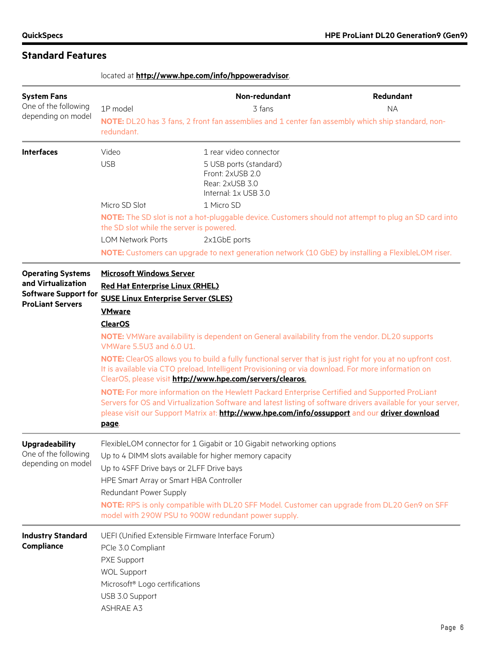|                                                                                                          | located at http://www.hpe.com/info/hppoweradvisor.                                                                                                                                                                                                                                                                                                                                                      |                                                                                                                                                                                                                                                                                                                                                                                                                                                                                                                                                                                                                                                                                                         |                        |  |  |
|----------------------------------------------------------------------------------------------------------|---------------------------------------------------------------------------------------------------------------------------------------------------------------------------------------------------------------------------------------------------------------------------------------------------------------------------------------------------------------------------------------------------------|---------------------------------------------------------------------------------------------------------------------------------------------------------------------------------------------------------------------------------------------------------------------------------------------------------------------------------------------------------------------------------------------------------------------------------------------------------------------------------------------------------------------------------------------------------------------------------------------------------------------------------------------------------------------------------------------------------|------------------------|--|--|
| <b>System Fans</b><br>One of the following<br>depending on model                                         | 1P model<br>redundant.                                                                                                                                                                                                                                                                                                                                                                                  | Non-redundant<br>3 fans<br>NOTE: DL20 has 3 fans, 2 front fan assemblies and 1 center fan assembly which ship standard, non-                                                                                                                                                                                                                                                                                                                                                                                                                                                                                                                                                                            | Redundant<br><b>NA</b> |  |  |
| <b>Interfaces</b>                                                                                        | Video<br><b>USB</b>                                                                                                                                                                                                                                                                                                                                                                                     | 1 rear video connector<br>5 USB ports (standard)<br>Front: 2xUSB 2.0<br>Rear: 2xUSB 3.0<br>Internal: 1x USB 3.0                                                                                                                                                                                                                                                                                                                                                                                                                                                                                                                                                                                         |                        |  |  |
|                                                                                                          | Micro SD Slot<br>the SD slot while the server is powered.<br><b>LOM Network Ports</b>                                                                                                                                                                                                                                                                                                                   | 1 Micro SD<br>NOTE: The SD slot is not a hot-pluggable device. Customers should not attempt to plug an SD card into<br>2x1GbE ports<br>NOTE: Customers can upgrade to next generation network (10 GbE) by installing a FlexibleLOM riser.                                                                                                                                                                                                                                                                                                                                                                                                                                                               |                        |  |  |
| <b>Operating Systems</b><br>and Virtualization<br><b>Software Support for</b><br><b>ProLiant Servers</b> | <b>Microsoft Windows Server</b><br><b>Red Hat Enterprise Linux (RHEL)</b><br><b>SUSE Linux Enterprise Server (SLES)</b><br><b>VMware</b><br><b>ClearOS</b><br>VMWare 5.5U3 and 6.0 U1.<br>page.                                                                                                                                                                                                         | <b>NOTE:</b> VMWare availability is dependent on General availability from the vendor. DL20 supports<br>NOTE: ClearOS allows you to build a fully functional server that is just right for you at no upfront cost.<br>It is available via CTO preload, Intelligent Provisioning or via download. For more information on<br>ClearOS, please visit http://www.hpe.com/servers/clearos.<br>NOTE: For more information on the Hewlett Packard Enterprise Certified and Supported ProLiant<br>Servers for OS and Virtualization Software and latest listing of software drivers available for your server,<br>please visit our Support Matrix at: http://www.hpe.com/info/ossupport and our driver download |                        |  |  |
| <b>Upgradeability</b><br>One of the following<br>depending on model                                      | FlexibleLOM connector for 1 Gigabit or 10 Gigabit networking options<br>Up to 4 DIMM slots available for higher memory capacity<br>Up to 4SFF Drive bays or 2LFF Drive bays<br>HPE Smart Array or Smart HBA Controller<br>Redundant Power Supply<br>NOTE: RPS is only compatible with DL20 SFF Model. Customer can upgrade from DL20 Gen9 on SFF<br>model with 290W PSU to 900W redundant power supply. |                                                                                                                                                                                                                                                                                                                                                                                                                                                                                                                                                                                                                                                                                                         |                        |  |  |
| <b>Industry Standard</b><br><b>Compliance</b>                                                            | PCIe 3.0 Compliant<br>PXE Support<br><b>WOL Support</b><br>Microsoft <sup>®</sup> Logo certifications<br>USB 3.0 Support<br><b>ASHRAE A3</b>                                                                                                                                                                                                                                                            | UEFI (Unified Extensible Firmware Interface Forum)                                                                                                                                                                                                                                                                                                                                                                                                                                                                                                                                                                                                                                                      |                        |  |  |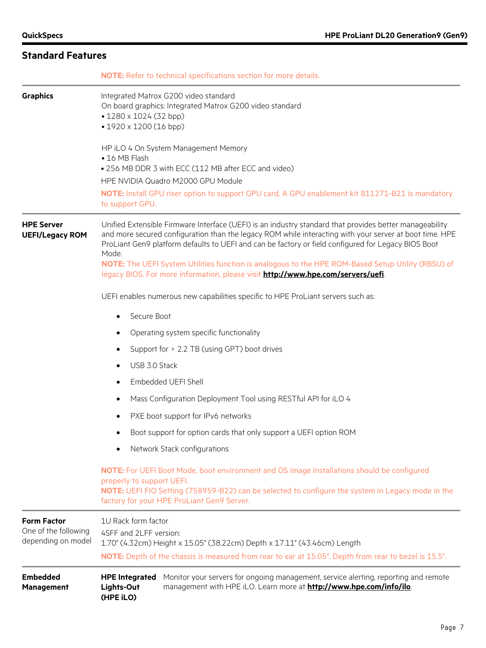|                                                                  | <b>NOTE:</b> Refer to technical specifications section for more details.                                                                                                                                                                                                                                                                                                                                                                                                                                                     |  |  |  |
|------------------------------------------------------------------|------------------------------------------------------------------------------------------------------------------------------------------------------------------------------------------------------------------------------------------------------------------------------------------------------------------------------------------------------------------------------------------------------------------------------------------------------------------------------------------------------------------------------|--|--|--|
| <b>Graphics</b>                                                  | Integrated Matrox G200 video standard<br>On board graphics: Integrated Matrox G200 video standard<br>$\cdot$ 1280 x 1024 (32 bpp)<br>• 1920 x 1200 (16 bpp)                                                                                                                                                                                                                                                                                                                                                                  |  |  |  |
|                                                                  | HP iLO 4 On System Management Memory<br>• 16 MB Flash<br>• 256 MB DDR 3 with ECC (112 MB after ECC and video)<br>HPE NVIDIA Quadro M2000 GPU Module                                                                                                                                                                                                                                                                                                                                                                          |  |  |  |
|                                                                  | NOTE: Install GPU riser option to support GPU card. A GPU enablement kit 811271-B21 is mandatory<br>to support GPU.                                                                                                                                                                                                                                                                                                                                                                                                          |  |  |  |
| <b>HPE Server</b><br><b>UEFI/Legacy ROM</b>                      | Unified Extensible Firmware Interface (UEFI) is an industry standard that provides better manageability<br>and more secured configuration than the legacy ROM while interacting with your server at boot time. HPE<br>ProLiant Gen9 platform defaults to UEFI and can be factory or field configured for Legacy BIOS Boot<br>Mode.<br>NOTE: The UEFI System Utilities function is analogous to the HPE ROM-Based Setup Utility (RBSU) of<br>legacy BIOS. For more information, please visit http://www.hpe.com/servers/uefi. |  |  |  |
|                                                                  | UEFI enables numerous new capabilities specific to HPE ProLiant servers such as:                                                                                                                                                                                                                                                                                                                                                                                                                                             |  |  |  |
|                                                                  | Secure Boot<br>$\bullet$                                                                                                                                                                                                                                                                                                                                                                                                                                                                                                     |  |  |  |
|                                                                  | Operating system specific functionality<br>٠                                                                                                                                                                                                                                                                                                                                                                                                                                                                                 |  |  |  |
|                                                                  | Support for > 2.2 TB (using GPT) boot drives<br>٠                                                                                                                                                                                                                                                                                                                                                                                                                                                                            |  |  |  |
|                                                                  | USB 3.0 Stack<br>$\bullet$                                                                                                                                                                                                                                                                                                                                                                                                                                                                                                   |  |  |  |
|                                                                  | Embedded UEFI Shell<br>$\bullet$                                                                                                                                                                                                                                                                                                                                                                                                                                                                                             |  |  |  |
|                                                                  | Mass Configuration Deployment Tool using RESTful API for iLO 4<br>$\bullet$                                                                                                                                                                                                                                                                                                                                                                                                                                                  |  |  |  |
|                                                                  | PXE boot support for IPv6 networks<br>٠                                                                                                                                                                                                                                                                                                                                                                                                                                                                                      |  |  |  |
|                                                                  | Boot support for option cards that only support a UEFI option ROM                                                                                                                                                                                                                                                                                                                                                                                                                                                            |  |  |  |
|                                                                  | Network Stack configurations<br>$\bullet$                                                                                                                                                                                                                                                                                                                                                                                                                                                                                    |  |  |  |
|                                                                  | NOTE: For UEFI Boot Mode, boot environment and OS image installations should be configured<br>properly to support UEFI.<br>NOTE: UEFI FIO Setting (758959-B22) can be selected to configure the system in Legacy mode in the<br>factory for your HPE ProLiant Gen9 Server.                                                                                                                                                                                                                                                   |  |  |  |
| <b>Form Factor</b><br>One of the following<br>depending on model | 1U Rack form factor<br>4SFF and 2LFF version:<br>1.70" (4.32cm) Height x 15.05" (38.22cm) Depth x 17.11" (43.46cm) Length<br>NOTE: Depth of the chassis is measured from rear to ear at 15.05". Depth from rear to bezel is 15.5".                                                                                                                                                                                                                                                                                           |  |  |  |
| <b>Embedded</b><br><b>Management</b>                             | <b>HPE Integrated</b><br>Monitor your servers for ongoing management, service alerting, reporting and remote<br>management with HPE iLO. Learn more at http://www.hpe.com/info/ilo.<br>Lights-Out<br>(HPE iLO)                                                                                                                                                                                                                                                                                                               |  |  |  |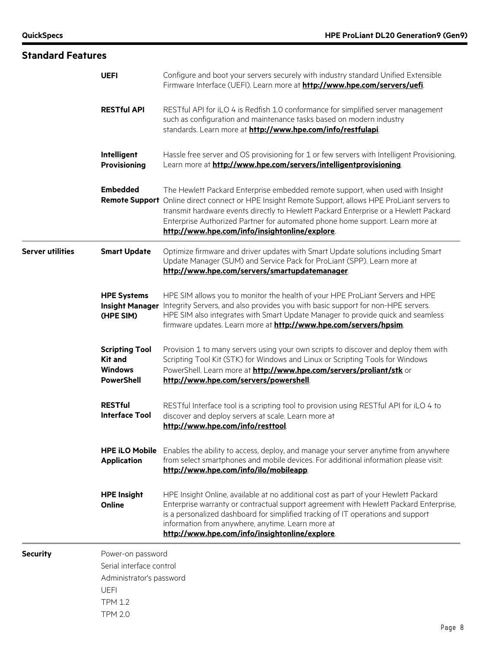| <b>Standard Features</b> |                                                                                                            |                                                                                                                                                                                                                                                                                                                                                                                                                 |
|--------------------------|------------------------------------------------------------------------------------------------------------|-----------------------------------------------------------------------------------------------------------------------------------------------------------------------------------------------------------------------------------------------------------------------------------------------------------------------------------------------------------------------------------------------------------------|
|                          | <b>UEFI</b>                                                                                                | Configure and boot your servers securely with industry standard Unified Extensible<br>Firmware Interface (UEFI). Learn more at http://www.hpe.com/servers/uefi.                                                                                                                                                                                                                                                 |
|                          | <b>RESTful API</b>                                                                                         | RESTful API for iLO 4 is Redfish 1.0 conformance for simplified server management<br>such as configuration and maintenance tasks based on modern industry<br>standards. Learn more at http://www.hpe.com/info/restfulapi.                                                                                                                                                                                       |
|                          | Intelligent<br><b>Provisioning</b>                                                                         | Hassle free server and OS provisioning for 1 or few servers with Intelligent Provisioning.<br>Learn more at http://www.hpe.com/servers/intelligentprovisioning.                                                                                                                                                                                                                                                 |
|                          | <b>Embedded</b>                                                                                            | The Hewlett Packard Enterprise embedded remote support, when used with Insight<br>Remote Support Online direct connect or HPE Insight Remote Support, allows HPE ProLiant servers to<br>transmit hardware events directly to Hewlett Packard Enterprise or a Hewlett Packard<br>Enterprise Authorized Partner for automated phone home support. Learn more at<br>http://www.hpe.com/info/insightonline/explore. |
| <b>Server utilities</b>  | <b>Smart Update</b>                                                                                        | Optimize firmware and driver updates with Smart Update solutions including Smart<br>Update Manager (SUM) and Service Pack for ProLiant (SPP). Learn more at<br>http://www.hpe.com/servers/smartupdatemanager                                                                                                                                                                                                    |
|                          | <b>HPE Systems</b><br><b>Insight Manager</b><br>(HPE SIM)                                                  | HPE SIM allows you to monitor the health of your HPE ProLiant Servers and HPE<br>Integrity Servers, and also provides you with basic support for non-HPE servers.<br>HPE SIM also integrates with Smart Update Manager to provide quick and seamless<br>firmware updates. Learn more at <b>http://www.hpe.com/servers/hpsim</b> .                                                                               |
|                          | <b>Scripting Tool</b><br><b>Kit and</b><br><b>Windows</b><br><b>PowerShell</b>                             | Provision 1 to many servers using your own scripts to discover and deploy them with<br>Scripting Tool Kit (STK) for Windows and Linux or Scripting Tools for Windows<br>PowerShell. Learn more at http://www.hpe.com/servers/proliant/stk or<br>http://www.hpe.com/servers/powershell                                                                                                                           |
|                          | <b>RESTful</b><br><b>Interface Tool</b>                                                                    | RESTful Interface tool is a scripting tool to provision using RESTful API for iLO 4 to<br>discover and deploy servers at scale. Learn more at<br>http://www.hpe.com/info/resttool                                                                                                                                                                                                                               |
|                          | <b>HPE iLO Mobile</b><br><b>Application</b>                                                                | Enables the ability to access, deploy, and manage your server anytime from anywhere<br>from select smartphones and mobile devices. For additional information please visit:<br>http://www.hpe.com/info/ilo/mobileapp.                                                                                                                                                                                           |
|                          | <b>HPE Insight</b><br>Online                                                                               | HPE Insight Online, available at no additional cost as part of your Hewlett Packard<br>Enterprise warranty or contractual support agreement with Hewlett Packard Enterprise,<br>is a personalized dashboard for simplified tracking of IT operations and support<br>information from anywhere, anytime. Learn more at<br>http://www.hpe.com/info/insightonline/explore.                                         |
| <b>Security</b>          | Power-on password<br>Serial interface control<br>Administrator's password<br><b>UEFI</b><br><b>TPM 1.2</b> |                                                                                                                                                                                                                                                                                                                                                                                                                 |

TPM 2.0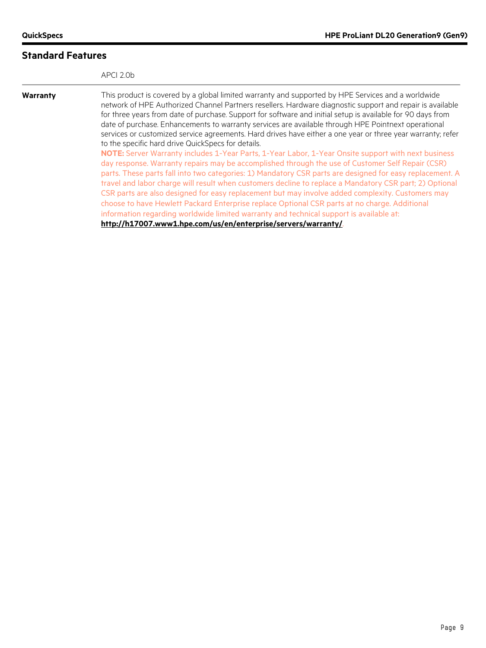|          | APCI 2.0b                                                                                                                                                                                                                                                                                                                                                                                                                                                                                                                                                                                                                                                                                                                                                                                                                                                                                                                                                                                                                                                                                                                                                                                                                                                                                                                                                                                                     |
|----------|---------------------------------------------------------------------------------------------------------------------------------------------------------------------------------------------------------------------------------------------------------------------------------------------------------------------------------------------------------------------------------------------------------------------------------------------------------------------------------------------------------------------------------------------------------------------------------------------------------------------------------------------------------------------------------------------------------------------------------------------------------------------------------------------------------------------------------------------------------------------------------------------------------------------------------------------------------------------------------------------------------------------------------------------------------------------------------------------------------------------------------------------------------------------------------------------------------------------------------------------------------------------------------------------------------------------------------------------------------------------------------------------------------------|
| Warranty | This product is covered by a global limited warranty and supported by HPE Services and a worldwide<br>network of HPE Authorized Channel Partners resellers. Hardware diagnostic support and repair is available<br>for three years from date of purchase. Support for software and initial setup is available for 90 days from<br>date of purchase. Enhancements to warranty services are available through HPE Pointnext operational<br>services or customized service agreements. Hard drives have either a one year or three year warranty; refer<br>to the specific hard drive QuickSpecs for details.<br>NOTE: Server Warranty includes 1-Year Parts, 1-Year Labor, 1-Year Onsite support with next business<br>day response. Warranty repairs may be accomplished through the use of Customer Self Repair (CSR)<br>parts. These parts fall into two categories: 1) Mandatory CSR parts are designed for easy replacement. A<br>travel and labor charge will result when customers decline to replace a Mandatory CSR part; 2) Optional<br>CSR parts are also designed for easy replacement but may involve added complexity. Customers may<br>choose to have Hewlett Packard Enterprise replace Optional CSR parts at no charge. Additional<br>information regarding worldwide limited warranty and technical support is available at:<br>http://h17007.www1.hpe.com/us/en/enterprise/servers/warranty/ |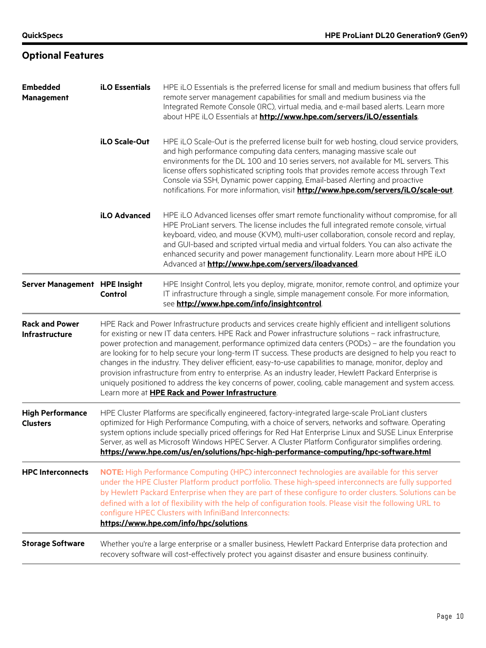**Optional Features**

#### **Embedded Management iLO Essentials** HPE iLO Essentials is the preferred license for small and medium business that offers full remote server management capabilities for small and medium business via the Integrated Remote Console (IRC), virtual media, and e-mail based alerts. Learn more about HPE iLO Essentials at **<http://www.hpe.com/servers/iLO/essentials>**. **iLO Scale-Out** HPE iLO Scale-Out is the preferred license built for web hosting, cloud service providers, and high performance computing data centers, managing massive scale out environments for the DL 100 and 10 series servers, not available for ML servers. This license offers sophisticated scripting tools that provides remote access through Text Console via SSH, Dynamic power capping, Email-based Alerting and proactive notifications. For more information, visit **<http://www.hpe.com/servers/iLO/scale-out>**. **iLO Advanced** HPE iLO Advanced licenses offer smart remote functionality without compromise, for all HPE ProLiant servers. The license includes the full integrated remote console, virtual keyboard, video, and mouse (KVM), multi-user collaboration, console record and replay, and GUI-based and scripted virtual media and virtual folders. You can also activate the enhanced security and power management functionality. Learn more about HPE iLO Advanced at **<http://www.hpe.com/servers/iloadvanced>**. **Server Management HPE Insight Control** HPE Insight Control, lets you deploy, migrate, monitor, remote control, and optimize your IT infrastructure through a single, simple management console. For more information, see **<http://www.hpe.com/info/insightcontrol>**. **Rack and Power Infrastructure** HPE Rack and Power Infrastructure products and services create highly efficient and intelligent solutions for existing or new IT data centers. HPE Rack and Power infrastructure solutions – rack infrastructure, power protection and management, performance optimized data centers (PODs) – are the foundation you are looking for to help secure your long-term IT success. These products are designed to help you react to changes in the industry. They deliver efficient, easy-to-use capabilities to manage, monitor, deploy and provision infrastructure from entry to enterprise. As an industry leader, Hewlett Packard Enterprise is uniquely positioned to address the key concerns of power, cooling, cable management and system access. Learn more at **[HPE Rack and Power Infrastructure](http://www8.hp.com/ca/en/products/servers/proliant-servers.html?compURI=1565918#tab=TAB2)**. **High Performance Clusters** HPE Cluster Platforms are specifically engineered, factory-integrated large-scale ProLiant clusters optimized for High Performance Computing, with a choice of servers, networks and software. Operating system options include specially priced offerings for Red Hat Enterprise Linux and SUSE Linux Enterprise Server, as well as Microsoft Windows HPEC Server. A Cluster Platform Configurator simplifies ordering. **<https://www.hpe.com/us/en/solutions/hpc-high-performance-computing/hpc-software.html> HPC Interconnects NOTE:** High Performance Computing (HPC) interconnect technologies are available for this server under the HPE Cluster Platform product portfolio. These high-speed interconnects are fully supported by Hewlett Packard Enterprise when they are part of these configure to order clusters. Solutions can be defined with a lot of flexibility with the help of configuration tools. Please visit the following URL to configure HPEC Clusters with InfiniBand Interconnects: **<https://www.hpe.com/info/hpc/solutions>**. **Storage Software** Whether you're a large enterprise or a smaller business, Hewlett Packard Enterprise data protection and recovery software will cost-effectively protect you against disaster and ensure business continuity.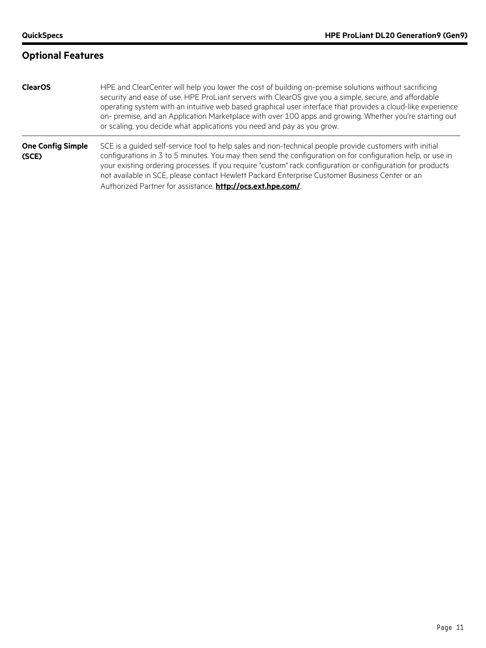#### **Optional Features**

| <b>ClearOS</b> | HPE and ClearCenter will help you lower the cost of building on-premise solutions without sacrificing       |
|----------------|-------------------------------------------------------------------------------------------------------------|
|                | security and ease of use. HPE ProLiant servers with ClearOS give you a simple, secure, and affordable       |
|                | operating system with an intuitive web based graphical user interface that provides a cloud-like experience |
|                | on- premise, and an Application Marketplace with over 100 apps and growing. Whether you're starting out     |
|                | or scaling, you decide what applications you need and pay as you grow.                                      |

#### **One Config Simple (SCE)** SCE is a guided self-service tool to help sales and non-technical people provide customers with initial configurations in 3 to 5 minutes. You may then send the configuration on for configuration help, or use in your existing ordering processes. If you require "custom" rack configuration or configuration for products not available in SCE, please contact Hewlett Packard Enterprise Customer Business Center or an Authorized Partner for assistance. **<http://ocs.ext.hpe.com/>**.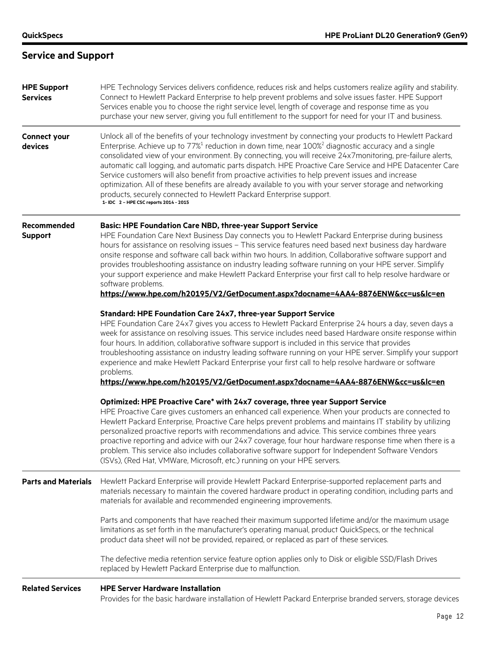# **Service and Support**

| <b>HPE Support</b><br><b>Services</b> | HPE Technology Services delivers confidence, reduces risk and helps customers realize agility and stability.<br>Connect to Hewlett Packard Enterprise to help prevent problems and solve issues faster. HPE Support<br>Services enable you to choose the right service level, length of coverage and response time as you<br>purchase your new server, giving you full entitlement to the support for need for your IT and business.                                                                                                                                                                                                                                                                                                                                                                    |
|---------------------------------------|---------------------------------------------------------------------------------------------------------------------------------------------------------------------------------------------------------------------------------------------------------------------------------------------------------------------------------------------------------------------------------------------------------------------------------------------------------------------------------------------------------------------------------------------------------------------------------------------------------------------------------------------------------------------------------------------------------------------------------------------------------------------------------------------------------|
| <b>Connect your</b><br>devices        | Unlock all of the benefits of your technology investment by connecting your products to Hewlett Packard<br>Enterprise. Achieve up to $77\%$ <sup>1</sup> reduction in down time, near $100\%$ <sup>2</sup> diagnostic accuracy and a single<br>consolidated view of your environment. By connecting, you will receive 24x7monitoring, pre-failure alerts,<br>automatic call logging, and automatic parts dispatch. HPE Proactive Care Service and HPE Datacenter Care<br>Service customers will also benefit from proactive activities to help prevent issues and increase<br>optimization. All of these benefits are already available to you with your server storage and networking<br>products, securely connected to Hewlett Packard Enterprise support.<br>1- IDC 2 - HPE CSC reports 2014 - 2015 |
| Recommended<br><b>Support</b>         | <b>Basic: HPE Foundation Care NBD, three-year Support Service</b><br>HPE Foundation Care Next Business Day connects you to Hewlett Packard Enterprise during business<br>hours for assistance on resolving issues - This service features need based next business day hardware<br>onsite response and software call back within two hours. In addition, Collaborative software support and<br>provides troubleshooting assistance on industry leading software running on your HPE server. Simplify<br>your support experience and make Hewlett Packard Enterprise your first call to help resolve hardware or<br>software problems.<br>https://www.hpe.com/h20195/V2/GetDocument.aspx?docname=4AA4-8876ENW&cc=us&lc=en                                                                                |
|                                       | <b>Standard: HPE Foundation Care 24x7, three-year Support Service</b><br>HPE Foundation Care 24x7 gives you access to Hewlett Packard Enterprise 24 hours a day, seven days a<br>week for assistance on resolving issues. This service includes need based Hardware onsite response within<br>four hours. In addition, collaborative software support is included in this service that provides<br>troubleshooting assistance on industry leading software running on your HPE server. Simplify your support<br>experience and make Hewlett Packard Enterprise your first call to help resolve hardware or software<br>problems.<br>https://www.hpe.com/h20195/V2/GetDocument.aspx?docname=4AA4-8876ENW&cc=us&lc=en                                                                                     |
|                                       | Optimized: HPE Proactive Care* with 24x7 coverage, three year Support Service<br>HPE Proactive Care gives customers an enhanced call experience. When your products are connected to<br>Hewlett Packard Enterprise, Proactive Care helps prevent problems and maintains IT stability by utilizing<br>personalized proactive reports with recommendations and advice. This service combines three years<br>proactive reporting and advice with our 24x7 coverage, four hour hardware response time when there is a<br>problem. This service also includes collaborative software support for Independent Software Vendors<br>(ISVs), (Red Hat, VMWare, Microsoft, etc.) running on your HPE servers.                                                                                                     |
| <b>Parts and Materials</b>            | Hewlett Packard Enterprise will provide Hewlett Packard Enterprise-supported replacement parts and<br>materials necessary to maintain the covered hardware product in operating condition, including parts and<br>materials for available and recommended engineering improvements.                                                                                                                                                                                                                                                                                                                                                                                                                                                                                                                     |
|                                       | Parts and components that have reached their maximum supported lifetime and/or the maximum usage<br>limitations as set forth in the manufacturer's operating manual, product QuickSpecs, or the technical<br>product data sheet will not be provided, repaired, or replaced as part of these services.                                                                                                                                                                                                                                                                                                                                                                                                                                                                                                  |
|                                       | The defective media retention service feature option applies only to Disk or eligible SSD/Flash Drives<br>replaced by Hewlett Packard Enterprise due to malfunction.                                                                                                                                                                                                                                                                                                                                                                                                                                                                                                                                                                                                                                    |
| <b>Related Services</b>               | <b>HPE Server Hardware Installation</b><br>Provides for the basic hardware installation of Hewlett Packard Enterprise branded servers, storage devices                                                                                                                                                                                                                                                                                                                                                                                                                                                                                                                                                                                                                                                  |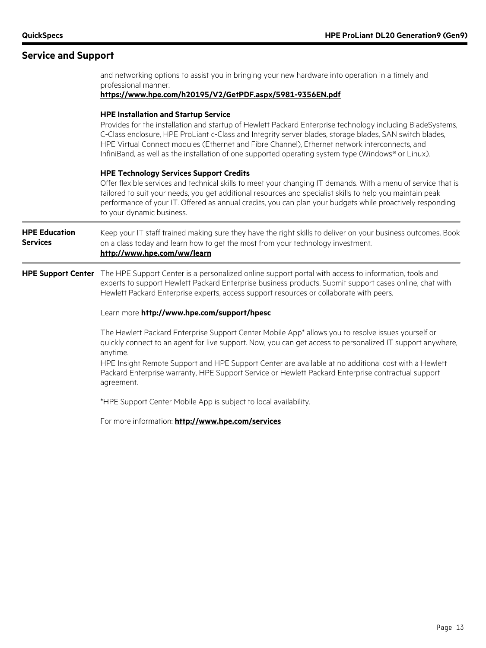#### **Service and Support**

professional manner. **<https://www.hpe.com/h20195/V2/GetPDF.aspx/5981-9356EN.pdf> HPE Installation and Startup Service** Provides for the installation and startup of Hewlett Packard Enterprise technology including BladeSystems, C-Class enclosure, HPE ProLiant c-Class and Integrity server blades, storage blades, SAN switch blades, HPE Virtual Connect modules (Ethernet and Fibre Channel), Ethernet network interconnects, and InfiniBand, as well as the installation of one supported operating system type (Windows® or Linux). **HPE Technology Services Support Credits** Offer flexible services and technical skills to meet your changing IT demands. With a menu of service that is tailored to suit your needs, you get additional resources and specialist skills to help you maintain peak performance of your IT. Offered as annual credits, you can plan your budgets while proactively responding to your dynamic business. **HPE Education Services** Keep your IT staff trained making sure they have the right skills to deliver on your business outcomes. Book on a class today and learn how to get the most from your technology investment. **<http://www.hpe.com/ww/learn> HPE Support Center** The HPE Support Center is a personalized online support portal with access to information, tools and experts to support Hewlett Packard Enterprise business products. Submit support cases online, chat with Hewlett Packard Enterprise experts, access support resources or collaborate with peers. Learn more **<http://www.hpe.com/support/hpesc>** The Hewlett Packard Enterprise Support Center Mobile App\* allows you to resolve issues yourself or quickly connect to an agent for live support. Now, you can get access to personalized IT support anywhere, anytime. HPE Insight Remote Support and HPE Support Center are available at no additional cost with a Hewlett Packard Enterprise warranty, HPE Support Service or Hewlett Packard Enterprise contractual support agreement. \*HPE Support Center Mobile App is subject to local availability. For more information: **<http://www.hpe.com/services>**

and networking options to assist you in bringing your new hardware into operation in a timely and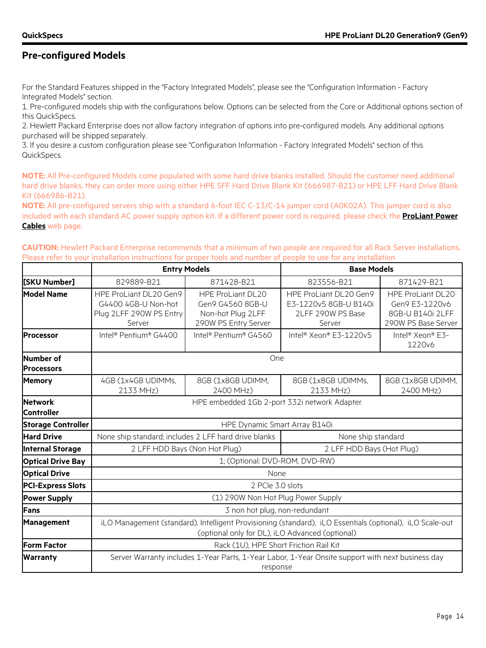# **Pre-configured Models**

For the Standard Features shipped in the "Factory Integrated Models", please see the "Configuration Information - Factory Integrated Models" section.

1. Pre-configured models ship with the configurations below. Options can be selected from the Core or Additional options section of this QuickSpecs.

2. Hewlett Packard Enterprise does not allow factory integration of options into pre-configured models. Any additional options purchased will be shipped separately.

3. If you desire a custom configuration please see "Configuration Information - Factory Integrated Models" section of this QuickSpecs.

**NOTE:** All Pre-configured Models come populated with some hard drive blanks installed. Should the customer need additional hard drive blanks, they can order more using either HPE SFF Hard Drive Blank Kit (666987-B21) or HPE LFF Hard Drive Blank Kit (666986-B21).

**NOTE:** All pre-configured servers ship with a standard 6-foot IEC C-13/C-14 jumper cord (A0K02A). This jumper cord is also included with each standard AC power supply option kit. If a different power cord is required, please check the **[ProLiant Power](http://h18004.www1.hp.com/products/servers/proliantstorage/power-protection/options/power-cable.html)  [Cables](http://h18004.www1.hp.com/products/servers/proliantstorage/power-protection/options/power-cable.html)** web page.

**CAUTION:** Hewlett Packard Enterprise recommends that a minimum of two people are required for all Rack Server installations. Please refer to your installation instructions for proper tools and number of people to use for any installation

|                                | <b>Entry Models</b>                                                                                                                                         |                                                                                           | <b>Base Models</b>                                                             |                                                                                       |  |  |
|--------------------------------|-------------------------------------------------------------------------------------------------------------------------------------------------------------|-------------------------------------------------------------------------------------------|--------------------------------------------------------------------------------|---------------------------------------------------------------------------------------|--|--|
| [SKU Number]                   | 829889-B21                                                                                                                                                  | 871428-B21                                                                                | 823556-B21                                                                     | 871429-B21                                                                            |  |  |
| <b>Model Name</b>              | HPE ProLiant DL20 Gen9<br>G4400 4GB-U Non-hot<br>Plug 2LFF 290W PS Entry<br>Server                                                                          | <b>HPE ProLiant DL20</b><br>Gen9 G4560 8GB-U<br>Non-hot Plug 2LFF<br>290W PS Entry Server | HPE ProLiant DL20 Gen9<br>E3-1220v5 8GB-U B140i<br>2LFF 290W PS Base<br>Server | <b>HPE ProLiant DL20</b><br>Gen9 E3-1220v6<br>8GB-U B140i 2LFF<br>290W PS Base Server |  |  |
| Processor                      | Intel <sup>®</sup> Pentium® G4400                                                                                                                           | Intel <sup>®</sup> Pentium® G4560                                                         | Intel® Xeon® E3-1220v5                                                         | Intel <sup>®</sup> Xeon® E3-<br>1220v6                                                |  |  |
| Number of<br><b>Processors</b> |                                                                                                                                                             | One                                                                                       |                                                                                |                                                                                       |  |  |
| <b>Memory</b>                  | 4GB (1x4GB UDIMMs,<br>2133 MHz)                                                                                                                             | 8GB (1x8GB UDIMM,<br>2400 MHz)                                                            | 8GB (1x8GB UDIMMs,<br>2133 MHz)                                                | 8GB (1x8GB UDIMM,<br>2400 MHz)                                                        |  |  |
| Network<br>Controller          | HPE embedded 1Gb 2-port 332i network Adapter                                                                                                                |                                                                                           |                                                                                |                                                                                       |  |  |
| <b>Storage Controller</b>      |                                                                                                                                                             | HPE Dynamic Smart Array B140i                                                             |                                                                                |                                                                                       |  |  |
| <b>Hard Drive</b>              |                                                                                                                                                             | None ship standard; includes 2 LFF hard drive blanks                                      | None ship standard                                                             |                                                                                       |  |  |
| <b>Internal Storage</b>        | 2 LFF HDD Bays (Non Hot Plug)                                                                                                                               |                                                                                           | 2 LFF HDD Bays (Hot Plug)                                                      |                                                                                       |  |  |
| <b>Optical Drive Bay</b>       |                                                                                                                                                             | 1; (Optional: DVD-ROM, DVD-RW)                                                            |                                                                                |                                                                                       |  |  |
| <b>Optical Drive</b>           |                                                                                                                                                             | None                                                                                      |                                                                                |                                                                                       |  |  |
| <b>PCI-Express Slots</b>       |                                                                                                                                                             | 2 PCIe 3.0 slots                                                                          |                                                                                |                                                                                       |  |  |
| <b>Power Supply</b>            | (1) 290W Non Hot Plug Power Supply                                                                                                                          |                                                                                           |                                                                                |                                                                                       |  |  |
| Fans                           | 3 non hot plug, non-redundant                                                                                                                               |                                                                                           |                                                                                |                                                                                       |  |  |
| <b>Management</b>              | iLO Management (standard), Intelligent Provisioning (standard), iLO Essentials (optional), iLO Scale-out<br>(optional only for DL), iLO Advanced (optional) |                                                                                           |                                                                                |                                                                                       |  |  |
| <b>Form Factor</b>             | Rack (1U), HPE Short Friction Rail Kit                                                                                                                      |                                                                                           |                                                                                |                                                                                       |  |  |
| <b>Warranty</b>                | Server Warranty includes 1-Year Parts, 1-Year Labor, 1-Year Onsite support with next business day<br>response                                               |                                                                                           |                                                                                |                                                                                       |  |  |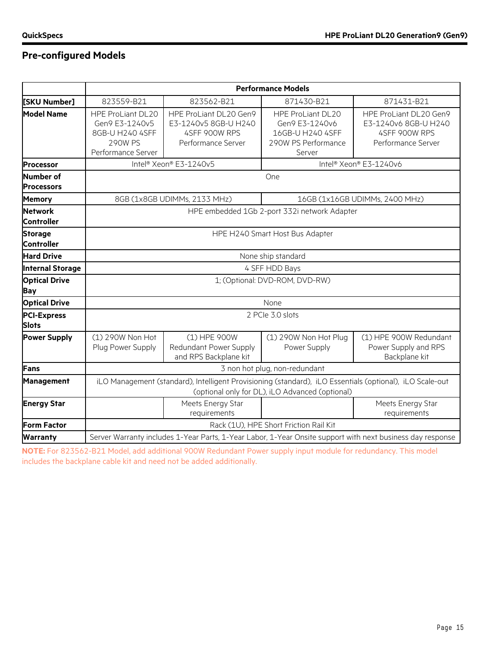# **Pre-configured Models**

|                                       | <b>Performance Models</b>                                                                                                                                   |                                                                                       |                                                                                                 |                                                                                       |  |  |
|---------------------------------------|-------------------------------------------------------------------------------------------------------------------------------------------------------------|---------------------------------------------------------------------------------------|-------------------------------------------------------------------------------------------------|---------------------------------------------------------------------------------------|--|--|
| [SKU Number]                          | 823559-B21                                                                                                                                                  | 823562-B21                                                                            | 871430-B21                                                                                      | 871431-B21                                                                            |  |  |
| <b>Model Name</b>                     | <b>HPE ProLiant DL20</b><br>Gen9 E3-1240v5<br>8GB-U H240 4SFF<br><b>290W PS</b><br>Performance Server                                                       | HPE ProLiant DL20 Gen9<br>E3-1240v5 8GB-U H240<br>4SFF 900W RPS<br>Performance Server | <b>HPE ProLiant DL20</b><br>Gen9 E3-1240v6<br>16GB-U H240 4SFF<br>290W PS Performance<br>Server | HPE ProLiant DL20 Gen9<br>E3-1240v6 8GB-U H240<br>4SFF 900W RPS<br>Performance Server |  |  |
| <b>Processor</b>                      |                                                                                                                                                             | Intel® Xeon® E3-1240v5                                                                | Intel® Xeon® E3-1240v6                                                                          |                                                                                       |  |  |
| <b>Number of</b><br><b>Processors</b> |                                                                                                                                                             |                                                                                       | One                                                                                             |                                                                                       |  |  |
| <b>Memory</b>                         |                                                                                                                                                             | 8GB (1x8GB UDIMMs, 2133 MHz)                                                          |                                                                                                 | 16GB (1x16GB UDIMMs, 2400 MHz)                                                        |  |  |
| <b>Network</b><br><b>Controller</b>   |                                                                                                                                                             |                                                                                       | HPE embedded 1Gb 2-port 332i network Adapter                                                    |                                                                                       |  |  |
| <b>Storage</b><br>Controller          |                                                                                                                                                             | HPE H240 Smart Host Bus Adapter                                                       |                                                                                                 |                                                                                       |  |  |
| <b>Hard Drive</b>                     |                                                                                                                                                             | None ship standard                                                                    |                                                                                                 |                                                                                       |  |  |
| <b>Internal Storage</b>               | 4 SFF HDD Bays                                                                                                                                              |                                                                                       |                                                                                                 |                                                                                       |  |  |
| <b>Optical Drive</b><br>Bay           |                                                                                                                                                             | 1; (Optional: DVD-ROM, DVD-RW)                                                        |                                                                                                 |                                                                                       |  |  |
| <b>Optical Drive</b>                  |                                                                                                                                                             |                                                                                       | None                                                                                            |                                                                                       |  |  |
| <b>PCI-Express</b><br><b>Slots</b>    |                                                                                                                                                             |                                                                                       | 2 PCIe 3.0 slots                                                                                |                                                                                       |  |  |
| <b>Power Supply</b>                   | (1) 290W Non Hot<br>Plug Power Supply                                                                                                                       | (1) HPE 900W<br>Redundant Power Supply<br>and RPS Backplane kit                       | (1) 290W Non Hot Plug<br>Power Supply                                                           | (1) HPE 900W Redundant<br>Power Supply and RPS<br>Backplane kit                       |  |  |
| Fans                                  |                                                                                                                                                             |                                                                                       | 3 non hot plug, non-redundant                                                                   |                                                                                       |  |  |
| Management                            | iLO Management (standard), Intelligent Provisioning (standard), iLO Essentials (optional), iLO Scale-out<br>(optional only for DL), iLO Advanced (optional) |                                                                                       |                                                                                                 |                                                                                       |  |  |
| <b>Energy Star</b>                    |                                                                                                                                                             | Meets Energy Star<br>requirements                                                     |                                                                                                 | Meets Energy Star<br>requirements                                                     |  |  |
| <b>Form Factor</b>                    |                                                                                                                                                             | Rack (1U), HPE Short Friction Rail Kit                                                |                                                                                                 |                                                                                       |  |  |
| <b>Warranty</b>                       | Server Warranty includes 1-Year Parts, 1-Year Labor, 1-Year Onsite support with next business day response                                                  |                                                                                       |                                                                                                 |                                                                                       |  |  |

**NOTE:** For 823562-B21 Model, add additional 900W Redundant Power supply input module for redundancy. This model includes the backplane cable kit and need not be added additionally.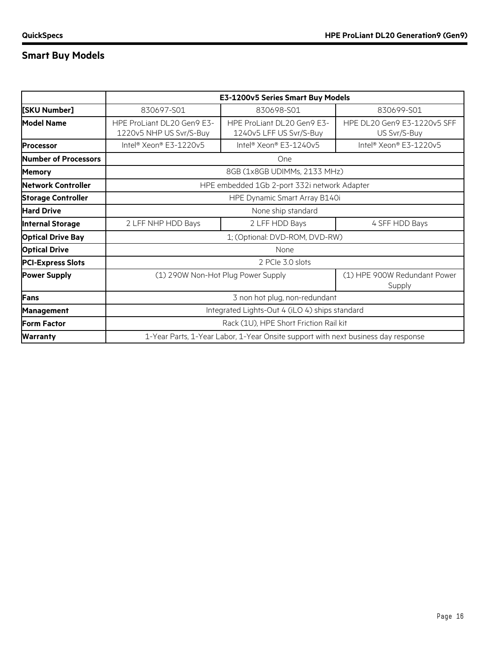# **Smart Buy Models**

|                                          |                                                                                   | E3-1200v5 Series Smart Buy Models                     |                                             |  |
|------------------------------------------|-----------------------------------------------------------------------------------|-------------------------------------------------------|---------------------------------------------|--|
| 830697-S01<br>[SKU Number]<br>830698-S01 |                                                                                   | 830699-S01                                            |                                             |  |
| <b>Model Name</b>                        | HPE ProLiant DL20 Gen9 E3-<br>1220v5 NHP US Svr/S-Buy                             | HPE ProLiant DL20 Gen9 E3-<br>1240v5 LFF US Svr/S-Buy | HPE DL20 Gen9 E3-1220v5 SFF<br>US Svr/S-Buy |  |
| <b>Processor</b>                         | Intel® Xeon® E3-1220v5                                                            | Intel <sup>®</sup> Xeon® E3-1240v5                    | Intel® Xeon® E3-1220v5                      |  |
| Number of Processors                     | One                                                                               |                                                       |                                             |  |
| <b>Memory</b>                            |                                                                                   | 8GB (1x8GB UDIMMs, 2133 MHz)                          |                                             |  |
| Network Controller                       | HPE embedded 1Gb 2-port 332i network Adapter                                      |                                                       |                                             |  |
| <b>Storage Controller</b>                | HPE Dynamic Smart Array B140i                                                     |                                                       |                                             |  |
| <b>Hard Drive</b>                        | None ship standard                                                                |                                                       |                                             |  |
| <b>Internal Storage</b>                  | 2 LFF NHP HDD Bays                                                                | 2 LFF HDD Bays                                        | 4 SFF HDD Bays                              |  |
| <b>Optical Drive Bay</b>                 | 1; (Optional: DVD-ROM, DVD-RW)                                                    |                                                       |                                             |  |
| <b>Optical Drive</b>                     | None                                                                              |                                                       |                                             |  |
| <b>PCI-Express Slots</b>                 |                                                                                   | 2 PCIe 3.0 slots                                      |                                             |  |
| <b>Power Supply</b>                      | (1) 290W Non-Hot Plug Power Supply<br>Supply                                      |                                                       | (1) HPE 900W Redundant Power                |  |
| Fans                                     | 3 non hot plug, non-redundant                                                     |                                                       |                                             |  |
| <b>Management</b>                        | Integrated Lights-Out 4 (iLO 4) ships standard                                    |                                                       |                                             |  |
| <b>Form Factor</b>                       | Rack (1U), HPE Short Friction Rail kit                                            |                                                       |                                             |  |
| <b>Warranty</b>                          | 1-Year Parts, 1-Year Labor, 1-Year Onsite support with next business day response |                                                       |                                             |  |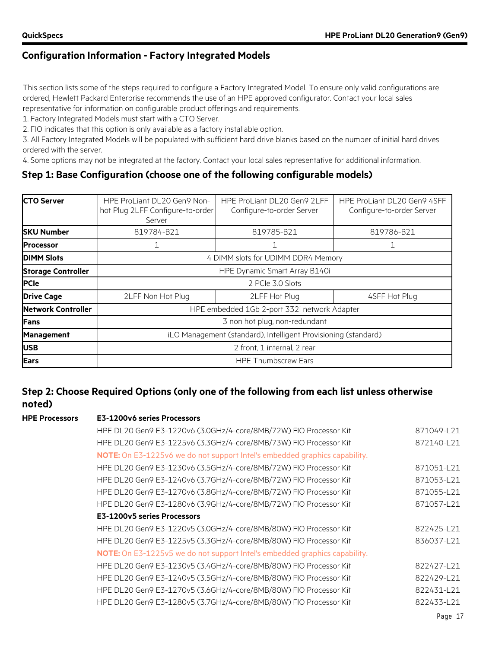This section lists some of the steps required to configure a Factory Integrated Model. To ensure only valid configurations are ordered, Hewlett Packard Enterprise recommends the use of an HPE approved configurator. Contact your local sales representative for information on configurable product offerings and requirements.

1. Factory Integrated Models must start with a CTO Server.

2. FIO indicates that this option is only available as a factory installable option.

3. All Factory Integrated Models will be populated with sufficient hard drive blanks based on the number of initial hard drives ordered with the server.

4. Some options may not be integrated at the factory. Contact your local sales representative for additional information.

#### **Step 1: Base Configuration (choose one of the following configurable models)**

| <b>CTO Server</b>         | HPE ProLiant DL20 Gen9 Non-<br>hot Plug 2LFF Configure-to-order<br>Server | HPE ProLiant DL20 Gen9 2LFF<br>Configure-to-order Server | HPE ProLiant DL20 Gen9 4SFF<br>Configure-to-order Server |
|---------------------------|---------------------------------------------------------------------------|----------------------------------------------------------|----------------------------------------------------------|
| <b>SKU Number</b>         | 819784-B21                                                                | 819785-B21                                               | 819786-B21                                               |
| <b>Processor</b>          |                                                                           |                                                          | 1                                                        |
| <b>DIMM Slots</b>         |                                                                           | 4 DIMM slots for UDIMM DDR4 Memory                       |                                                          |
| <b>Storage Controller</b> | HPE Dynamic Smart Array B140i                                             |                                                          |                                                          |
| <b>PCIe</b>               |                                                                           | 2 PCIe 3.0 Slots                                         |                                                          |
| <b>Drive Cage</b>         | 2LFF Non Hot Plug                                                         | 2LFF Hot Plug<br>4SFF Hot Plug                           |                                                          |
| <b>Network Controller</b> |                                                                           | HPE embedded 1Gb 2-port 332i network Adapter             |                                                          |
| <b>Fans</b>               | 3 non hot plug, non-redundant                                             |                                                          |                                                          |
| <b>Management</b>         | iLO Management (standard), Intelligent Provisioning (standard)            |                                                          |                                                          |
| <b>USB</b>                | 2 front, 1 internal, 2 rear                                               |                                                          |                                                          |
| <b>Ears</b>               |                                                                           | <b>HPE Thumbscrew Ears</b>                               |                                                          |

### **Step 2: Choose Required Options (only one of the following from each list unless otherwise noted)**

#### **HPE Processors E3-1200v6 series Processors**

| HPE DL20 Gen9 E3-1220v6 (3.0GHz/4-core/8MB/72W) FIO Processor Kit                 | 871049-L21 |
|-----------------------------------------------------------------------------------|------------|
| HPE DL20 Gen9 E3-1225v6 (3.3GHz/4-core/8MB/73W) FIO Processor Kit                 | 872140-L21 |
| <b>NOTE:</b> On E3-1225v6 we do not support Intel's embedded graphics capability. |            |
| HPE DL20 Gen9 E3-1230v6 (3.5GHz/4-core/8MB/72W) FIO Processor Kit                 | 871051-L21 |
| HPE DL20 Gen9 E3-1240v6 (3.7GHz/4-core/8MB/72W) FIO Processor Kit                 | 871053-L21 |
| HPE DL20 Gen9 E3-1270v6 (3.8GHz/4-core/8MB/72W) FIO Processor Kit                 | 871055-L21 |
| HPE DL20 Gen9 E3-1280v6 (3.9GHz/4-core/8MB/72W) FIO Processor Kit                 | 871057-L21 |
| E3-1200v5 series Processors                                                       |            |
| HPE DL20 Gen9 E3-1220v5 (3.0GHz/4-core/8MB/80W) FIO Processor Kit                 | 822425-L21 |
| HPE DL20 Gen9 E3-1225v5 (3.3GHz/4-core/8MB/80W) FIO Processor Kit                 | 836037-L21 |
| <b>NOTE:</b> On E3-1225v5 we do not support Intel's embedded graphics capability. |            |
| HPE DL20 Gen9 E3-1230v5 (3.4GHz/4-core/8MB/80W) FIO Processor Kit                 | 822427-L21 |
| HPE DL20 Gen9 E3-1240v5 (3.5GHz/4-core/8MB/80W) FIO Processor Kit                 | 822429-L21 |
| HPE DL20 Gen9 E3-1270v5 (3.6GHz/4-core/8MB/80W) FIO Processor Kit                 | 822431-L21 |
| HPE DL20 Gen9 E3-1280v5 (3.7GHz/4-core/8MB/80W) FIO Processor Kit                 | 822433-L21 |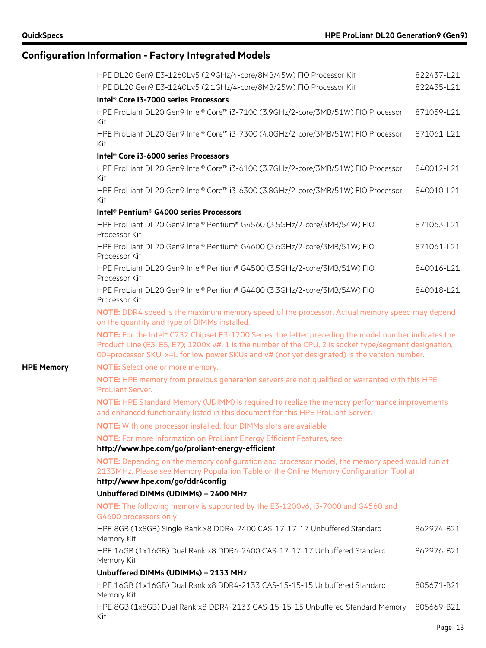|                   | HPE DL20 Gen9 E3-1260Lv5 (2.9GHz/4-core/8MB/45W) FIO Processor Kit                                                                                                                                                                                                                                             | 822437-L21 |
|-------------------|----------------------------------------------------------------------------------------------------------------------------------------------------------------------------------------------------------------------------------------------------------------------------------------------------------------|------------|
|                   | HPE DL20 Gen9 E3-1240Lv5 (2.1GHz/4-core/8MB/25W) FIO Processor Kit                                                                                                                                                                                                                                             | 822435-L21 |
|                   | Intel® Core i3-7000 series Processors                                                                                                                                                                                                                                                                          |            |
|                   | HPE ProLiant DL20 Gen9 Intel® Core™ i3-7100 (3.9GHz/2-core/3MB/51W) FIO Processor<br>Kit                                                                                                                                                                                                                       | 871059-L21 |
|                   | HPE ProLiant DL20 Gen9 Intel® Core™ i3-7300 (4.0GHz/2-core/3MB/51W) FIO Processor<br>Kit                                                                                                                                                                                                                       | 871061-L21 |
|                   | Intel® Core i3-6000 series Processors                                                                                                                                                                                                                                                                          |            |
|                   | HPE ProLiant DL20 Gen9 Intel® Core™ i3-6100 (3.7GHz/2-core/3MB/51W) FIO Processor<br>Kit                                                                                                                                                                                                                       | 840012-L21 |
|                   | HPE ProLiant DL20 Gen9 Intel® Core™ i3-6300 (3.8GHz/2-core/3MB/51W) FIO Processor<br>Kit                                                                                                                                                                                                                       | 840010-L21 |
|                   | Intel <sup>®</sup> Pentium <sup>®</sup> G4000 series Processors                                                                                                                                                                                                                                                |            |
|                   | HPE ProLiant DL20 Gen9 Intel® Pentium® G4560 (3.5GHz/2-core/3MB/54W) FIO<br>Processor Kit                                                                                                                                                                                                                      | 871063-L21 |
|                   | HPE ProLiant DL20 Gen9 Intel® Pentium® G4600 (3.6GHz/2-core/3MB/51W) FIO<br>Processor Kit                                                                                                                                                                                                                      | 871061-L21 |
|                   | HPE ProLiant DL20 Gen9 Intel® Pentium® G4500 (3.5GHz/2-core/3MB/51W) FIO<br>Processor Kit                                                                                                                                                                                                                      | 840016-L21 |
|                   | HPE ProLiant DL20 Gen9 Intel® Pentium® G4400 (3.3GHz/2-core/3MB/54W) FIO<br>Processor Kit                                                                                                                                                                                                                      | 840018-L21 |
|                   | NOTE: DDR4 speed is the maximum memory speed of the processor. Actual memory speed may depend<br>on the quantity and type of DIMMs installed.                                                                                                                                                                  |            |
|                   | NOTE: For the Intel® C232 Chipset E3-1200 Series, the letter preceding the model number indicates the<br>Product Line (E3, E5, E7); 1200x v#, 1 is the number of the CPU, 2 is socket type/segment designation,<br>00=processor SKU, x=L for low power SKUs and v# (not yet designated) is the version number. |            |
| <b>HPE Memory</b> | NOTE: Select one or more memory.                                                                                                                                                                                                                                                                               |            |
|                   | NOTE: HPE memory from previous generation servers are not qualified or warranted with this HPE<br>ProLiant Server.                                                                                                                                                                                             |            |
|                   | NOTE: HPE Standard Memory (UDIMM) is required to realize the memory performance improvements<br>and enhanced functionality listed in this document for this HPE ProLiant Server.                                                                                                                               |            |
|                   | NOTE: With one processor installed, four DIMMs slots are available                                                                                                                                                                                                                                             |            |
|                   | <b>NOTE:</b> For more information on ProLiant Energy Efficient Features, see:                                                                                                                                                                                                                                  |            |
|                   | http://www.hpe.com/go/proliant-energy-efficient                                                                                                                                                                                                                                                                |            |
|                   | NOTE: Depending on the memory configuration and processor model, the memory speed would run at<br>2133MHz. Please see Memory Population Table or the Online Memory Configuration Tool at:<br>http://www.hpe.com/go/ddr4config                                                                                  |            |
|                   | Unbuffered DIMMs (UDIMMs) - 2400 MHz                                                                                                                                                                                                                                                                           |            |
|                   | NOTE: The following memory is supported by the E3-1200v6, i3-7000 and G4560 and<br>G4600 processors only                                                                                                                                                                                                       |            |
|                   | HPE 8GB (1x8GB) Single Rank x8 DDR4-2400 CAS-17-17-17 Unbuffered Standard<br>Memory Kit                                                                                                                                                                                                                        | 862974-B21 |
|                   | HPE 16GB (1x16GB) Dual Rank x8 DDR4-2400 CAS-17-17-17 Unbuffered Standard<br>Memory Kit                                                                                                                                                                                                                        | 862976-B21 |
|                   | Unbuffered DIMMs (UDIMMs) - 2133 MHz                                                                                                                                                                                                                                                                           |            |
|                   | HPE 16GB (1x16GB) Dual Rank x8 DDR4-2133 CAS-15-15-15 Unbuffered Standard<br>Memory Kit                                                                                                                                                                                                                        | 805671-B21 |
|                   | HPE 8GB (1x8GB) Dual Rank x8 DDR4-2133 CAS-15-15-15 Unbuffered Standard Memory<br>Kit                                                                                                                                                                                                                          | 805669-B21 |
|                   |                                                                                                                                                                                                                                                                                                                | Page 18    |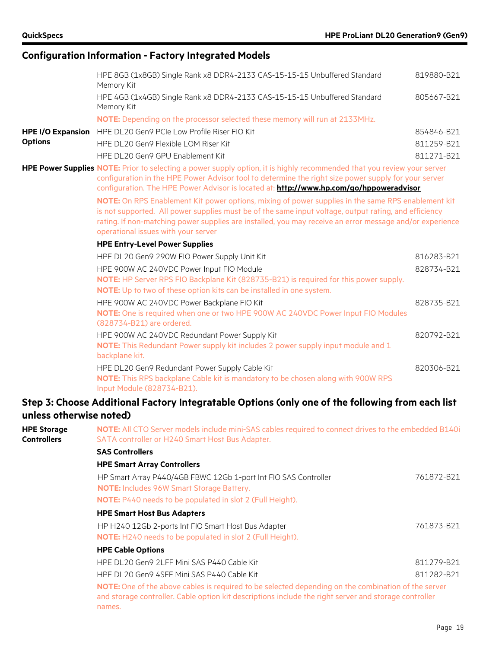|                                          | HPE 8GB (1x8GB) Single Rank x8 DDR4-2133 CAS-15-15-15 Unbuffered Standard                                                                                                                                                                                                                                                                                      | 819880-B21 |
|------------------------------------------|----------------------------------------------------------------------------------------------------------------------------------------------------------------------------------------------------------------------------------------------------------------------------------------------------------------------------------------------------------------|------------|
|                                          | Memory Kit                                                                                                                                                                                                                                                                                                                                                     |            |
|                                          | HPE 4GB (1x4GB) Single Rank x8 DDR4-2133 CAS-15-15-15 Unbuffered Standard<br>Memory Kit                                                                                                                                                                                                                                                                        | 805667-B21 |
|                                          | NOTE: Depending on the processor selected these memory will run at 2133MHz.                                                                                                                                                                                                                                                                                    |            |
| <b>HPE I/O Expansion</b>                 | HPE DL20 Gen9 PCIe Low Profile Riser FIO Kit                                                                                                                                                                                                                                                                                                                   | 854846-B21 |
| <b>Options</b>                           | HPE DL20 Gen9 Flexible LOM Riser Kit                                                                                                                                                                                                                                                                                                                           | 811259-B21 |
|                                          | HPE DL20 Gen9 GPU Enablement Kit                                                                                                                                                                                                                                                                                                                               | 811271-B21 |
|                                          | HPE Power Supplies NOTE: Prior to selecting a power supply option, it is highly recommended that you review your server<br>configuration in the HPE Power Advisor tool to determine the right size power supply for your server<br>configuration. The HPE Power Advisor is located at: http://www.hp.com/go/hppoweradvisor                                     |            |
|                                          | NOTE: On RPS Enablement Kit power options, mixing of power supplies in the same RPS enablement kit<br>is not supported. All power supplies must be of the same input voltage, output rating, and efficiency<br>rating. If non-matching power supplies are installed, you may receive an error message and/or experience<br>operational issues with your server |            |
|                                          | <b>HPE Entry-Level Power Supplies</b>                                                                                                                                                                                                                                                                                                                          |            |
|                                          | HPE DL20 Gen9 290W FIO Power Supply Unit Kit                                                                                                                                                                                                                                                                                                                   | 816283-B21 |
|                                          | HPE 900W AC 240VDC Power Input FIO Module<br>NOTE: HP Server RPS FIO Backplane Kit (828735-B21) is required for this power supply.<br>NOTE: Up to two of these option kits can be installed in one system.                                                                                                                                                     | 828734-B21 |
|                                          | HPE 900W AC 240VDC Power Backplane FIO Kit<br>NOTE: One is required when one or two HPE 900W AC 240VDC Power Input FIO Modules<br>(828734-B21) are ordered.                                                                                                                                                                                                    | 828735-B21 |
|                                          | HPE 900W AC 240VDC Redundant Power Supply Kit<br>NOTE: This Redundant Power supply kit includes 2 power supply input module and 1<br>backplane kit.                                                                                                                                                                                                            | 820792-B21 |
|                                          | HPE DL20 Gen9 Redundant Power Supply Cable Kit<br>NOTE: This RPS backplane Cable kit is mandatory to be chosen along with 900W RPS<br>Input Module (828734-B21).                                                                                                                                                                                               | 820306-B21 |
| unless otherwise noted)                  | Step 3: Choose Additional Factory Integratable Options (only one of the following from each list                                                                                                                                                                                                                                                               |            |
| <b>HPE Storage</b><br><b>Controllers</b> | NOTE: All CTO Server models include mini-SAS cables required to connect drives to the embedded B140i<br>SATA controller or H240 Smart Host Bus Adapter.<br>$C = C$                                                                                                                                                                                             |            |

#### **SAS Controllers**

#### **HPE Smart Array Controllers** HP Smart Array P440/4GB FBWC 12Gb 1-port Int FIO SAS Controller **NOTE:** Includes 96W Smart Storage Battery. **NOTE:** P440 needs to be populated in slot 2 (Full Height). 761872-B21

**HPE Smart Host Bus Adapters** HP H240 12Gb 2-ports Int FIO Smart Host Bus Adapter **NOTE:** H240 needs to be populated in slot 2 (Full Height). 761873-B21 **HPE Cable Options** HPE DL20 Gen9 2LFF Mini SAS P440 Cable Kit 811279-B21 HPE DL20 Gen9 4SFF Mini SAS P440 Cable Kit 811282-B21

**NOTE:**One of the above cables is required to be selected depending on the combination of the server and storage controller. Cable option kit descriptions include the right server and storage controller names.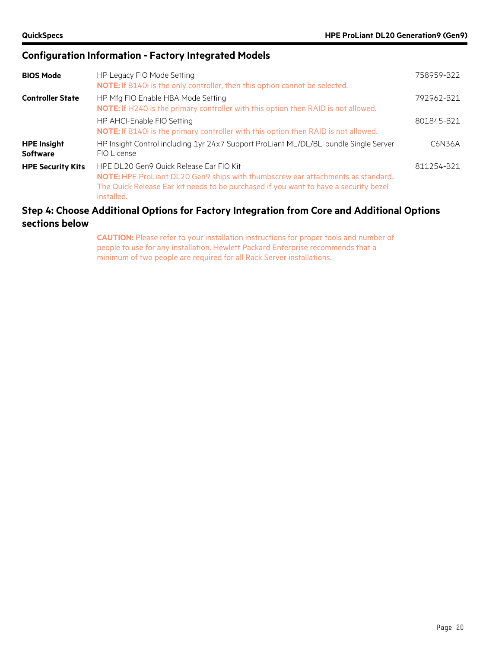| <b>BIOS Mode</b>                      | HP Legacy FIO Mode Setting<br><b>NOTE:</b> If B140i is the only controller, then this option cannot be selected.                                                                                                                  | 758959-B22 |
|---------------------------------------|-----------------------------------------------------------------------------------------------------------------------------------------------------------------------------------------------------------------------------------|------------|
| <b>Controller State</b>               | HP Mfg FIO Enable HBA Mode Setting<br>NOTE: If H240 is the primary controller with this option then RAID is not allowed.                                                                                                          | 792962-B21 |
|                                       | HP AHCI-Enable FIO Setting<br>NOTE: If B140i is the primary controller with this option then RAID is not allowed.                                                                                                                 | 801845-B21 |
| <b>HPE Insight</b><br><b>Software</b> | HP Insight Control including 1yr 24x7 Support ProLiant ML/DL/BL-bundle Single Server<br>FIO License                                                                                                                               | C6N36A     |
| <b>HPE Security Kits</b>              | HPE DL 20 Gen9 Quick Release Ear FIO Kit<br>NOTE: HPE ProLiant DL20 Gen9 ships with thumbscrew ear attachments as standard.<br>The Quick Release Ear kit needs to be purchased if you want to have a security bezel<br>installed. | 811254-B21 |

#### **Step 4: Choose Additional Options for Factory Integration from Core and Additional Options sections below**

**CAUTION:** Please refer to your installation instructions for proper tools and number of people to use for any installation. Hewlett Packard Enterprise recommends that a minimum of two people are required for all Rack Server installations.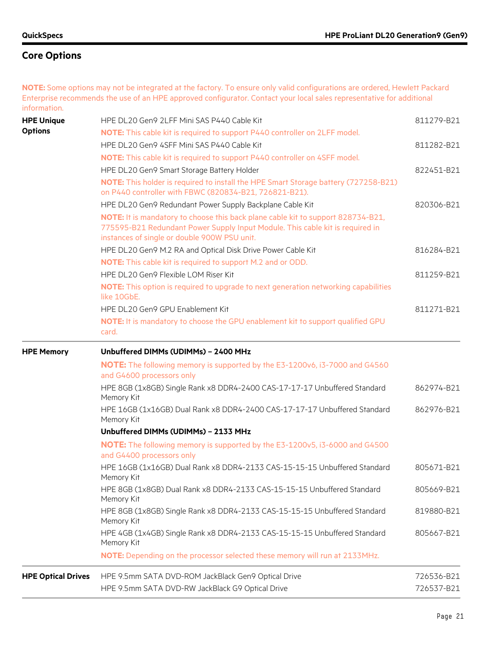**NOTE:** Some options may not be integrated at the factory. To ensure only valid configurations are ordered, Hewlett Packard Enterprise recommends the use of an HPE approved configurator. Contact your local sales representative for additional information.

| <b>HPE Unique</b><br><b>Options</b> | HPE DL20 Gen9 2LFF Mini SAS P440 Cable Kit<br><b>NOTE:</b> This cable kit is required to support P440 controller on 2LFF model.                                                                                   | 811279-B21 |
|-------------------------------------|-------------------------------------------------------------------------------------------------------------------------------------------------------------------------------------------------------------------|------------|
|                                     | HPE DL20 Gen9 4SFF Mini SAS P440 Cable Kit                                                                                                                                                                        | 811282-B21 |
|                                     | NOTE: This cable kit is required to support P440 controller on 4SFF model.                                                                                                                                        |            |
|                                     | HPE DL20 Gen9 Smart Storage Battery Holder                                                                                                                                                                        | 822451-B21 |
|                                     | <b>NOTE:</b> This holder is required to install the HPE Smart Storage battery (727258-B21)<br>on P440 controller with FBWC (820834-B21, 726821-B21).                                                              |            |
|                                     | HPE DL20 Gen9 Redundant Power Supply Backplane Cable Kit                                                                                                                                                          | 820306-B21 |
|                                     | NOTE: It is mandatory to choose this back plane cable kit to support 828734-B21,<br>775595-B21 Redundant Power Supply Input Module. This cable kit is required in<br>instances of single or double 900W PSU unit. |            |
|                                     | HPE DL20 Gen9 M.2 RA and Optical Disk Drive Power Cable Kit                                                                                                                                                       | 816284-B21 |
|                                     | <b>NOTE:</b> This cable kit is required to support M.2 and or ODD.                                                                                                                                                |            |
|                                     | HPE DL20 Gen9 Flexible LOM Riser Kit                                                                                                                                                                              | 811259-B21 |
|                                     | NOTE: This option is required to upgrade to next generation networking capabilities<br>like 10GbE.                                                                                                                |            |
|                                     | HPE DL20 Gen9 GPU Enablement Kit                                                                                                                                                                                  | 811271-B21 |
|                                     | NOTE: It is mandatory to choose the GPU enablement kit to support qualified GPU<br>card.                                                                                                                          |            |
| <b>HPE Memory</b>                   | Unbuffered DIMMs (UDIMMs) - 2400 MHz                                                                                                                                                                              |            |
|                                     | <b>NOTE:</b> The following memory is supported by the E3-1200v6, i3-7000 and G4560<br>and G4600 processors only                                                                                                   |            |
|                                     | HPE 8GB (1x8GB) Single Rank x8 DDR4-2400 CAS-17-17-17 Unbuffered Standard<br>Memory Kit                                                                                                                           | 862974-B21 |
|                                     | HPE 16GB (1x16GB) Dual Rank x8 DDR4-2400 CAS-17-17-17 Unbuffered Standard<br>Memory Kit                                                                                                                           | 862976-B21 |
|                                     | Unbuffered DIMMs (UDIMMs) - 2133 MHz                                                                                                                                                                              |            |
|                                     | <b>NOTE:</b> The following memory is supported by the E3-1200v5, i3-6000 and G4500<br>and G4400 processors only                                                                                                   |            |
|                                     | HPE 16GB (1x16GB) Dual Rank x8 DDR4-2133 CAS-15-15-15 Unbuffered Standard<br>Memory Kit                                                                                                                           | 805671-B21 |
|                                     | HPE 8GB (1x8GB) Dual Rank x8 DDR4-2133 CAS-15-15-15 Unbuffered Standard<br>Memory Kit                                                                                                                             | 805669-B21 |
|                                     | HPE 8GB (1x8GB) Single Rank x8 DDR4-2133 CAS-15-15-15 Unbuffered Standard<br>Memory Kit                                                                                                                           | 819880-B21 |
|                                     | HPE 4GB (1x4GB) Single Rank x8 DDR4-2133 CAS-15-15-15 Unbuffered Standard<br>Memory Kit                                                                                                                           | 805667-B21 |
|                                     | NOTE: Depending on the processor selected these memory will run at 2133MHz.                                                                                                                                       |            |
| <b>HPE Optical Drives</b>           | HPE 9.5mm SATA DVD-ROM JackBlack Gen9 Optical Drive                                                                                                                                                               | 726536-B21 |
|                                     | HPE 9.5mm SATA DVD-RW JackBlack G9 Optical Drive                                                                                                                                                                  | 726537-B21 |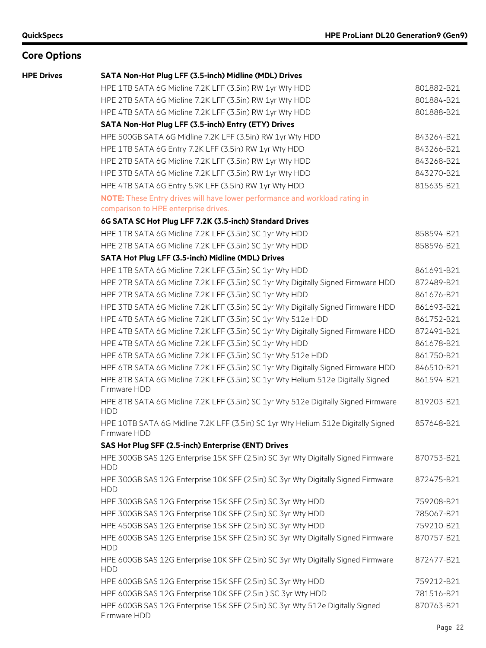| <b>HPE Drives</b> | SATA Non-Hot Plug LFF (3.5-inch) Midline (MDL) Drives                                                               |            |
|-------------------|---------------------------------------------------------------------------------------------------------------------|------------|
|                   | HPE 1TB SATA 6G Midline 7.2K LFF (3.5in) RW 1yr Wty HDD                                                             | 801882-B21 |
|                   | HPE 2TB SATA 6G Midline 7.2K LFF (3.5in) RW 1yr Wty HDD                                                             | 801884-B21 |
|                   | HPE 4TB SATA 6G Midline 7.2K LFF (3.5in) RW 1yr Wty HDD                                                             | 801888-B21 |
|                   | SATA Non-Hot Plug LFF (3.5-inch) Entry (ETY) Drives                                                                 |            |
|                   | HPE 500GB SATA 6G Midline 7.2K LFF (3.5in) RW 1yr Wty HDD                                                           | 843264-B21 |
|                   | HPE 1TB SATA 6G Entry 7.2K LFF (3.5in) RW 1yr Wty HDD                                                               | 843266-B21 |
|                   | HPE 2TB SATA 6G Midline 7.2K LFF (3.5in) RW 1yr Wty HDD                                                             | 843268-B21 |
|                   | HPE 3TB SATA 6G Midline 7.2K LFF (3.5in) RW 1yr Wty HDD                                                             | 843270-B21 |
|                   | HPE 4TB SATA 6G Entry 5.9K LFF (3.5in) RW 1yr Wty HDD                                                               | 815635-B21 |
|                   | NOTE: These Entry drives will have lower performance and workload rating in<br>comparison to HPE enterprise drives. |            |
|                   | 6G SATA SC Hot Plug LFF 7.2K (3.5-inch) Standard Drives                                                             |            |
|                   | HPE 1TB SATA 6G Midline 7.2K LFF (3.5in) SC 1yr Wty HDD                                                             | 858594-B21 |
|                   | HPE 2TB SATA 6G Midline 7.2K LFF (3.5in) SC 1yr Wty HDD                                                             | 858596-B21 |
|                   | SATA Hot Plug LFF (3.5-inch) Midline (MDL) Drives                                                                   |            |
|                   | HPE 1TB SATA 6G Midline 7.2K LFF (3.5in) SC 1yr Wty HDD                                                             | 861691-B21 |
|                   | HPE 2TB SATA 6G Midline 7.2K LFF (3.5in) SC 1yr Wty Digitally Signed Firmware HDD                                   | 872489-B21 |
|                   | HPE 2TB SATA 6G Midline 7.2K LFF (3.5in) SC 1yr Wty HDD                                                             | 861676-B21 |
|                   | HPE 3TB SATA 6G Midline 7.2K LFF (3.5in) SC 1yr Wty Digitally Signed Firmware HDD                                   | 861693-B21 |
|                   | HPE 4TB SATA 6G Midline 7.2K LFF (3.5in) SC 1yr Wty 512e HDD                                                        | 861752-B21 |
|                   | HPE 4TB SATA 6G Midline 7.2K LFF (3.5in) SC 1yr Wty Digitally Signed Firmware HDD                                   | 872491-B21 |
|                   | HPE 4TB SATA 6G Midline 7.2K LFF (3.5in) SC 1yr Wty HDD                                                             | 861678-B21 |
|                   | HPE 6TB SATA 6G Midline 7.2K LFF (3.5in) SC 1yr Wty 512e HDD                                                        | 861750-B21 |
|                   | HPE 6TB SATA 6G Midline 7.2K LFF (3.5in) SC 1yr Wty Digitally Signed Firmware HDD                                   | 846510-B21 |
|                   | HPE 8TB SATA 6G Midline 7.2K LFF (3.5in) SC 1yr Wty Helium 512e Digitally Signed<br>Firmware HDD                    | 861594-B21 |
|                   | HPE 8TB SATA 6G Midline 7.2K LFF (3.5in) SC 1yr Wty 512e Digitally Signed Firmware<br><b>HDD</b>                    | 819203-B21 |
|                   | HPE 10TB SATA 6G Midline 7.2K LFF (3.5in) SC 1yr Wty Helium 512e Digitally Signed<br>Firmware HDD                   | 857648-B21 |
|                   | SAS Hot Plug SFF (2.5-inch) Enterprise (ENT) Drives                                                                 |            |
|                   | HPE 300GB SAS 12G Enterprise 15K SFF (2.5in) SC 3yr Wty Digitally Signed Firmware<br><b>HDD</b>                     | 870753-B21 |
|                   | HPE 300GB SAS 12G Enterprise 10K SFF (2.5in) SC 3yr Wty Digitally Signed Firmware<br><b>HDD</b>                     | 872475-B21 |
|                   | HPE 300GB SAS 12G Enterprise 15K SFF (2.5in) SC 3yr Wty HDD                                                         | 759208-B21 |
|                   | HPE 300GB SAS 12G Enterprise 10K SFF (2.5in) SC 3yr Wty HDD                                                         | 785067-B21 |
|                   | HPE 450GB SAS 12G Enterprise 15K SFF (2.5in) SC 3yr Wty HDD                                                         | 759210-B21 |
|                   | HPE 600GB SAS 12G Enterprise 15K SFF (2.5in) SC 3yr Wty Digitally Signed Firmware<br><b>HDD</b>                     | 870757-B21 |
|                   | HPE 600GB SAS 12G Enterprise 10K SFF (2.5in) SC 3yr Wty Digitally Signed Firmware<br><b>HDD</b>                     | 872477-B21 |
|                   | HPE 600GB SAS 12G Enterprise 15K SFF (2.5in) SC 3yr Wty HDD                                                         | 759212-B21 |
|                   | HPE 600GB SAS 12G Enterprise 10K SFF (2.5in) SC 3yr Wty HDD                                                         | 781516-B21 |
|                   | HPE 600GB SAS 12G Enterprise 15K SFF (2.5in) SC 3yr Wty 512e Digitally Signed<br>Firmware HDD                       | 870763-B21 |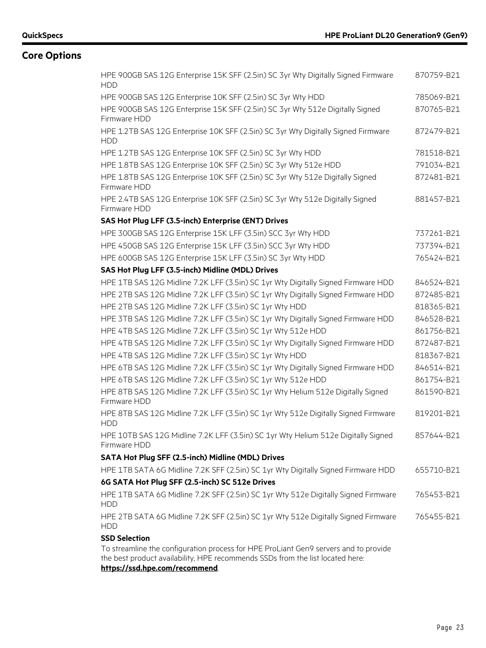| HPE 900GB SAS 12G Enterprise 15K SFF (2.5in) SC 3yr Wty Digitally Signed Firmware<br><b>HDD</b>                                                                        | 870759-B21 |
|------------------------------------------------------------------------------------------------------------------------------------------------------------------------|------------|
| HPE 900GB SAS 12G Enterprise 10K SFF (2.5in) SC 3yr Wty HDD                                                                                                            | 785069-B21 |
| HPE 900GB SAS 12G Enterprise 15K SFF (2.5in) SC 3yr Wty 512e Digitally Signed<br>Firmware HDD                                                                          | 870765-B21 |
| HPE 1.2TB SAS 12G Enterprise 10K SFF (2.5in) SC 3yr Wty Digitally Signed Firmware<br><b>HDD</b>                                                                        | 872479-B21 |
| HPE 1.2TB SAS 12G Enterprise 10K SFF (2.5in) SC 3yr Wty HDD                                                                                                            | 781518-B21 |
| HPE 1.8TB SAS 12G Enterprise 10K SFF (2.5in) SC 3yr Wty 512e HDD                                                                                                       | 791034-B21 |
| HPE 1.8TB SAS 12G Enterprise 10K SFF (2.5in) SC 3yr Wty 512e Digitally Signed<br>Firmware HDD                                                                          | 872481-B21 |
| HPE 2.4TB SAS 12G Enterprise 10K SFF (2.5in) SC 3yr Wty 512e Digitally Signed<br>Firmware HDD                                                                          | 881457-B21 |
| SAS Hot Plug LFF (3.5-inch) Enterprise (ENT) Drives                                                                                                                    |            |
| HPE 300GB SAS 12G Enterprise 15K LFF (3.5in) SCC 3yr Wty HDD                                                                                                           | 737261-B21 |
| HPE 450GB SAS 12G Enterprise 15K LFF (3.5in) SCC 3yr Wty HDD                                                                                                           | 737394-B21 |
| HPE 600GB SAS 12G Enterprise 15K LFF (3.5in) SC 3yr Wty HDD                                                                                                            | 765424-B21 |
| SAS Hot Plug LFF (3.5-inch) Midline (MDL) Drives                                                                                                                       |            |
| HPE 1TB SAS 12G Midline 7.2K LFF (3.5in) SC 1yr Wty Digitally Signed Firmware HDD                                                                                      | 846524-B21 |
| HPE 2TB SAS 12G Midline 7.2K LFF (3.5in) SC 1yr Wty Digitally Signed Firmware HDD                                                                                      | 872485-B21 |
| HPE 2TB SAS 12G Midline 7.2K LFF (3.5in) SC 1yr Wty HDD                                                                                                                | 818365-B21 |
| HPE 3TB SAS 12G Midline 7.2K LFF (3.5in) SC 1yr Wty Digitally Signed Firmware HDD                                                                                      | 846528-B21 |
| HPE 4TB SAS 12G Midline 7.2K LFF (3.5in) SC 1yr Wty 512e HDD                                                                                                           | 861756-B21 |
| HPE 4TB SAS 12G Midline 7.2K LFF (3.5in) SC 1yr Wty Digitally Signed Firmware HDD                                                                                      | 872487-B21 |
| HPE 4TB SAS 12G Midline 7.2K LFF (3.5in) SC 1yr Wty HDD                                                                                                                | 818367-B21 |
| HPE 6TB SAS 12G Midline 7.2K LFF (3.5in) SC 1yr Wty Digitally Signed Firmware HDD                                                                                      | 846514-B21 |
| HPE 6TB SAS 12G Midline 7.2K LFF (3.5in) SC 1yr Wty 512e HDD                                                                                                           | 861754-B21 |
| HPE 8TB SAS 12G Midline 7.2K LFF (3.5in) SC 1yr Wty Helium 512e Digitally Signed<br>Firmware HDD                                                                       | 861590-B21 |
| HPE 8TB SAS 12G Midline 7.2K LFF (3.5in) SC 1yr Wty 512e Digitally Signed Firmware<br><b>HDD</b>                                                                       | 819201-B21 |
| HPE 10TB SAS 12G Midline 7.2K LFF (3.5in) SC 1yr Wty Helium 512e Digitally Signed<br>Firmware HDD                                                                      | 857644-B21 |
| SATA Hot Plug SFF (2.5-inch) Midline (MDL) Drives                                                                                                                      |            |
| HPE 1TB SATA 6G Midline 7.2K SFF (2.5in) SC 1yr Wty Digitally Signed Firmware HDD                                                                                      | 655710-B21 |
| 6G SATA Hot Plug SFF (2.5-inch) SC 512e Drives                                                                                                                         |            |
| HPE 1TB SATA 6G Midline 7.2K SFF (2.5in) SC 1yr Wty 512e Digitally Signed Firmware<br><b>HDD</b>                                                                       | 765453-B21 |
| HPE 2TB SATA 6G Midline 7.2K SFF (2.5in) SC 1yr Wty 512e Digitally Signed Firmware<br><b>HDD</b>                                                                       | 765455-B21 |
| <b>SSD Selection</b>                                                                                                                                                   |            |
| To streamline the configuration process for HPE ProLiant Gen9 servers and to provide<br>the best product availability, HPE recommends SSDs from the list located here: |            |
| https://ssd.hpe.com/recommend                                                                                                                                          |            |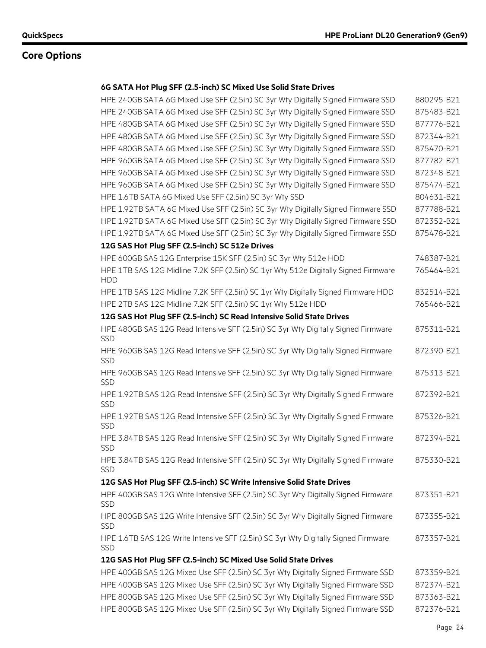#### **6G SATA Hot Plug SFF (2.5-inch) SC Mixed Use Solid State Drives**

| HPE 240GB SATA 6G Mixed Use SFF (2.5in) SC 3yr Wty Digitally Signed Firmware SSD                 | 880295-B21 |
|--------------------------------------------------------------------------------------------------|------------|
| HPE 240GB SATA 6G Mixed Use SFF (2.5in) SC 3yr Wty Digitally Signed Firmware SSD                 | 875483-B21 |
| HPE 480GB SATA 6G Mixed Use SFF (2.5in) SC 3yr Wty Digitally Signed Firmware SSD                 | 877776-B21 |
| HPE 480GB SATA 6G Mixed Use SFF (2.5in) SC 3yr Wty Digitally Signed Firmware SSD                 | 872344-B21 |
| HPE 480GB SATA 6G Mixed Use SFF (2.5in) SC 3yr Wty Digitally Signed Firmware SSD                 | 875470-B21 |
| HPE 960GB SATA 6G Mixed Use SFF (2.5in) SC 3yr Wty Digitally Signed Firmware SSD                 | 877782-B21 |
| HPE 960GB SATA 6G Mixed Use SFF (2.5in) SC 3yr Wty Digitally Signed Firmware SSD                 | 872348-B21 |
| HPE 960GB SATA 6G Mixed Use SFF (2.5in) SC 3yr Wty Digitally Signed Firmware SSD                 | 875474-B21 |
| HPE 1.6TB SATA 6G Mixed Use SFF (2.5in) SC 3yr Wty SSD                                           | 804631-B21 |
| HPE 1.92TB SATA 6G Mixed Use SFF (2.5in) SC 3yr Wty Digitally Signed Firmware SSD                | 877788-B21 |
| HPE 1.92TB SATA 6G Mixed Use SFF (2.5in) SC 3yr Wty Digitally Signed Firmware SSD                | 872352-B21 |
| HPE 1.92TB SATA 6G Mixed Use SFF (2.5in) SC 3yr Wty Digitally Signed Firmware SSD                | 875478-B21 |
| 12G SAS Hot Plug SFF (2.5-inch) SC 512e Drives                                                   |            |
| HPE 600GB SAS 12G Enterprise 15K SFF (2.5in) SC 3yr Wty 512e HDD                                 | 748387-B21 |
| HPE 1TB SAS 12G Midline 7.2K SFF (2.5in) SC 1yr Wty 512e Digitally Signed Firmware<br><b>HDD</b> | 765464-B21 |
| HPE 1TB SAS 12G Midline 7.2K SFF (2.5in) SC 1yr Wty Digitally Signed Firmware HDD                | 832514-B21 |
| HPE 2TB SAS 12G Midline 7.2K SFF (2.5in) SC 1yr Wty 512e HDD                                     | 765466-B21 |
| 12G SAS Hot Plug SFF (2.5-inch) SC Read Intensive Solid State Drives                             |            |
| HPE 480GB SAS 12G Read Intensive SFF (2.5in) SC 3yr Wty Digitally Signed Firmware<br><b>SSD</b>  | 875311-B21 |
| HPE 960GB SAS 12G Read Intensive SFF (2.5in) SC 3yr Wty Digitally Signed Firmware<br><b>SSD</b>  | 872390-B21 |
| HPE 960GB SAS 12G Read Intensive SFF (2.5in) SC 3yr Wty Digitally Signed Firmware<br><b>SSD</b>  | 875313-B21 |
| HPE 1.92TB SAS 12G Read Intensive SFF (2.5in) SC 3yr Wty Digitally Signed Firmware<br>SSD        | 872392-B21 |
| HPE 1.92TB SAS 12G Read Intensive SFF (2.5in) SC 3yr Wty Digitally Signed Firmware<br><b>SSD</b> | 875326-B21 |
| HPE 3.84TB SAS 12G Read Intensive SFF (2.5in) SC 3yr Wty Digitally Signed Firmware<br><b>SSD</b> | 872394-B21 |
| HPE 3.84TB SAS 12G Read Intensive SFF (2.5in) SC 3yr Wty Digitally Signed Firmware<br><b>SSD</b> | 875330-B21 |
| 12G SAS Hot Plug SFF (2.5-inch) SC Write Intensive Solid State Drives                            |            |
| HPE 400GB SAS 12G Write Intensive SFF (2.5in) SC 3yr Wty Digitally Signed Firmware<br><b>SSD</b> | 873351-B21 |
| HPE 800GB SAS 12G Write Intensive SFF (2.5in) SC 3yr Wty Digitally Signed Firmware<br><b>SSD</b> | 873355-B21 |
| HPE 1.6TB SAS 12G Write Intensive SFF (2.5in) SC 3yr Wty Digitally Signed Firmware<br><b>SSD</b> | 873357-B21 |
| 12G SAS Hot Plug SFF (2.5-inch) SC Mixed Use Solid State Drives                                  |            |
| HPE 400GB SAS 12G Mixed Use SFF (2.5in) SC 3yr Wty Digitally Signed Firmware SSD                 | 873359-B21 |
| HPE 400GB SAS 12G Mixed Use SFF (2.5in) SC 3yr Wty Digitally Signed Firmware SSD                 | 872374-B21 |
| HPE 800GB SAS 12G Mixed Use SFF (2.5in) SC 3yr Wty Digitally Signed Firmware SSD                 | 873363-B21 |
| HPE 800GB SAS 12G Mixed Use SFF (2.5in) SC 3yr Wty Digitally Signed Firmware SSD                 | 872376-B21 |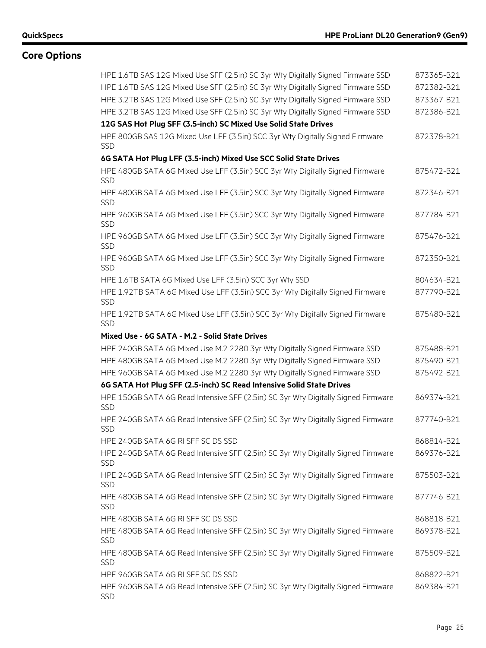| HPE 1.6TB SAS 12G Mixed Use SFF (2.5in) SC 3yr Wty Digitally Signed Firmware SSD                | 873365-B21 |
|-------------------------------------------------------------------------------------------------|------------|
| HPE 1.6TB SAS 12G Mixed Use SFF (2.5in) SC 3yr Wty Digitally Signed Firmware SSD                | 872382-B21 |
| HPE 3.2TB SAS 12G Mixed Use SFF (2.5in) SC 3yr Wty Digitally Signed Firmware SSD                | 873367-B21 |
| HPE 3.2TB SAS 12G Mixed Use SFF (2.5in) SC 3yr Wty Digitally Signed Firmware SSD                | 872386-B21 |
| 12G SAS Hot Plug SFF (3.5-inch) SC Mixed Use Solid State Drives                                 |            |
| HPE 800GB SAS 12G Mixed Use LFF (3.5in) SCC 3yr Wty Digitally Signed Firmware<br><b>SSD</b>     | 872378-B21 |
| 6G SATA Hot Plug LFF (3.5-inch) Mixed Use SCC Solid State Drives                                |            |
| HPE 480GB SATA 6G Mixed Use LFF (3.5in) SCC 3yr Wty Digitally Signed Firmware<br>SSD            | 875472-B21 |
| HPE 480GB SATA 6G Mixed Use LFF (3.5in) SCC 3yr Wty Digitally Signed Firmware<br><b>SSD</b>     | 872346-B21 |
| HPE 960GB SATA 6G Mixed Use LFF (3.5in) SCC 3yr Wty Digitally Signed Firmware<br>SSD            | 877784-B21 |
| HPE 960GB SATA 6G Mixed Use LFF (3.5in) SCC 3yr Wty Digitally Signed Firmware<br><b>SSD</b>     | 875476-B21 |
| HPE 960GB SATA 6G Mixed Use LFF (3.5in) SCC 3yr Wty Digitally Signed Firmware<br><b>SSD</b>     | 872350-B21 |
| HPE 1.6TB SATA 6G Mixed Use LFF (3.5in) SCC 3yr Wty SSD                                         | 804634-B21 |
| HPE 1.92TB SATA 6G Mixed Use LFF (3.5in) SCC 3yr Wty Digitally Signed Firmware<br><b>SSD</b>    | 877790-B21 |
| HPE 1.92TB SATA 6G Mixed Use LFF (3.5in) SCC 3yr Wty Digitally Signed Firmware<br><b>SSD</b>    | 875480-B21 |
| Mixed Use - 6G SATA - M.2 - Solid State Drives                                                  |            |
| HPE 240GB SATA 6G Mixed Use M.2 2280 3yr Wty Digitally Signed Firmware SSD                      | 875488-B21 |
| HPE 480GB SATA 6G Mixed Use M.2 2280 3yr Wty Digitally Signed Firmware SSD                      | 875490-B21 |
| HPE 960GB SATA 6G Mixed Use M.2 2280 3yr Wty Digitally Signed Firmware SSD                      | 875492-B21 |
| 6G SATA Hot Plug SFF (2.5-inch) SC Read Intensive Solid State Drives                            |            |
| HPE 150GB SATA 6G Read Intensive SFF (2.5in) SC 3yr Wty Digitally Signed Firmware<br><b>SSD</b> | 869374-B21 |
| HPE 240GB SATA 6G Read Intensive SFF (2.5in) SC 3yr Wty Digitally Signed Firmware<br><b>SSD</b> | 877740-B21 |
| HPE 240GB SATA 6G RI SFF SC DS SSD                                                              | 868814-B21 |
| HPE 240GB SATA 6G Read Intensive SFF (2.5in) SC 3yr Wty Digitally Signed Firmware<br><b>SSD</b> | 869376-B21 |
| HPE 240GB SATA 6G Read Intensive SFF (2.5in) SC 3yr Wty Digitally Signed Firmware<br>SSD        | 875503-B21 |
| HPE 480GB SATA 6G Read Intensive SFF (2.5in) SC 3yr Wty Digitally Signed Firmware<br><b>SSD</b> | 877746-B21 |
| HPE 480GB SATA 6G RI SFF SC DS SSD                                                              | 868818-B21 |
| HPE 480GB SATA 6G Read Intensive SFF (2.5in) SC 3yr Wty Digitally Signed Firmware<br><b>SSD</b> | 869378-B21 |
| HPE 480GB SATA 6G Read Intensive SFF (2.5in) SC 3yr Wty Digitally Signed Firmware<br><b>SSD</b> | 875509-B21 |
| HPE 960GB SATA 6G RI SFF SC DS SSD                                                              | 868822-B21 |
| HPE 960GB SATA 6G Read Intensive SFF (2.5in) SC 3yr Wty Digitally Signed Firmware<br><b>SSD</b> | 869384-B21 |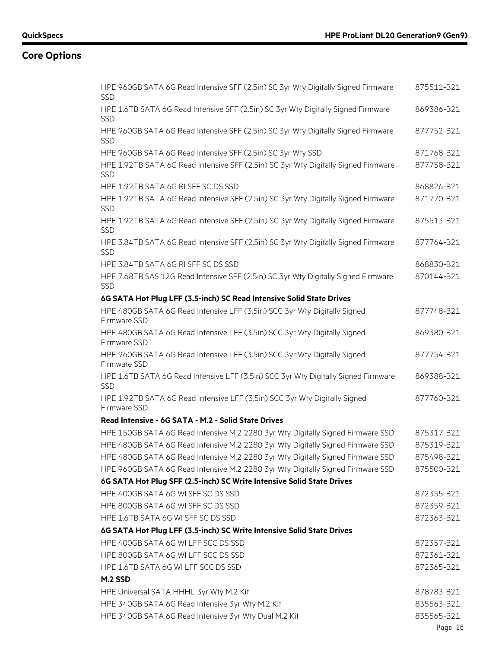| HPE 960GB SATA 6G Read Intensive SFF (2.5in) SC 3yr Wty Digitally Signed Firmware<br><b>SSD</b>  | 875511-B21 |
|--------------------------------------------------------------------------------------------------|------------|
| HPE 1.6TB SATA 6G Read Intensive SFF (2.5in) SC 3yr Wty Digitally Signed Firmware<br><b>SSD</b>  | 869386-B21 |
| HPE 960GB SATA 6G Read Intensive SFF (2.5in) SC 3yr Wty Digitally Signed Firmware<br><b>SSD</b>  | 877752-B21 |
| HPE 960GB SATA 6G Read Intensive SFF (2.5in) SC 3yr Wty SSD                                      | 871768-B21 |
| HPE 1.92TB SATA 6G Read Intensive SFF (2.5in) SC 3yr Wty Digitally Signed Firmware<br><b>SSD</b> | 877758-B21 |
| HPE 1.92TB SATA 6G RI SFF SC DS SSD                                                              | 868826-B21 |
| HPE 1.92TB SATA 6G Read Intensive SFF (2.5in) SC 3yr Wty Digitally Signed Firmware<br>SSD        | 871770-B21 |
| HPE 1.92TB SATA 6G Read Intensive SFF (2.5in) SC 3yr Wty Digitally Signed Firmware<br>SSD        | 875513-B21 |
| HPE 3.84TB SATA 6G Read Intensive SFF (2.5in) SC 3yr Wty Digitally Signed Firmware<br><b>SSD</b> | 877764-B21 |
| HPE 3.84TB SATA 6G RI SFF SC DS SSD                                                              | 868830-B21 |
| HPE 7.68TB SAS 12G Read Intensive SFF (2.5in) SC 3yr Wty Digitally Signed Firmware<br><b>SSD</b> | 870144-B21 |
| 6G SATA Hot Plug LFF (3.5-inch) SC Read Intensive Solid State Drives                             |            |
| HPE 480GB SATA 6G Read Intensive LFF (3.5in) SCC 3yr Wty Digitally Signed<br>Firmware SSD        | 877748-B21 |
| HPE 480GB SATA 6G Read Intensive LFF (3.5in) SCC 3yr Wty Digitally Signed<br>Firmware SSD        | 869380-B21 |
| HPE 960GB SATA 6G Read Intensive LFF (3.5in) SCC 3yr Wty Digitally Signed<br>Firmware SSD        | 877754-B21 |
| HPE 1.6TB SATA 6G Read Intensive LFF (3.5in) SCC 3yr Wty Digitally Signed Firmware<br><b>SSD</b> | 869388-B21 |
| HPE 1.92TB SATA 6G Read Intensive LFF (3.5in) SCC 3yr Wty Digitally Signed<br>Firmware SSD       | 877760-B21 |
| Read Intensive - 6G SATA - M.2 - Solid State Drives                                              |            |
| HPE 150GB SATA 6G Read Intensive M.2 2280 3yr Wty Digitally Signed Firmware SSD                  | 875317-B21 |
| HPE 480GB SATA 6G Read Intensive M.2 2280 3yr Wty Digitally Signed Firmware SSD                  | 875319-B21 |
| HPE 480GB SATA 6G Read Intensive M.2 2280 3yr Wty Digitally Signed Firmware SSD                  | 875498-B21 |
| HPE 960GB SATA 6G Read Intensive M.2 2280 3yr Wty Digitally Signed Firmware SSD                  | 875500-B21 |
| 6G SATA Hot Plug SFF (2.5-inch) SC Write Intensive Solid State Drives                            |            |
| HPE 400GB SATA 6G WI SFF SC DS SSD                                                               | 872355-B21 |
| HPE 800GB SATA 6G WI SFF SC DS SSD                                                               | 872359-B21 |
| HPE 1.6TB SATA 6G WI SFF SC DS SSD                                                               | 872363-B21 |
| 6G SATA Hot Plug LFF (3.5-inch) SC Write Intensive Solid State Drives                            |            |
| HPE 400GB SATA 6G WI LFF SCC DS SSD                                                              | 872357-B21 |
| HPE 800GB SATA 6G WI LFF SCC DS SSD                                                              | 872361-B21 |
| HPE 1.6TB SATA 6G WI LFF SCC DS SSD                                                              | 872365-B21 |
| M.2 SSD                                                                                          |            |
| HPE Universal SATA HHHL 3yr Wty M.2 Kit                                                          | 878783-B21 |
| HPE 340GB SATA 6G Read Intensive 3yr Wty M.2 Kit                                                 | 835563-B21 |
| HPE 340GB SATA 6G Read Intensive 3yr Wty Dual M.2 Kit                                            | 835565-B21 |
|                                                                                                  | Page 26    |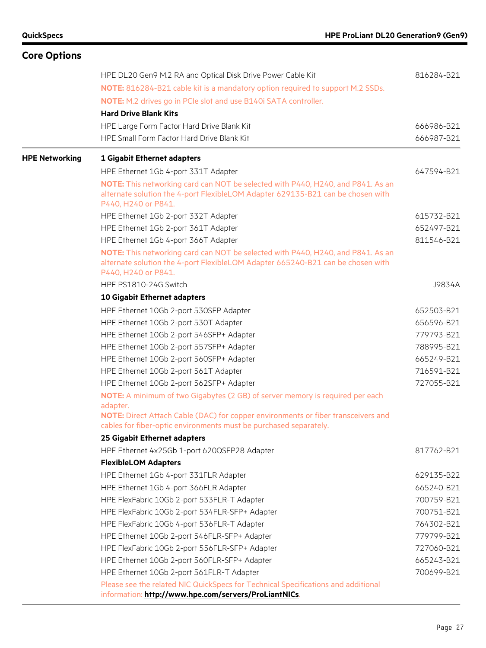| <b>Core Options</b>   |                                                                                                                                                                                           |            |
|-----------------------|-------------------------------------------------------------------------------------------------------------------------------------------------------------------------------------------|------------|
|                       | HPE DL20 Gen9 M.2 RA and Optical Disk Drive Power Cable Kit                                                                                                                               | 816284-B21 |
|                       | NOTE: 816284-B21 cable kit is a mandatory option required to support M.2 SSDs.                                                                                                            |            |
|                       | NOTE: M.2 drives go in PCIe slot and use B140i SATA controller.                                                                                                                           |            |
|                       | <b>Hard Drive Blank Kits</b>                                                                                                                                                              |            |
|                       | HPE Large Form Factor Hard Drive Blank Kit                                                                                                                                                | 666986-B21 |
|                       | HPE Small Form Factor Hard Drive Blank Kit                                                                                                                                                | 666987-B21 |
| <b>HPE Networking</b> | <b>1 Gigabit Ethernet adapters</b>                                                                                                                                                        |            |
|                       | HPE Ethernet 1Gb 4-port 331T Adapter                                                                                                                                                      | 647594-B21 |
|                       | NOTE: This networking card can NOT be selected with P440, H240, and P841. As an                                                                                                           |            |
|                       | alternate solution the 4-port FlexibleLOM Adapter 629135-B21 can be chosen with<br>P440, H240 or P841.                                                                                    |            |
|                       | HPE Ethernet 1Gb 2-port 332T Adapter                                                                                                                                                      | 615732-B21 |
|                       | HPE Ethernet 1Gb 2-port 361T Adapter                                                                                                                                                      | 652497-B21 |
|                       | HPE Ethernet 1Gb 4-port 366T Adapter                                                                                                                                                      | 811546-B21 |
|                       | NOTE: This networking card can NOT be selected with P440, H240, and P841. As an<br>alternate solution the 4-port FlexibleLOM Adapter 665240-B21 can be chosen with<br>P440, H240 or P841. |            |
|                       | HPE PS1810-24G Switch                                                                                                                                                                     | J9834A     |
|                       | 10 Gigabit Ethernet adapters                                                                                                                                                              |            |
|                       | HPE Ethernet 10Gb 2-port 530SFP Adapter                                                                                                                                                   | 652503-B21 |
|                       | HPE Ethernet 10Gb 2-port 530T Adapter                                                                                                                                                     | 656596-B21 |
|                       | HPE Ethernet 10Gb 2-port 546SFP+ Adapter                                                                                                                                                  | 779793-B21 |
|                       | HPE Ethernet 10Gb 2-port 557SFP+ Adapter                                                                                                                                                  | 788995-B21 |
|                       | HPE Ethernet 10Gb 2-port 560SFP+ Adapter                                                                                                                                                  | 665249-B21 |
|                       | HPE Ethernet 10Gb 2-port 561T Adapter                                                                                                                                                     | 716591-B21 |
|                       | HPE Ethernet 10Gb 2-port 562SFP+ Adapter                                                                                                                                                  | 727055-B21 |
|                       | <b>NOTE:</b> A minimum of two Gigabytes (2 GB) of server memory is required per each<br>adapter.                                                                                          |            |
|                       | NOTE: Direct Attach Cable (DAC) for copper environments or fiber transceivers and<br>cables for fiber-optic environments must be purchased separately.                                    |            |
|                       | 25 Gigabit Ethernet adapters                                                                                                                                                              |            |
|                       | HPE Ethernet 4x25Gb 1-port 620QSFP28 Adapter                                                                                                                                              | 817762-B21 |
|                       | <b>FlexibleLOM Adapters</b>                                                                                                                                                               |            |
|                       | HPE Ethernet 1Gb 4-port 331FLR Adapter                                                                                                                                                    | 629135-B22 |
|                       | HPE Ethernet 1Gb 4-port 366FLR Adapter                                                                                                                                                    | 665240-B21 |
|                       | HPE FlexFabric 10Gb 2-port 533FLR-T Adapter                                                                                                                                               | 700759-B21 |
|                       | HPE FlexFabric 10Gb 2-port 534FLR-SFP+ Adapter                                                                                                                                            | 700751-B21 |
|                       | HPE FlexFabric 10Gb 4-port 536FLR-T Adapter                                                                                                                                               | 764302-B21 |
|                       | HPE Ethernet 10Gb 2-port 546FLR-SFP+ Adapter                                                                                                                                              | 779799-B21 |
|                       | HPE FlexFabric 10Gb 2-port 556FLR-SFP+ Adapter                                                                                                                                            | 727060-B21 |
|                       | HPE Ethernet 10Gb 2-port 560FLR-SFP+ Adapter                                                                                                                                              | 665243-B21 |
|                       | HPE Ethernet 10Gb 2-port 561FLR-T Adapter                                                                                                                                                 | 700699-B21 |
|                       | Please see the related NIC QuickSpecs for Technical Specifications and additional<br>information: http://www.hpe.com/servers/ProLiantNICs.                                                |            |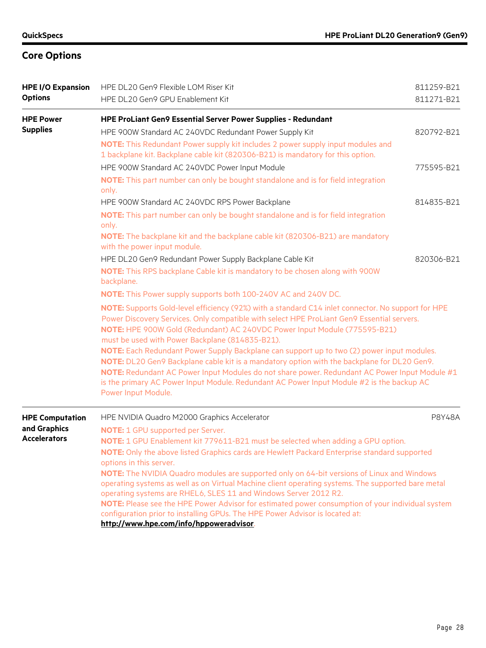| <b>HPE I/O Expansion</b><br><b>Options</b> | HPE DL20 Gen9 Flexible LOM Riser Kit<br>HPE DL20 Gen9 GPU Enablement Kit                                                                                                                                                                                                                                                                                                                                                                                                                                                                                                                                                                                                                                                                                       |               |
|--------------------------------------------|----------------------------------------------------------------------------------------------------------------------------------------------------------------------------------------------------------------------------------------------------------------------------------------------------------------------------------------------------------------------------------------------------------------------------------------------------------------------------------------------------------------------------------------------------------------------------------------------------------------------------------------------------------------------------------------------------------------------------------------------------------------|---------------|
| <b>HPE Power</b>                           | HPE ProLiant Gen9 Essential Server Power Supplies - Redundant                                                                                                                                                                                                                                                                                                                                                                                                                                                                                                                                                                                                                                                                                                  |               |
| <b>Supplies</b>                            | HPE 900W Standard AC 240VDC Redundant Power Supply Kit<br>NOTE: This Redundant Power supply kit includes 2 power supply input modules and<br>1 backplane kit. Backplane cable kit (820306-B21) is mandatory for this option.                                                                                                                                                                                                                                                                                                                                                                                                                                                                                                                                   | 820792-B21    |
|                                            | HPE 900W Standard AC 240VDC Power Input Module<br>NOTE: This part number can only be bought standalone and is for field integration<br>only.                                                                                                                                                                                                                                                                                                                                                                                                                                                                                                                                                                                                                   | 775595-B21    |
|                                            | HPE 900W Standard AC 240VDC RPS Power Backplane                                                                                                                                                                                                                                                                                                                                                                                                                                                                                                                                                                                                                                                                                                                | 814835-B21    |
|                                            | NOTE: This part number can only be bought standalone and is for field integration<br>only.<br>NOTE: The backplane kit and the backplane cable kit (820306-B21) are mandatory<br>with the power input module.                                                                                                                                                                                                                                                                                                                                                                                                                                                                                                                                                   |               |
|                                            | HPE DL20 Gen9 Redundant Power Supply Backplane Cable Kit                                                                                                                                                                                                                                                                                                                                                                                                                                                                                                                                                                                                                                                                                                       | 820306-B21    |
|                                            | NOTE: This RPS backplane Cable kit is mandatory to be chosen along with 900W<br>backplane.                                                                                                                                                                                                                                                                                                                                                                                                                                                                                                                                                                                                                                                                     |               |
|                                            | <b>NOTE:</b> This Power supply supports both 100-240V AC and 240V DC.                                                                                                                                                                                                                                                                                                                                                                                                                                                                                                                                                                                                                                                                                          |               |
|                                            | NOTE: Supports Gold-level efficiency (92%) with a standard C14 inlet connector. No support for HPE<br>Power Discovery Services. Only compatible with select HPE ProLiant Gen9 Essential servers.<br>NOTE: HPE 900W Gold (Redundant) AC 240VDC Power Input Module (775595-B21)<br>must be used with Power Backplane (814835-B21).<br>NOTE: Each Redundant Power Supply Backplane can support up to two (2) power input modules.<br>NOTE: DL20 Gen9 Backplane cable kit is a mandatory option with the backplane for DL20 Gen9.<br>NOTE: Redundant AC Power Input Modules do not share power. Redundant AC Power Input Module #1<br>is the primary AC Power Input Module. Redundant AC Power Input Module #2 is the backup AC<br>Power Input Module.             |               |
| <b>HPE Computation</b>                     | HPE NVIDIA Quadro M2000 Graphics Accelerator                                                                                                                                                                                                                                                                                                                                                                                                                                                                                                                                                                                                                                                                                                                   | <b>P8Y48A</b> |
| and Graphics<br><b>Accelerators</b>        | <b>NOTE:</b> 1 GPU supported per Server.<br>NOTE: 1 GPU Enablement kit 779611-B21 must be selected when adding a GPU option.<br>NOTE: Only the above listed Graphics cards are Hewlett Packard Enterprise standard supported<br>options in this server.<br>NOTE: The NVIDIA Quadro modules are supported only on 64-bit versions of Linux and Windows<br>operating systems as well as on Virtual Machine client operating systems. The supported bare metal<br>operating systems are RHEL6, SLES 11 and Windows Server 2012 R2.<br>NOTE: Please see the HPE Power Advisor for estimated power consumption of your individual system<br>configuration prior to installing GPUs. The HPE Power Advisor is located at:<br>http://www.hpe.com/info/hppoweradvisor. |               |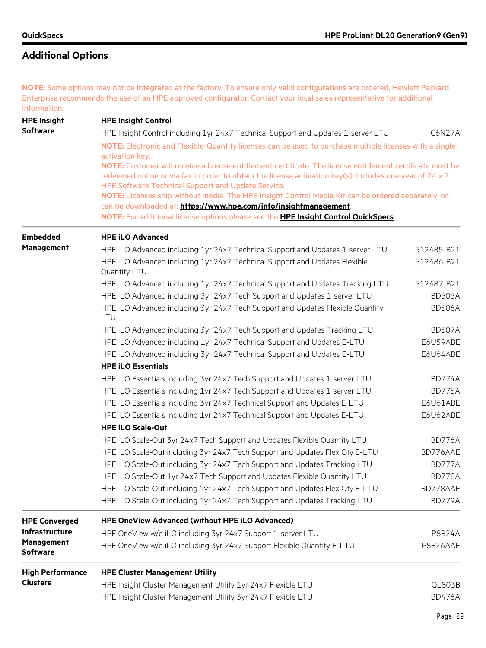# **Additional Options**

**NOTE:** Some options may not be integrated at the factory. To ensure only valid configurations are ordered, Hewlett Packard Enterprise recommends the use of an HPE approved configurator. Contact your local sales representative for additional information.

| <b>HPE Insight</b>                   | <b>HPE Insight Control</b>                                                                                                                                                                                                                                                                                                                                                                                 |               |  |
|--------------------------------------|------------------------------------------------------------------------------------------------------------------------------------------------------------------------------------------------------------------------------------------------------------------------------------------------------------------------------------------------------------------------------------------------------------|---------------|--|
| <b>Software</b>                      | HPE Insight Control including 1yr 24x7 Technical Support and Updates 1-server LTU                                                                                                                                                                                                                                                                                                                          | C6N27A        |  |
|                                      | NOTE: Electronic and Flexible-Quantity licenses can be used to purchase multiple licenses with a single<br>activation key.<br>NOTE: Customer will receive a license entitlement certificate. The license entitlement certificate must be<br>redeemed online or via fax in order to obtain the license activation key(s). Includes one year of 24 x 7<br>HPE Software Technical Support and Update Service. |               |  |
|                                      |                                                                                                                                                                                                                                                                                                                                                                                                            |               |  |
|                                      | NOTE: Licenses ship without media. The HPE Insight Control Media Kit can be ordered separately, or<br>can be downloaded at: https://www.hpe.com/info/insightmanagement.                                                                                                                                                                                                                                    |               |  |
|                                      | NOTE: For additional license options please see the HPE Insight Control QuickSpecs.                                                                                                                                                                                                                                                                                                                        |               |  |
| <b>Embedded</b>                      | <b>HPE iLO Advanced</b>                                                                                                                                                                                                                                                                                                                                                                                    |               |  |
| <b>Management</b>                    | HPE iLO Advanced including 1yr 24x7 Technical Support and Updates 1-server LTU                                                                                                                                                                                                                                                                                                                             | 512485-B21    |  |
|                                      | HPE iLO Advanced including 1yr 24x7 Technical Support and Updates Flexible<br>Quantity LTU                                                                                                                                                                                                                                                                                                                 | 512486-B21    |  |
|                                      | HPE iLO Advanced including 1yr 24x7 Technical Support and Updates Tracking LTU                                                                                                                                                                                                                                                                                                                             | 512487-B21    |  |
|                                      | HPE iLO Advanced including 3yr 24x7 Tech Support and Updates 1-server LTU                                                                                                                                                                                                                                                                                                                                  | <b>BD505A</b> |  |
|                                      | HPE iLO Advanced including 3yr 24x7 Tech Support and Updates Flexible Quantity<br>LTU                                                                                                                                                                                                                                                                                                                      | <b>BD506A</b> |  |
|                                      | HPE iLO Advanced including 3yr 24x7 Tech Support and Updates Tracking LTU                                                                                                                                                                                                                                                                                                                                  | <b>BD507A</b> |  |
|                                      | HPE iLO Advanced including 1yr 24x7 Technical Support and Updates E-LTU                                                                                                                                                                                                                                                                                                                                    | E6U59ABE      |  |
|                                      | HPE iLO Advanced including 3yr 24x7 Technical Support and Updates E-LTU                                                                                                                                                                                                                                                                                                                                    | E6U64ABE      |  |
|                                      | <b>HPE iLO Essentials</b>                                                                                                                                                                                                                                                                                                                                                                                  |               |  |
|                                      | HPE iLO Essentials including 3yr 24x7 Tech Support and Updates 1-server LTU                                                                                                                                                                                                                                                                                                                                | <b>BD774A</b> |  |
|                                      | HPE iLO Essentials including 1yr 24x7 Tech Support and Updates 1-server LTU                                                                                                                                                                                                                                                                                                                                | BD775A        |  |
|                                      | HPE iLO Essentials including 3yr 24x7 Technical Support and Updates E-LTU                                                                                                                                                                                                                                                                                                                                  | E6U61ABE      |  |
|                                      | HPE iLO Essentials including 1yr 24x7 Technical Support and Updates E-LTU                                                                                                                                                                                                                                                                                                                                  | E6U62ABE      |  |
|                                      | <b>HPE iLO Scale-Out</b>                                                                                                                                                                                                                                                                                                                                                                                   |               |  |
|                                      | HPE iLO Scale-Out 3yr 24x7 Tech Support and Updates Flexible Quantity LTU                                                                                                                                                                                                                                                                                                                                  | BD776A        |  |
|                                      | HPE iLO Scale-Out including 3yr 24x7 Tech Support and Updates Flex Qty E-LTU                                                                                                                                                                                                                                                                                                                               | BD776AAE      |  |
|                                      | HPE iLO Scale-Out including 3yr 24x7 Tech Support and Updates Tracking LTU                                                                                                                                                                                                                                                                                                                                 | BD777A        |  |
|                                      | HPE iLO Scale-Out 1yr 24x7 Tech Support and Updates Flexible Quantity LTU                                                                                                                                                                                                                                                                                                                                  | <b>BD778A</b> |  |
|                                      | HPE iLO Scale-Out including 1yr 24x7 Tech Support and Updates Flex Qty E-LTU                                                                                                                                                                                                                                                                                                                               | BD778AAE      |  |
|                                      | HPE iLO Scale-Out including 1yr 24x7 Tech Support and Updates Tracking LTU                                                                                                                                                                                                                                                                                                                                 | BD779A        |  |
| <b>HPE Converged</b>                 | HPE OneView Advanced (without HPE iLO Advanced)                                                                                                                                                                                                                                                                                                                                                            |               |  |
| <b>Infrastructure</b>                | HPE OneView w/o iLO including 3yr 24x7 Support 1-server LTU                                                                                                                                                                                                                                                                                                                                                | <b>P8B24A</b> |  |
| <b>Management</b><br><b>Software</b> | HPE OneView w/o iLO including 3yr 24x7 Support Flexible Quantity E-LTU                                                                                                                                                                                                                                                                                                                                     | P8B26AAE      |  |
| <b>High Performance</b>              | <b>HPE Cluster Management Utility</b>                                                                                                                                                                                                                                                                                                                                                                      |               |  |
| <b>Clusters</b>                      | HPE Insight Cluster Management Utility 1yr 24x7 Flexible LTU                                                                                                                                                                                                                                                                                                                                               | QL803B        |  |
|                                      | HPE Insight Cluster Management Utility 3yr 24x7 Flexible LTU                                                                                                                                                                                                                                                                                                                                               | <b>BD476A</b> |  |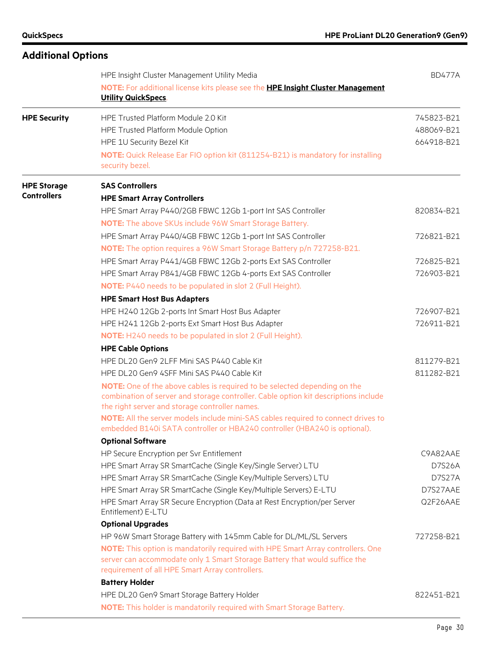| <b>Additional Options</b> |                                                                                                                                                                                                                                                                                        |                                        |
|---------------------------|----------------------------------------------------------------------------------------------------------------------------------------------------------------------------------------------------------------------------------------------------------------------------------------|----------------------------------------|
|                           | HPE Insight Cluster Management Utility Media<br>NOTE: For additional license kits please see the HPE Insight Cluster Management                                                                                                                                                        | <b>BD477A</b>                          |
|                           | <b>Utility QuickSpecs.</b>                                                                                                                                                                                                                                                             |                                        |
| <b>HPE Security</b>       | HPE Trusted Platform Module 2.0 Kit<br>HPE Trusted Platform Module Option<br>HPE 1U Security Bezel Kit                                                                                                                                                                                 | 745823-B21<br>488069-B21<br>664918-B21 |
|                           | NOTE: Quick Release Ear FIO option kit (811254-B21) is mandatory for installing<br>security bezel.                                                                                                                                                                                     |                                        |
| <b>HPE Storage</b>        | <b>SAS Controllers</b>                                                                                                                                                                                                                                                                 |                                        |
| <b>Controllers</b>        | <b>HPE Smart Array Controllers</b>                                                                                                                                                                                                                                                     |                                        |
|                           | HPE Smart Array P440/2GB FBWC 12Gb 1-port Int SAS Controller                                                                                                                                                                                                                           | 820834-B21                             |
|                           | <b>NOTE:</b> The above SKUs include 96W Smart Storage Battery.                                                                                                                                                                                                                         |                                        |
|                           | HPE Smart Array P440/4GB FBWC 12Gb 1-port Int SAS Controller                                                                                                                                                                                                                           | 726821-B21                             |
|                           | NOTE: The option requires a 96W Smart Storage Battery p/n 727258-B21.                                                                                                                                                                                                                  |                                        |
|                           | HPE Smart Array P441/4GB FBWC 12Gb 2-ports Ext SAS Controller                                                                                                                                                                                                                          | 726825-B21                             |
|                           | HPE Smart Array P841/4GB FBWC 12Gb 4-ports Ext SAS Controller                                                                                                                                                                                                                          | 726903-B21                             |
|                           | <b>NOTE:</b> P440 needs to be populated in slot 2 (Full Height).                                                                                                                                                                                                                       |                                        |
|                           | <b>HPE Smart Host Bus Adapters</b>                                                                                                                                                                                                                                                     |                                        |
|                           | HPE H240 12Gb 2-ports Int Smart Host Bus Adapter                                                                                                                                                                                                                                       | 726907-B21                             |
|                           | HPE H241 12Gb 2-ports Ext Smart Host Bus Adapter                                                                                                                                                                                                                                       | 726911-B21                             |
|                           | NOTE: H240 needs to be populated in slot 2 (Full Height).                                                                                                                                                                                                                              |                                        |
|                           | <b>HPE Cable Options</b>                                                                                                                                                                                                                                                               |                                        |
|                           | HPE DL20 Gen9 2LFF Mini SAS P440 Cable Kit                                                                                                                                                                                                                                             | 811279-B21                             |
|                           | HPE DL20 Gen9 4SFF Mini SAS P440 Cable Kit                                                                                                                                                                                                                                             | 811282-B21                             |
|                           | NOTE: One of the above cables is required to be selected depending on the<br>combination of server and storage controller. Cable option kit descriptions include<br>the right server and storage controller names.                                                                     |                                        |
|                           | NOTE: All the server models include mini-SAS cables required to connect drives to<br>embedded B140i SATA controller or HBA240 controller (HBA240 is optional).                                                                                                                         |                                        |
|                           | <b>Optional Software</b>                                                                                                                                                                                                                                                               |                                        |
|                           | HP Secure Encryption per Svr Entitlement                                                                                                                                                                                                                                               | C9A82AAE                               |
|                           | HPE Smart Array SR SmartCache (Single Key/Single Server) LTU                                                                                                                                                                                                                           | D7S26A                                 |
|                           | HPE Smart Array SR SmartCache (Single Key/Multiple Servers) LTU                                                                                                                                                                                                                        | <b>D7S27A</b>                          |
|                           | HPE Smart Array SR SmartCache (Single Key/Multiple Servers) E-LTU                                                                                                                                                                                                                      | D7S27AAE                               |
|                           | HPE Smart Array SR Secure Encryption (Data at Rest Encryption/per Server<br>Entitlement) E-LTU                                                                                                                                                                                         | Q2F26AAE                               |
|                           | <b>Optional Upgrades</b>                                                                                                                                                                                                                                                               |                                        |
|                           | HP 96W Smart Storage Battery with 145mm Cable for DL/ML/SL Servers<br>NOTE: This option is mandatorily required with HPE Smart Array controllers. One<br>server can accommodate only 1 Smart Storage Battery that would suffice the<br>requirement of all HPE Smart Array controllers. | 727258-B21                             |
|                           | <b>Battery Holder</b>                                                                                                                                                                                                                                                                  |                                        |
|                           | HPE DL20 Gen9 Smart Storage Battery Holder                                                                                                                                                                                                                                             | 822451-B21                             |
|                           | <b>NOTE:</b> This holder is mandatorily required with Smart Storage Battery.                                                                                                                                                                                                           |                                        |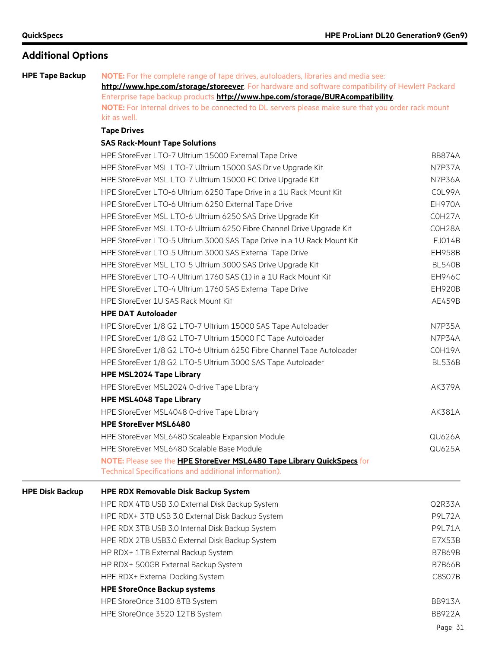### **Additional Options**

**HPE Tape Backup NOTE:** For the complete range of tape drives, autoloaders, libraries and media see: **<http://www.hpe.com/storage/storeever>**. For hardware and software compatibility of Hewlett Packard Enterprise tape backup products **<http://www.hpe.com/storage/BURAcompatibility>**. **NOTE:** For Internal drives to be connected to DL servers please make sure that you order rack mount kit as well.

#### **Tape Drives**

#### **SAS Rack-Mount Tape Solutions**

|                        | HPE StoreEver LTO-7 Ultrium 15000 External Tape Drive                  | <b>BB874A</b> |
|------------------------|------------------------------------------------------------------------|---------------|
|                        | HPE StoreEver MSL LTO-7 Ultrium 15000 SAS Drive Upgrade Kit            | N7P37A        |
|                        | HPE StoreEver MSL LTO-7 Ultrium 15000 FC Drive Upgrade Kit             | <b>N7P36A</b> |
|                        | HPE StoreEver LTO-6 Ultrium 6250 Tape Drive in a 1U Rack Mount Kit     | COL99A        |
|                        | HPE StoreEver LTO-6 Ultrium 6250 External Tape Drive                   | <b>EH970A</b> |
|                        | HPE StoreEver MSL LTO-6 Ultrium 6250 SAS Drive Upgrade Kit             | COH27A        |
|                        | HPE StoreEver MSL LTO-6 Ultrium 6250 Fibre Channel Drive Upgrade Kit   | COH28A        |
|                        | HPE StoreEver LTO-5 Ultrium 3000 SAS Tape Drive in a 1U Rack Mount Kit | EJ014B        |
|                        | HPE StoreEver LTO-5 Ultrium 3000 SAS External Tape Drive               | <b>EH958B</b> |
|                        | HPE StoreEver MSL LTO-5 Ultrium 3000 SAS Drive Upgrade Kit             | <b>BL540B</b> |
|                        | HPE StoreEver LTO-4 Ultrium 1760 SAS (1) in a 1U Rack Mount Kit        | <b>EH946C</b> |
|                        | HPE StoreEver LTO-4 Ultrium 1760 SAS External Tape Drive               | <b>EH920B</b> |
|                        | HPE StoreEver 1U SAS Rack Mount Kit                                    | AE459B        |
|                        | <b>HPE DAT Autoloader</b>                                              |               |
|                        | HPE StoreEver 1/8 G2 LTO-7 Ultrium 15000 SAS Tape Autoloader           | N7P35A        |
|                        | HPE StoreEver 1/8 G2 LTO-7 Ultrium 15000 FC Tape Autoloader            | <b>N7P34A</b> |
|                        | HPE StoreEver 1/8 G2 LTO-6 Ultrium 6250 Fibre Channel Tape Autoloader  | COH19A        |
|                        | HPE StoreEver 1/8 G2 LTO-5 Ultrium 3000 SAS Tape Autoloader            | <b>BL536B</b> |
|                        | <b>HPE MSL2024 Tape Library</b>                                        |               |
|                        | HPE StoreEver MSL2024 0-drive Tape Library                             | <b>AK379A</b> |
|                        | <b>HPE MSL4048 Tape Library</b>                                        |               |
|                        | HPE StoreEver MSL4048 0-drive Tape Library                             | AK381A        |
|                        | <b>HPE StoreEver MSL6480</b>                                           |               |
|                        | HPE StoreEver MSL6480 Scaleable Expansion Module                       | QU626A        |
|                        | HPE StoreEver MSL6480 Scalable Base Module                             | <b>QU625A</b> |
|                        | NOTE: Please see the HPE StoreEver MSL6480 Tape Library QuickSpecs for |               |
|                        | Technical Specifications and additional information).                  |               |
| <b>HPE Disk Backup</b> | <b>HPE RDX Removable Disk Backup System</b>                            |               |
|                        | HPE RDX 4TB USB 3.0 External Disk Backup System                        | Q2R33A        |
|                        | HPE RDX+ 3TB USB 3.0 External Disk Backup System                       | <b>P9L72A</b> |
|                        | HPE RDX 3TB USB 3.0 Internal Disk Backup System                        | <b>P9L71A</b> |
|                        | HPE RDX 2TB USB3.0 External Disk Backup System                         | E7X53B        |
|                        | HP RDX+ 1TB External Backup System                                     | <b>B7B69B</b> |
|                        | HP RDX+ 500GB External Backup System                                   | <b>B7B66B</b> |
|                        | HPE RDX+ External Docking System                                       | C8S07B        |
|                        | <b>HPE StoreOnce Backup systems</b>                                    |               |
|                        | HPE StoreOnce 3100 8TB System                                          | <b>BB913A</b> |
|                        | HPE StoreOnce 3520 12TB System                                         | <b>BB922A</b> |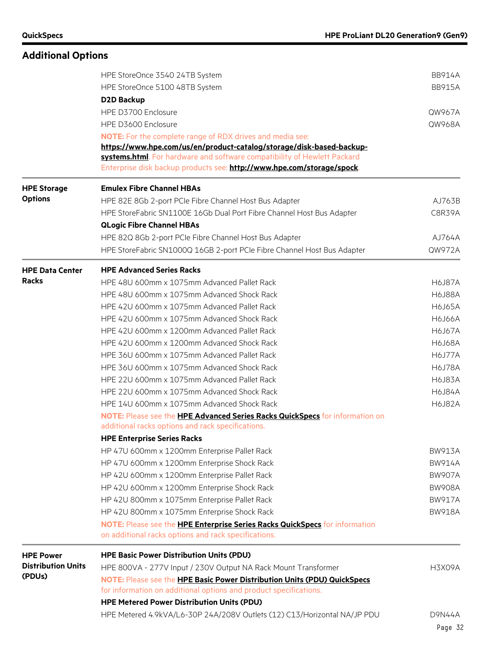#### **Additional Options** HPE StoreOnce 3540 24TB System BB914A HPE StoreOnce 5100 48TB System BB915A **D2D Backup** HPE D3700 Enclosure QW967A HPE D3600 Enclosure QW968A **NOTE:** For the complete range of RDX drives and media see: **[https://www.hpe.com/us/en/product-catalog/storage/disk-based-backup](https://www.hpe.com/us/en/product-catalog/storage/disk-based-backup-systems.html)[systems.html](https://www.hpe.com/us/en/product-catalog/storage/disk-based-backup-systems.html)**. For hardware and software compatibility of Hewlett Packard Enterprise disk backup products see: **<http://www.hpe.com/storage/spock>**. **HPE Storage Options Emulex Fibre Channel HBAs** HPE 82E 8Gb 2-port PCIe Fibre Channel Host Bus Adapter AJ763B HPE StoreFabric SN1100E 16Gb Dual Port Fibre Channel Host Bus Adapter C8R39A **QLogic Fibre Channel HBAs** HPE 82Q 8Gb 2-port PCIe Fibre Channel Host Bus Adapter And Automatic AJ764A HPE StoreFabric SN1000Q 16GB 2-port PCIe Fibre Channel Host Bus Adapter QW972A **HPE Data Center Racks HPE Advanced Series Racks** HPE 48U 600mm x 1075mm Advanced Pallet Rack H6J87A HPE 48U 600mm x 1075mm Advanced Shock Rack H6J88A HPE 42U 600mm x 1075mm Advanced Pallet Rack H6J65A HPE 42U 600mm x 1075mm Advanced Shock Rack H6J66A HPE 42U 600mm x 1200mm Advanced Pallet Rack H6J67A HPE 42U 600mm x 1200mm Advanced Shock Rack H6J68A HPE 36U 600mm x 1075mm Advanced Pallet Rack H6J77A HPE 36U 600mm x 1075mm Advanced Shock Rack H6J78A HPE 22U 600mm x 1075mm Advanced Pallet Rack H6J83A HPE 22U 600mm x 1075mm Advanced Shock Rack H6J84A HPE 14U 600mm x 1075mm Advanced Shock Rack H6J82A **NOTE:** Please see the **[HPE Advanced Series Racks QuickSpecs](https://www.hpe.com/h20195/v2/GetHTML.aspx?docname=c04128136)** for information on additional racks options and rack specifications. **HPE Enterprise Series Racks** HP 47U 600mm x 1200mm Enterprise Pallet Rack BW913A HP 47U 600mm x 1200mm Enterprise Shock Rack BW914A HP 42U 600mm x 1200mm Enterprise Pallet Rack BW907A HP 42U 600mm x 1200mm Enterprise Shock Rack BW908A HP 42U 800mm x 1075mm Enterprise Pallet Rack BW917A HP 42U 800mm x 1075mm Enterprise Shock Rack BW918A **NOTE:** Please see the **[HPE Enterprise Series Racks](https://www.hpe.com/h20195/v2/GetHTML.aspx?docname=c04128240) QuickSpecs** for information on additional racks options and rack specifications. **HPE Power Distribution Units (PDUs) HPE Basic Power Distribution Units (PDU)** HPE 800VA - 277V Input / 230V Output NA Rack Mount Transformer H5X09A **NOTE:** Please see the **[HPE Basic Power Distribution Units \(PDU\) QuickSpecs](https://www.hpe.com/h20195/v2/GetHTML.aspx?docname=c04111250)** for information on additional options and product specifications. **HPE Metered Power Distribution Units (PDU)** HPE Metered 4.9kVA/L6-30P 24A/208V Outlets (12) C13/Horizontal NA/JP PDU D9N44A

Page 32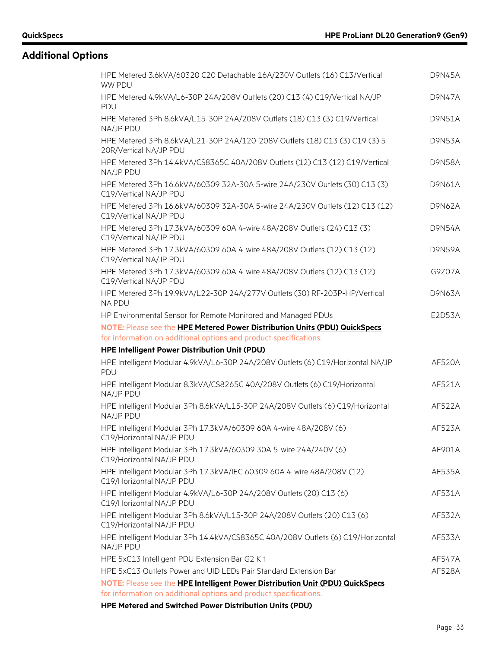| HPE Metered 3.6kVA/60320 C20 Detachable 16A/230V Outlets (16) C13/Vertical<br>WW PDU                                         | <b>D9N45A</b> |
|------------------------------------------------------------------------------------------------------------------------------|---------------|
| HPE Metered 4.9kVA/L6-30P 24A/208V Outlets (20) C13 (4) C19/Vertical NA/JP<br><b>PDU</b>                                     | <b>D9N47A</b> |
| HPE Metered 3Ph 8.6kVA/L15-30P 24A/208V Outlets (18) C13 (3) C19/Vertical<br>NA/JP PDU                                       | <b>D9N51A</b> |
| HPE Metered 3Ph 8.6kVA/L21-30P 24A/120-208V Outlets (18) C13 (3) C19 (3) 5-<br>20R/Vertical NA/JP PDU                        | <b>D9N53A</b> |
| HPE Metered 3Ph 14.4kVA/CS8365C 40A/208V Outlets (12) C13 (12) C19/Vertical<br>NA/JP PDU                                     | <b>D9N58A</b> |
| HPE Metered 3Ph 16.6kVA/60309 32A-30A 5-wire 24A/230V Outlets (30) C13 (3)<br>C19/Vertical NA/JP PDU                         | D9N61A        |
| HPE Metered 3Ph 16.6kVA/60309 32A-30A 5-wire 24A/230V Outlets (12) C13 (12)<br>C19/Vertical NA/JP PDU                        | D9N62A        |
| HPE Metered 3Ph 17.3kVA/60309 60A 4-wire 48A/208V Outlets (24) C13 (3)<br>C19/Vertical NA/JP PDU                             | <b>D9N54A</b> |
| HPE Metered 3Ph 17.3kVA/60309 60A 4-wire 48A/208V Outlets (12) C13 (12)<br>C19/Vertical NA/JP PDU                            | <b>D9N59A</b> |
| HPE Metered 3Ph 17.3kVA/60309 60A 4-wire 48A/208V Outlets (12) C13 (12)<br>C19/Vertical NA/JP PDU                            | G9Z07A        |
| HPE Metered 3Ph 19.9kVA/L22-30P 24A/277V Outlets (30) RF-203P-HP/Vertical<br><b>NA PDU</b>                                   | D9N63A        |
| HP Environmental Sensor for Remote Monitored and Managed PDUs                                                                | E2D53A        |
| NOTE: Please see the HPE Metered Power Distribution Units (PDU) QuickSpecs                                                   |               |
| for information on additional options and product specifications.                                                            |               |
| HPE Intelligent Power Distribution Unit (PDU)                                                                                |               |
|                                                                                                                              |               |
| HPE Intelligent Modular 4.9kVA/L6-30P 24A/208V Outlets (6) C19/Horizontal NA/JP<br>PDU                                       | <b>AF520A</b> |
| HPE Intelligent Modular 8.3kVA/CS8265C 40A/208V Outlets (6) C19/Horizontal<br>NA/JP PDU                                      | AF521A        |
| HPE Intelligent Modular 3Ph 8.6kVA/L15-30P 24A/208V Outlets (6) C19/Horizontal<br>NA/JP PDU                                  | AF522A        |
| HPE Intelligent Modular 3Ph 17.3kVA/60309 60A 4-wire 48A/208V (6)<br>C19/Horizontal NA/JP PDU                                | AF523A        |
| HPE Intelligent Modular 3Ph 17.3kVA/60309 30A 5-wire 24A/240V (6)<br>C19/Horizontal NA/JP PDU                                | AF901A        |
| HPE Intelligent Modular 3Ph 17.3kVA/IEC 60309 60A 4-wire 48A/208V (12)<br>C19/Horizontal NA/JP PDU                           | AF535A        |
| HPE Intelligent Modular 4.9kVA/L6-30P 24A/208V Outlets (20) C13 (6)<br>C19/Horizontal NA/JP PDU                              | AF531A        |
| HPE Intelligent Modular 3Ph 8.6kVA/L15-30P 24A/208V Outlets (20) C13 (6)<br>C19/Horizontal NA/JP PDU                         | AF532A        |
| HPE Intelligent Modular 3Ph 14.4kVA/CS8365C 40A/208V Outlets (6) C19/Horizontal<br>NA/JP PDU                                 | AF533A        |
| HPE 5xC13 Intelligent PDU Extension Bar G2 Kit                                                                               | AF547A        |
| HPE 5xC13 Outlets Power and UID LEDs Pair Standard Extension Bar                                                             | AF528A        |
| NOTE: Please see the HPE Intelligent Power Distribution Unit (PDU) QuickSpecs                                                |               |
| for information on additional options and product specifications.<br>HPE Metered and Switched Power Distribution Units (PDU) |               |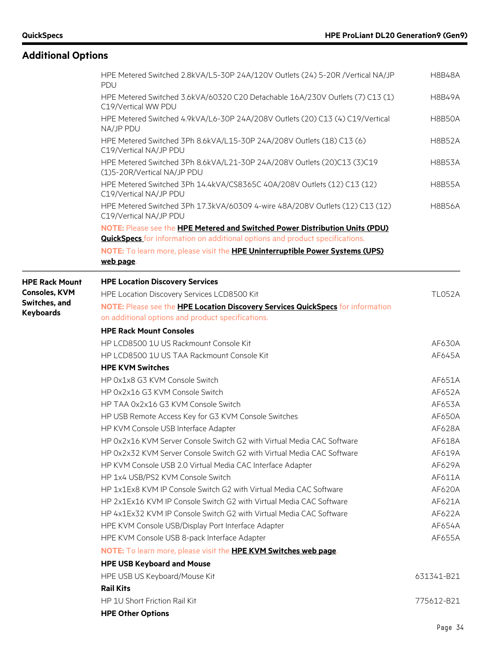|                                       | HPE Metered Switched 2.8kVA/L5-30P 24A/120V Outlets (24) 5-20R /Vertical NA/JP<br><b>PDU</b>            | <b>H8B48A</b>    |
|---------------------------------------|---------------------------------------------------------------------------------------------------------|------------------|
|                                       | HPE Metered Switched 3.6kVA/60320 C20 Detachable 16A/230V Outlets (7) C13 (1)<br>C19/Vertical WW PDU    | <b>H8B49A</b>    |
|                                       | HPE Metered Switched 4.9kVA/L6-30P 24A/208V Outlets (20) C13 (4) C19/Vertical<br>NA/JP PDU              | <b>H8B50A</b>    |
|                                       | HPE Metered Switched 3Ph 8.6kVA/L15-30P 24A/208V Outlets (18) C13 (6)<br>C19/Vertical NA/JP PDU         | <b>H8B52A</b>    |
|                                       | HPE Metered Switched 3Ph 8.6kVA/L21-30P 24A/208V Outlets (20)C13 (3)C19<br>(1)5-20R/Vertical NA/JP PDU  | <b>H8B53A</b>    |
|                                       | HPE Metered Switched 3Ph 14.4kVA/CS8365C 40A/208V Outlets (12) C13 (12)<br>C19/Vertical NA/JP PDU       | <b>H8B55A</b>    |
|                                       | HPE Metered Switched 3Ph 17.3kVA/60309 4-wire 48A/208V Outlets (12) C13 (12)<br>C19/Vertical NA/JP PDU  | <b>H8B56A</b>    |
|                                       | NOTE: Please see the HPE Metered and Switched Power Distribution Units (PDU)                            |                  |
|                                       | <b>QuickSpecs</b> for information on additional options and product specifications.                     |                  |
|                                       | NOTE: To learn more, please visit the HPE Uninterruptible Power Systems (UPS)<br>web page.              |                  |
| <b>HPE Rack Mount</b>                 | <b>HPE Location Discovery Services</b>                                                                  |                  |
| <b>Consoles, KVM</b><br>Switches, and | HPE Location Discovery Services LCD8500 Kit                                                             | <b>TL052A</b>    |
| <b>Keyboards</b>                      | NOTE: Please see the HPE Location Discovery Services QuickSpecs for information                         |                  |
|                                       | on additional options and product specifications.                                                       |                  |
|                                       | <b>HPE Rack Mount Consoles</b>                                                                          |                  |
|                                       | HP LCD8500 1U US Rackmount Console Kit                                                                  | AF630A           |
|                                       | HP LCD8500 1U US TAA Rackmount Console Kit                                                              | AF645A           |
|                                       | <b>HPE KVM Switches</b>                                                                                 |                  |
|                                       | HP 0x1x8 G3 KVM Console Switch                                                                          | AF651A           |
|                                       | HP 0x2x16 G3 KVM Console Switch                                                                         | AF652A           |
|                                       | HP TAA 0x2x16 G3 KVM Console Switch                                                                     | AF653A           |
|                                       | HP USB Remote Access Key for G3 KVM Console Switches                                                    | AF650A           |
|                                       | HP KVM Console USB Interface Adapter                                                                    | AF628A           |
|                                       | HP 0x2x16 KVM Server Console Switch G2 with Virtual Media CAC Software                                  | AF618A           |
|                                       | HP 0x2x32 KVM Server Console Switch G2 with Virtual Media CAC Software                                  | AF619A           |
|                                       | HP KVM Console USB 2.0 Virtual Media CAC Interface Adapter                                              | AF629A           |
|                                       | HP 1x4 USB/PS2 KVM Console Switch<br>HP 1x1Ex8 KVM IP Console Switch G2 with Virtual Media CAC Software | AF611A           |
|                                       | HP 2x1Ex16 KVM IP Console Switch G2 with Virtual Media CAC Software                                     | AF620A           |
|                                       |                                                                                                         | AF621A<br>AF622A |
|                                       | HP 4x1Ex32 KVM IP Console Switch G2 with Virtual Media CAC Software                                     | AF654A           |
|                                       | HPE KVM Console USB/Display Port Interface Adapter<br>HPE KVM Console USB 8-pack Interface Adapter      | AF655A           |
|                                       |                                                                                                         |                  |
|                                       | NOTE: To learn more, please visit the HPE KVM Switches web page.                                        |                  |
|                                       | <b>HPE USB Keyboard and Mouse</b>                                                                       |                  |
|                                       | HPE USB US Keyboard/Mouse Kit                                                                           | 631341-B21       |
|                                       | <b>Rail Kits</b>                                                                                        |                  |
|                                       | HP 1U Short Friction Rail Kit                                                                           | 775612-B21       |
|                                       | <b>HPE Other Options</b>                                                                                |                  |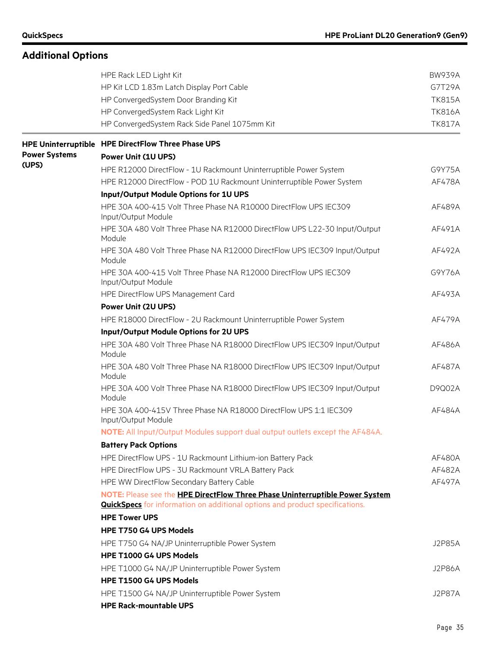|                      | HPE Rack LED Light Kit                                                                                                                                              | <b>BW939A</b> |
|----------------------|---------------------------------------------------------------------------------------------------------------------------------------------------------------------|---------------|
|                      | HP Kit LCD 1.83m Latch Display Port Cable                                                                                                                           | G7T29A        |
|                      | HP ConvergedSystem Door Branding Kit                                                                                                                                | <b>TK815A</b> |
|                      | HP ConvergedSystem Rack Light Kit                                                                                                                                   | <b>TK816A</b> |
|                      | HP ConvergedSystem Rack Side Panel 1075mm Kit                                                                                                                       | <b>TK817A</b> |
|                      | HPE Uninterruptible HPE DirectFlow Three Phase UPS                                                                                                                  |               |
| <b>Power Systems</b> | <b>Power Unit (1U UPS)</b>                                                                                                                                          |               |
| (UPS)                | HPE R12000 DirectFlow - 1U Rackmount Uninterruptible Power System                                                                                                   | G9Y75A        |
|                      | HPE R12000 DirectFlow - POD 1U Rackmount Uninterruptible Power System                                                                                               | AF478A        |
|                      | Input/Output Module Options for 1U UPS                                                                                                                              |               |
|                      | HPE 30A 400-415 Volt Three Phase NA R10000 DirectFlow UPS IEC309<br>Input/Output Module                                                                             | AF489A        |
|                      | HPE 30A 480 Volt Three Phase NA R12000 DirectFlow UPS L22-30 Input/Output<br>Module                                                                                 | AF491A        |
|                      | HPE 30A 480 Volt Three Phase NA R12000 DirectFlow UPS IEC309 Input/Output<br>Module                                                                                 | AF492A        |
|                      | HPE 30A 400-415 Volt Three Phase NA R12000 DirectFlow UPS IEC309<br>Input/Output Module                                                                             | G9Y76A        |
|                      | HPE DirectFlow UPS Management Card                                                                                                                                  | AF493A        |
|                      | <b>Power Unit (2U UPS)</b>                                                                                                                                          |               |
|                      | HPE R18000 DirectFlow - 2U Rackmount Uninterruptible Power System                                                                                                   | AF479A        |
|                      | Input/Output Module Options for 2U UPS                                                                                                                              |               |
|                      | HPE 30A 480 Volt Three Phase NA R18000 DirectFlow UPS IEC309 Input/Output<br>Module                                                                                 | AF486A        |
|                      | HPE 30A 480 Volt Three Phase NA R18000 DirectFlow UPS IEC309 Input/Output<br>Module                                                                                 | AF487A        |
|                      | HPE 30A 400 Volt Three Phase NA R18000 DirectFlow UPS IEC309 Input/Output<br>Module                                                                                 | D9Q02A        |
|                      | HPE 30A 400-415V Three Phase NA R18000 DirectFlow UPS 1:1 IEC309<br>Input/Output Module                                                                             | AF484A        |
|                      | NOTE: All Input/Output Modules support dual output outlets except the AF484A.                                                                                       |               |
|                      | <b>Battery Pack Options</b>                                                                                                                                         |               |
|                      | HPE DirectFlow UPS - 1U Rackmount Lithium-ion Battery Pack                                                                                                          | AF480A        |
|                      | HPE DirectFlow UPS - 3U Rackmount VRLA Battery Pack                                                                                                                 | AF482A        |
|                      | HPE WW DirectFlow Secondary Battery Cable                                                                                                                           | AF497A        |
|                      | NOTE: Please see the HPE DirectFlow Three Phase Uninterruptible Power System<br><b>QuickSpecs</b> for information on additional options and product specifications. |               |
|                      | <b>HPE Tower UPS</b>                                                                                                                                                |               |
|                      | <b>HPE T750 G4 UPS Models</b>                                                                                                                                       |               |
|                      | HPE T750 G4 NA/JP Uninterruptible Power System                                                                                                                      | <b>J2P85A</b> |
|                      | HPE T1000 G4 UPS Models                                                                                                                                             |               |
|                      | HPE T1000 G4 NA/JP Uninterruptible Power System                                                                                                                     | <b>J2P86A</b> |
|                      | HPE T1500 G4 UPS Models                                                                                                                                             |               |
|                      | HPE T1500 G4 NA/JP Uninterruptible Power System                                                                                                                     | <b>J2P87A</b> |
|                      | <b>HPE Rack-mountable UPS</b>                                                                                                                                       |               |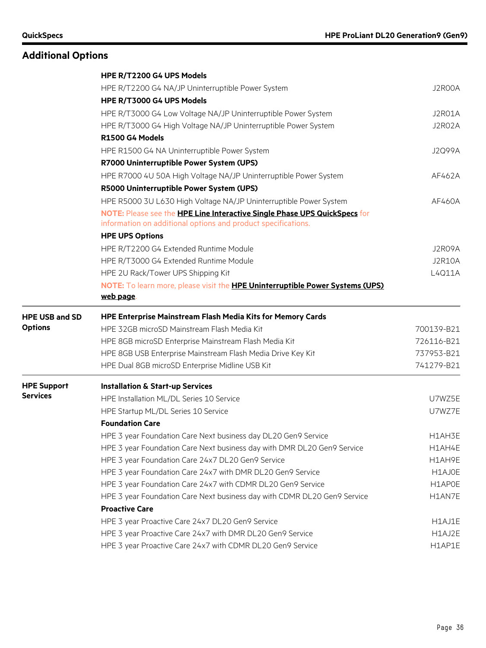|                       | HPE R/T2200 G4 UPS Models                                                            |               |
|-----------------------|--------------------------------------------------------------------------------------|---------------|
|                       | HPE R/T2200 G4 NA/JP Uninterruptible Power System                                    | J2R00A        |
|                       | HPE R/T3000 G4 UPS Models                                                            |               |
|                       | HPE R/T3000 G4 Low Voltage NA/JP Uninterruptible Power System                        | J2R01A        |
|                       | HPE R/T3000 G4 High Voltage NA/JP Uninterruptible Power System                       | J2R02A        |
|                       | R1500 G4 Models                                                                      |               |
|                       | HPE R1500 G4 NA Uninterruptible Power System                                         | <b>J2Q99A</b> |
|                       | R7000 Uninterruptible Power System (UPS)                                             |               |
|                       | HPE R7000 4U 50A High Voltage NA/JP Uninterruptible Power System                     | AF462A        |
|                       | R5000 Uninterruptible Power System (UPS)                                             |               |
|                       | HPE R5000 3U L630 High Voltage NA/JP Uninterruptible Power System                    | AF460A        |
|                       | NOTE: Please see the HPE Line Interactive Single Phase UPS QuickSpecs for            |               |
|                       | information on additional options and product specifications.                        |               |
|                       | <b>HPE UPS Options</b>                                                               |               |
|                       | HPE R/T2200 G4 Extended Runtime Module                                               | J2R09A        |
|                       | HPE R/T3000 G4 Extended Runtime Module                                               | <b>J2R10A</b> |
|                       | HPE 2U Rack/Tower UPS Shipping Kit                                                   | L4Q11A        |
|                       | NOTE: To learn more, please visit the <b>HPE Uninterruptible Power Systems (UPS)</b> |               |
|                       | web page.                                                                            |               |
| <b>HPE USB and SD</b> | <b>HPE Enterprise Mainstream Flash Media Kits for Memory Cards</b>                   |               |
| <b>Options</b>        | HPE 32GB microSD Mainstream Flash Media Kit                                          | 700139-B21    |
|                       | HPE 8GB microSD Enterprise Mainstream Flash Media Kit                                | 726116-B21    |
|                       | HPE 8GB USB Enterprise Mainstream Flash Media Drive Key Kit                          | 737953-B21    |
|                       |                                                                                      |               |
|                       | HPE Dual 8GB microSD Enterprise Midline USB Kit                                      | 741279-B21    |
| <b>HPE Support</b>    | <b>Installation &amp; Start-up Services</b>                                          |               |
| <b>Services</b>       | HPE Installation ML/DL Series 10 Service                                             | U7WZ5E        |
|                       | HPE Startup ML/DL Series 10 Service                                                  | U7WZ7E        |
|                       | <b>Foundation Care</b>                                                               |               |
|                       | HPE 3 year Foundation Care Next business day DL20 Gen9 Service                       | H1AH3E        |
|                       | HPE 3 year Foundation Care Next business day with DMR DL20 Gen9 Service              | H1AH4E        |
|                       | HPE 3 year Foundation Care 24x7 DL20 Gen9 Service                                    | H1AH9E        |
|                       | HPE 3 year Foundation Care 24x7 with DMR DL20 Gen9 Service                           | H1AJ0E        |
|                       | HPE 3 year Foundation Care 24x7 with CDMR DL20 Gen9 Service                          | H1APOE        |
|                       | HPE 3 year Foundation Care Next business day with CDMR DL20 Gen9 Service             | H1AN7E        |
|                       | <b>Proactive Care</b>                                                                |               |
|                       | HPE 3 year Proactive Care 24x7 DL20 Gen9 Service                                     | H1AJ1E        |
|                       | HPE 3 year Proactive Care 24x7 with DMR DL20 Gen9 Service                            | H1AJ2E        |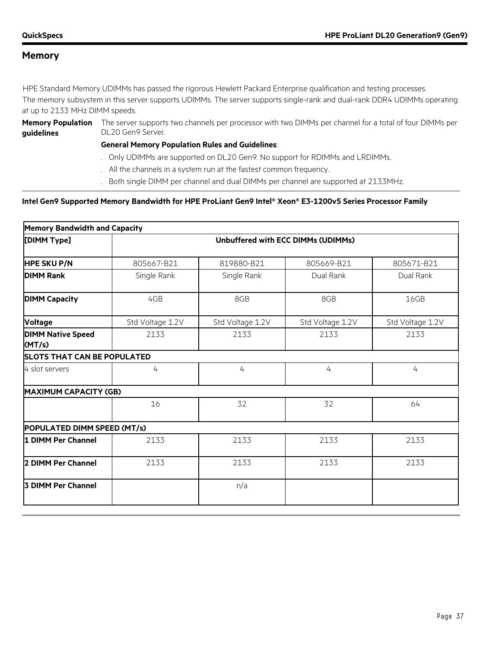#### **Memory**

HPE Standard Memory UDIMMs has passed the rigorous Hewlett Packard Enterprise qualification and testing processes.

The memory subsystem in this server supports UDIMMs. The server supports single-rank and dual-rank DDR4 UDIMMs operating at up to 2133 MHz DIMM speeds.

**guidelines**

**Memory Population**  The server supports two channels per processor with two DIMMs per channel for a total of four DIMMs per DL20 Gen9 Server.

#### **General Memory Population Rules and Guidelines**:

- . Only UDIMMs are supported on DL20 Gen9. No support for RDIMMs and LRDIMMs.
- . All the channels in a system run at the fastest common frequency.
- . Both single DIMM per channel and dual DIMMs per channel are supported at 2133MHz.

#### **Intel Gen9 Supported Memory Bandwidth for HPE ProLiant Gen9 Intel® Xeon® E3-1200v5 Series Processor Family**

| <b>Memory Bandwidth and Capacity</b> |                  |                  |                                    |                  |
|--------------------------------------|------------------|------------------|------------------------------------|------------------|
| [DIMM Type]                          |                  |                  | Unbuffered with ECC DIMMs (UDIMMs) |                  |
| <b>HPE SKU P/N</b>                   | 805667-B21       | 819880-B21       | 805669-B21                         | 805671-B21       |
| <b>DIMM Rank</b>                     | Single Rank      | Single Rank      | Dual Rank                          | Dual Rank        |
| <b>DIMM Capacity</b>                 | 4GB              | 8GB              | 8GB                                | 16GB             |
| <b>Voltage</b>                       | Std Voltage 1.2V | Std Voltage 1.2V | Std Voltage 1.2V                   | Std Voltage 1.2V |
| <b>DIMM Native Speed</b><br>(MT/s)   | 2133             | 2133             | 2133                               | 2133             |
| <b>SLOTS THAT CAN BE POPULATED</b>   |                  |                  |                                    |                  |
| 4 slot servers                       | 4                | 4                | 4                                  | 4                |
| <b>MAXIMUM CAPACITY (GB)</b>         |                  |                  |                                    |                  |
|                                      | 16               | 32               | 32                                 | 64               |
| POPULATED DIMM SPEED (MT/s)          |                  |                  |                                    |                  |
| 1 DIMM Per Channel                   | 2133             | 2133             | 2133                               | 2133             |
| 2 DIMM Per Channel                   | 2133             | 2133             | 2133                               | 2133             |
| <b>3 DIMM Per Channel</b>            |                  | n/a              |                                    |                  |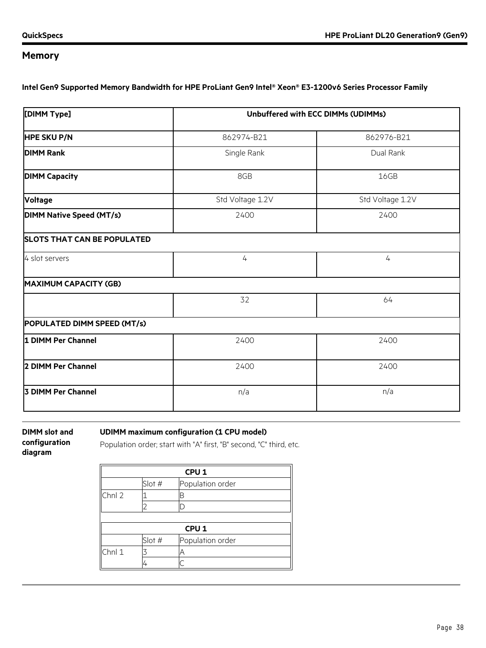# **Memory**

**Intel Gen9 Supported Memory Bandwidth for HPE ProLiant Gen9 Intel® Xeon® E3-1200v6 Series Processor Family**

| [DIMM Type]                        | Unbuffered with ECC DIMMs (UDIMMs) |                  |  |
|------------------------------------|------------------------------------|------------------|--|
| <b>HPE SKU P/N</b>                 | 862974-B21                         | 862976-B21       |  |
| <b>DIMM Rank</b>                   | Single Rank                        | Dual Rank        |  |
| <b>DIMM Capacity</b>               | 8GB                                | 16GB             |  |
| <b>Voltage</b>                     | Std Voltage 1.2V                   | Std Voltage 1.2V |  |
| <b>DIMM Native Speed (MT/s)</b>    | 2400                               | 2400             |  |
| <b>SLOTS THAT CAN BE POPULATED</b> |                                    |                  |  |
| 4 slot servers                     | $\overline{4}$                     | 4                |  |
| <b>MAXIMUM CAPACITY (GB)</b>       |                                    |                  |  |
|                                    | 32                                 | 64               |  |
| POPULATED DIMM SPEED (MT/s)        |                                    |                  |  |
| 1 DIMM Per Channel                 | 2400                               | 2400             |  |
| 2 DIMM Per Channel                 | 2400                               | 2400             |  |
| 3 DIMM Per Channel                 | n/a                                | n/a              |  |
|                                    |                                    |                  |  |

**DIMM slot and configuration diagram**

**UDIMM maximum configuration (1 CPU model)**

Population order; start with "A" first, "B" second, "C" third, etc.

| CPU <sub>1</sub> |                  |                  |  |  |
|------------------|------------------|------------------|--|--|
|                  | Slot #           | Population order |  |  |
| Chnl 2           |                  | В                |  |  |
|                  |                  |                  |  |  |
|                  |                  |                  |  |  |
|                  | CPU <sub>1</sub> |                  |  |  |
|                  | Slot #           | Population order |  |  |
| Chnl 1           |                  | Α                |  |  |
|                  |                  |                  |  |  |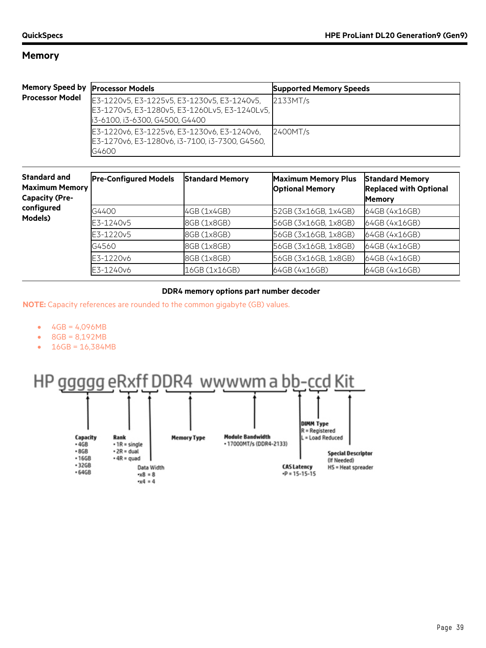#### **Memory**

| Memory Speed by   Processor Models |                                                                                                                                | <b>Supported Memory Speeds</b> |
|------------------------------------|--------------------------------------------------------------------------------------------------------------------------------|--------------------------------|
| <b>Processor Model</b>             | E3-1220v5, E3-1225v5, E3-1230v5, E3-1240v5,<br>E3-1270v5, E3-1280v5, E3-1260Lv5, E3-1240Lv5,<br>i3-6100, i3-6300, G4500, G4400 | 2133MT/s                       |
|                                    | E3-1220v6, E3-1225v6, E3-1230v6, E3-1240v6,<br>E3-1270v6, E3-1280v6, i3-7100, i3-7300, G4560,<br>G4600                         | 2400MT/s                       |

| <b>Standard and</b><br><b>Maximum Memory</b><br><b>Capacity (Pre-</b><br>configured<br>Models) | <b>Pre-Configured Models</b> | <b>Standard Memory</b> | <b>Maximum Memory Plus</b><br><b>Optional Memory</b> | <b>Standard Memory</b><br><b>Replaced with Optional</b><br><b>Memory</b> |
|------------------------------------------------------------------------------------------------|------------------------------|------------------------|------------------------------------------------------|--------------------------------------------------------------------------|
|                                                                                                | G4400                        | 4GB (1x4GB)            | 52GB (3x16GB, 1x4GB)                                 | 64GB (4x16GB)                                                            |
|                                                                                                | E3-1240v5                    | 8GB (1x8GB)            | 56GB (3x16GB, 1x8GB)                                 | 64GB (4x16GB)                                                            |
|                                                                                                | E3-1220v5                    | 8GB (1x8GB)            | 56GB (3x16GB, 1x8GB)                                 | 64GB (4x16GB)                                                            |
|                                                                                                | G4560                        | 8GB (1x8GB)            | 56GB (3x16GB, 1x8GB)                                 | 64GB (4x16GB)                                                            |
|                                                                                                | E3-1220v6                    | 8GB (1x8GB)            | 56GB (3x16GB, 1x8GB)                                 | 64GB (4x16GB)                                                            |
|                                                                                                | E3-1240v6                    | 16GB (1x16GB)          | 64GB (4x16GB)                                        | 64GB (4x16GB)                                                            |

#### **DDR4 memory options part number decoder**

**NOTE:** Capacity references are rounded to the common gigabyte (GB) values.

- $4GB = 4,096MB$
- 8GB = 8,192MB
- 16GB = 16,384MB

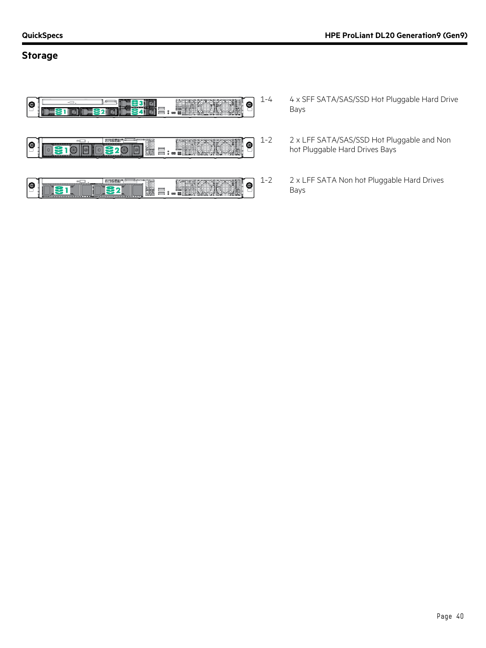#### **Storage**



- 1-4 4 x SFF SATA/SAS/SSD Hot Pluggable Hard Drive Bays
- 1-2 2 x LFF SATA/SAS/SSD Hot Pluggable and Non hot Pluggable Hard Drives Bays
- 1-2 2 x LFF SATA Non hot Pluggable Hard Drives Bays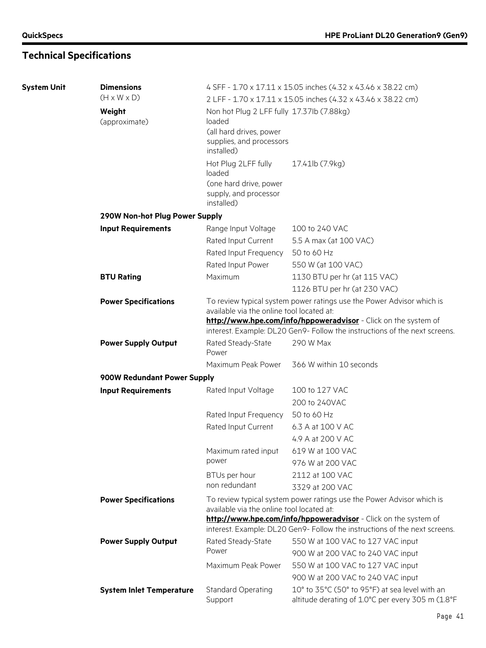# **Technical Specifications**

| <b>System Unit</b> | <b>Dimensions</b>               | 4 SFF - 1.70 x 17.11 x 15.05 inches (4.32 x 43.46 x 38.22 cm)                                                                                                                         |                                                   |  |
|--------------------|---------------------------------|---------------------------------------------------------------------------------------------------------------------------------------------------------------------------------------|---------------------------------------------------|--|
|                    | $(H \times W \times D)$         | 2 LFF - 1.70 x 17.11 x 15.05 inches (4.32 x 43.46 x 38.22 cm)                                                                                                                         |                                                   |  |
|                    | Weight<br>(approximate)         | Non hot Plug 2 LFF fully 17.37lb (7.88kg)<br>loaded                                                                                                                                   |                                                   |  |
|                    |                                 | (all hard drives, power<br>supplies, and processors<br>installed)                                                                                                                     |                                                   |  |
|                    |                                 | Hot Plug 2LFF fully<br>loaded<br>(one hard drive, power                                                                                                                               | 17.41lb (7.9kg)                                   |  |
|                    |                                 | supply, and processor<br>installed)                                                                                                                                                   |                                                   |  |
|                    | 290W Non-hot Plug Power Supply  |                                                                                                                                                                                       |                                                   |  |
|                    | <b>Input Requirements</b>       | Range Input Voltage                                                                                                                                                                   | 100 to 240 VAC                                    |  |
|                    |                                 | Rated Input Current                                                                                                                                                                   | 5.5 A max (at 100 VAC)                            |  |
|                    |                                 | Rated Input Frequency                                                                                                                                                                 | 50 to 60 Hz                                       |  |
|                    |                                 | Rated Input Power                                                                                                                                                                     | 550 W (at 100 VAC)                                |  |
|                    | <b>BTU Rating</b>               | Maximum                                                                                                                                                                               | 1130 BTU per hr (at 115 VAC)                      |  |
|                    |                                 |                                                                                                                                                                                       | 1126 BTU per hr (at 230 VAC)                      |  |
|                    | <b>Power Specifications</b>     | To review typical system power ratings use the Power Advisor which is<br>available via the online tool located at:<br>http://www.hpe.com/info/hppoweradvisor - Click on the system of |                                                   |  |
|                    |                                 | interest. Example: DL20 Gen9- Follow the instructions of the next screens.                                                                                                            |                                                   |  |
|                    | <b>Power Supply Output</b>      | Rated Steady-State<br>Power                                                                                                                                                           | 290 W Max                                         |  |
|                    |                                 | Maximum Peak Power                                                                                                                                                                    | 366 W within 10 seconds                           |  |
|                    | 900W Redundant Power Supply     |                                                                                                                                                                                       |                                                   |  |
|                    | <b>Input Requirements</b>       | Rated Input Voltage                                                                                                                                                                   | 100 to 127 VAC                                    |  |
|                    |                                 |                                                                                                                                                                                       | 200 to 240VAC                                     |  |
|                    |                                 | Rated Input Frequency                                                                                                                                                                 | 50 to 60 Hz                                       |  |
|                    |                                 | Rated Input Current                                                                                                                                                                   | 6.3 A at 100 V AC                                 |  |
|                    |                                 |                                                                                                                                                                                       | 4.9 A at 200 V AC                                 |  |
|                    |                                 | Maximum rated input                                                                                                                                                                   | 619 W at 100 VAC                                  |  |
|                    |                                 | power                                                                                                                                                                                 | 976 W at 200 VAC                                  |  |
|                    |                                 | BTUs per hour                                                                                                                                                                         | 2112 at 100 VAC                                   |  |
|                    |                                 | non redundant                                                                                                                                                                         | 3329 at 200 VAC                                   |  |
|                    | <b>Power Specifications</b>     | To review typical system power ratings use the Power Advisor which is<br>available via the online tool located at:                                                                    |                                                   |  |
|                    |                                 | http://www.hpe.com/info/hppoweradvisor - Click on the system of<br>interest. Example: DL20 Gen9- Follow the instructions of the next screens.                                         |                                                   |  |
|                    | <b>Power Supply Output</b>      | Rated Steady-State                                                                                                                                                                    | 550 W at 100 VAC to 127 VAC input                 |  |
|                    |                                 | Power                                                                                                                                                                                 | 900 W at 200 VAC to 240 VAC input                 |  |
|                    |                                 | Maximum Peak Power                                                                                                                                                                    | 550 W at 100 VAC to 127 VAC input                 |  |
|                    |                                 |                                                                                                                                                                                       | 900 W at 200 VAC to 240 VAC input                 |  |
|                    | <b>System Inlet Temperature</b> | <b>Standard Operating</b>                                                                                                                                                             | 10° to 35°C (50° to 95°F) at sea level with an    |  |
|                    |                                 | Support                                                                                                                                                                               | altitude derating of 1.0°C per every 305 m (1.8°F |  |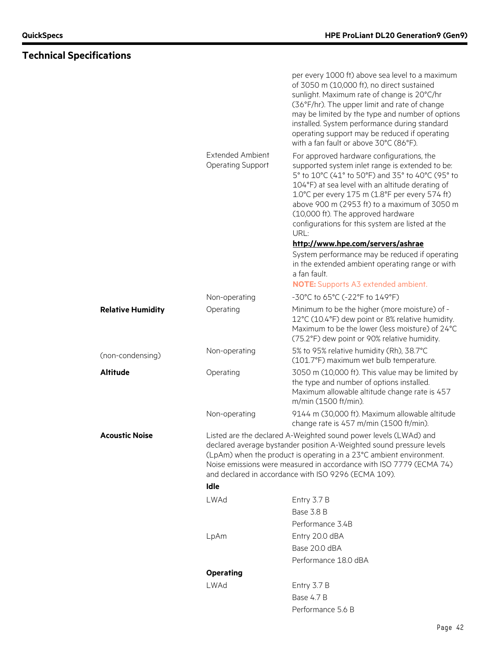# **Technical Specifications**

|                          |                                                     | per every 1000 ft) above sea level to a maximum<br>of 3050 m (10,000 ft), no direct sustained<br>sunlight. Maximum rate of change is 20°C/hr<br>(36°F/hr). The upper limit and rate of change<br>may be limited by the type and number of options<br>installed. System performance during standard<br>operating support may be reduced if operating<br>with a fan fault or above 30°C (86°F).            |
|--------------------------|-----------------------------------------------------|----------------------------------------------------------------------------------------------------------------------------------------------------------------------------------------------------------------------------------------------------------------------------------------------------------------------------------------------------------------------------------------------------------|
|                          | <b>Extended Ambient</b><br><b>Operating Support</b> | For approved hardware configurations, the<br>supported system inlet range is extended to be:<br>5° to 10°C (41° to 50°F) and 35° to 40°C (95° to<br>104°F) at sea level with an altitude derating of<br>1.0°C per every 175 m (1.8°F per every 574 ft)<br>above 900 m (2953 ft) to a maximum of 3050 m<br>(10,000 ft). The approved hardware<br>configurations for this system are listed at the<br>URL: |
|                          |                                                     | http://www.hpe.com/servers/ashrae<br>System performance may be reduced if operating<br>in the extended ambient operating range or with<br>a fan fault.                                                                                                                                                                                                                                                   |
|                          |                                                     | <b>NOTE:</b> Supports A3 extended ambient.                                                                                                                                                                                                                                                                                                                                                               |
|                          | Non-operating                                       | -30°C to 65°C (-22°F to 149°F)                                                                                                                                                                                                                                                                                                                                                                           |
| <b>Relative Humidity</b> | Operating                                           | Minimum to be the higher (more moisture) of -<br>12°C (10.4°F) dew point or 8% relative humidity.<br>Maximum to be the lower (less moisture) of 24°C<br>(75.2°F) dew point or 90% relative humidity.                                                                                                                                                                                                     |
| (non-condensing)         | Non-operating                                       | 5% to 95% relative humidity (Rh), 38.7°C<br>(101.7°F) maximum wet bulb temperature.                                                                                                                                                                                                                                                                                                                      |
| Altitude                 | Operating                                           | 3050 m (10,000 ft). This value may be limited by<br>the type and number of options installed.<br>Maximum allowable altitude change rate is 457<br>m/min (1500 ft/min).                                                                                                                                                                                                                                   |
|                          | Non-operating                                       | 9144 m (30,000 ft). Maximum allowable altitude<br>change rate is 457 m/min (1500 ft/min).                                                                                                                                                                                                                                                                                                                |
| Acoustic Noise           |                                                     | Listed are the declared A-Weighted sound power levels (LWAd) and<br>declared average bystander position A-Weighted sound pressure levels<br>(LpAm) when the product is operating in a 23°C ambient environment.<br>Noise emissions were measured in accordance with ISO 7779 (ECMA 74)<br>and declared in accordance with ISO 9296 (ECMA 109).                                                           |
|                          | Idle                                                |                                                                                                                                                                                                                                                                                                                                                                                                          |
|                          | LWAd                                                | Entry 3.7 B                                                                                                                                                                                                                                                                                                                                                                                              |
|                          |                                                     | Base 3.8 B                                                                                                                                                                                                                                                                                                                                                                                               |
|                          |                                                     | Performance 3.4B                                                                                                                                                                                                                                                                                                                                                                                         |
|                          | LpAm                                                | Entry 20.0 dBA                                                                                                                                                                                                                                                                                                                                                                                           |
|                          |                                                     | Base 20.0 dBA                                                                                                                                                                                                                                                                                                                                                                                            |
|                          |                                                     | Performance 18.0 dBA                                                                                                                                                                                                                                                                                                                                                                                     |
|                          | <b>Operating</b>                                    |                                                                                                                                                                                                                                                                                                                                                                                                          |
|                          | <b>LWAd</b>                                         | Entry 3.7 B                                                                                                                                                                                                                                                                                                                                                                                              |
|                          |                                                     | <b>Base 4.7 B</b>                                                                                                                                                                                                                                                                                                                                                                                        |
|                          |                                                     | Performance 5.6 B                                                                                                                                                                                                                                                                                                                                                                                        |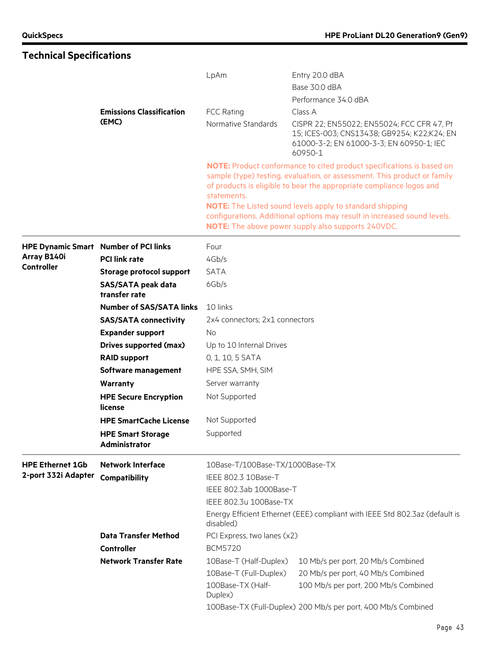# **Technical Specifications**

|                                  |                                              | LpAm                                                                                     | Entry 20.0 dBA                                                                                                                                                                                                                                                                                                                                                                                                                        |  |
|----------------------------------|----------------------------------------------|------------------------------------------------------------------------------------------|---------------------------------------------------------------------------------------------------------------------------------------------------------------------------------------------------------------------------------------------------------------------------------------------------------------------------------------------------------------------------------------------------------------------------------------|--|
|                                  |                                              |                                                                                          | Base 30.0 dBA                                                                                                                                                                                                                                                                                                                                                                                                                         |  |
|                                  |                                              |                                                                                          | Performance 34.0 dBA                                                                                                                                                                                                                                                                                                                                                                                                                  |  |
|                                  | <b>Emissions Classification</b>              | <b>FCC Rating</b>                                                                        | Class A                                                                                                                                                                                                                                                                                                                                                                                                                               |  |
|                                  | (EMC)                                        | Normative Standards                                                                      | CISPR 22; EN55022; EN55024; FCC CFR 47, Pt<br>15; ICES-003; CNS13438; GB9254; K22;K24; EN<br>61000-3-2; EN 61000-3-3; EN 60950-1; IEC<br>60950-1                                                                                                                                                                                                                                                                                      |  |
|                                  |                                              | statements.                                                                              | <b>NOTE:</b> Product conformance to cited product specifications is based on<br>sample (type) testing, evaluation, or assessment. This product or family<br>of products is eligible to bear the appropriate compliance logos and<br><b>NOTE:</b> The Listed sound levels apply to standard shipping<br>configurations. Additional options may result in increased sound levels.<br>NOTE: The above power supply also supports 240VDC. |  |
|                                  | <b>HPE Dynamic Smart Number of PCI links</b> | Four                                                                                     |                                                                                                                                                                                                                                                                                                                                                                                                                                       |  |
| Array B140i<br><b>Controller</b> | <b>PCI link rate</b>                         | 4Gb/s                                                                                    |                                                                                                                                                                                                                                                                                                                                                                                                                                       |  |
|                                  | Storage protocol support                     | <b>SATA</b>                                                                              |                                                                                                                                                                                                                                                                                                                                                                                                                                       |  |
|                                  | <b>SAS/SATA peak data</b><br>transfer rate   | 6Gb/s                                                                                    |                                                                                                                                                                                                                                                                                                                                                                                                                                       |  |
|                                  | <b>Number of SAS/SATA links</b>              | 10 links                                                                                 |                                                                                                                                                                                                                                                                                                                                                                                                                                       |  |
|                                  | <b>SAS/SATA connectivity</b>                 | 2x4 connectors; 2x1 connectors                                                           |                                                                                                                                                                                                                                                                                                                                                                                                                                       |  |
|                                  | <b>Expander support</b>                      | No.                                                                                      |                                                                                                                                                                                                                                                                                                                                                                                                                                       |  |
|                                  | <b>Drives supported (max)</b>                | Up to 10 Internal Drives                                                                 |                                                                                                                                                                                                                                                                                                                                                                                                                                       |  |
|                                  | <b>RAID support</b>                          | 0, 1, 10, 5 SATA                                                                         |                                                                                                                                                                                                                                                                                                                                                                                                                                       |  |
|                                  | Software management                          | HPE SSA, SMH, SIM                                                                        |                                                                                                                                                                                                                                                                                                                                                                                                                                       |  |
|                                  | <b>Warranty</b>                              | Server warranty                                                                          |                                                                                                                                                                                                                                                                                                                                                                                                                                       |  |
|                                  | <b>HPE Secure Encryption</b><br>license      | Not Supported                                                                            |                                                                                                                                                                                                                                                                                                                                                                                                                                       |  |
|                                  | <b>HPE SmartCache License</b>                | Not Supported                                                                            |                                                                                                                                                                                                                                                                                                                                                                                                                                       |  |
|                                  | <b>HPE Smart Storage</b><br>Administrator    | Supported                                                                                |                                                                                                                                                                                                                                                                                                                                                                                                                                       |  |
| <b>HPE Ethernet 1Gb</b>          | <b>Network Interface</b>                     | 10Base-T/100Base-TX/1000Base-TX                                                          |                                                                                                                                                                                                                                                                                                                                                                                                                                       |  |
| 2-port 332i Adapter              | Compatibility                                | IEEE 802.3 10Base-T                                                                      |                                                                                                                                                                                                                                                                                                                                                                                                                                       |  |
|                                  |                                              | IEEE 802.3ab 1000Base-T                                                                  |                                                                                                                                                                                                                                                                                                                                                                                                                                       |  |
|                                  |                                              | IEEE 802.3u 100Base-TX                                                                   |                                                                                                                                                                                                                                                                                                                                                                                                                                       |  |
|                                  |                                              | Energy Efficient Ethernet (EEE) compliant with IEEE Std 802.3az (default is<br>disabled) |                                                                                                                                                                                                                                                                                                                                                                                                                                       |  |
|                                  | <b>Data Transfer Method</b>                  | PCI Express, two lanes (x2)                                                              |                                                                                                                                                                                                                                                                                                                                                                                                                                       |  |
|                                  | Controller                                   | <b>BCM5720</b>                                                                           |                                                                                                                                                                                                                                                                                                                                                                                                                                       |  |
|                                  | <b>Network Transfer Rate</b>                 | 10Base-T (Half-Duplex)                                                                   | 10 Mb/s per port, 20 Mb/s Combined                                                                                                                                                                                                                                                                                                                                                                                                    |  |
|                                  |                                              | 10Base-T (Full-Duplex)                                                                   | 20 Mb/s per port, 40 Mb/s Combined                                                                                                                                                                                                                                                                                                                                                                                                    |  |
|                                  |                                              | 100Base-TX (Half-<br>Duplex)                                                             | 100 Mb/s per port, 200 Mb/s Combined                                                                                                                                                                                                                                                                                                                                                                                                  |  |
|                                  |                                              | 100Base-TX (Full-Duplex) 200 Mb/s per port, 400 Mb/s Combined                            |                                                                                                                                                                                                                                                                                                                                                                                                                                       |  |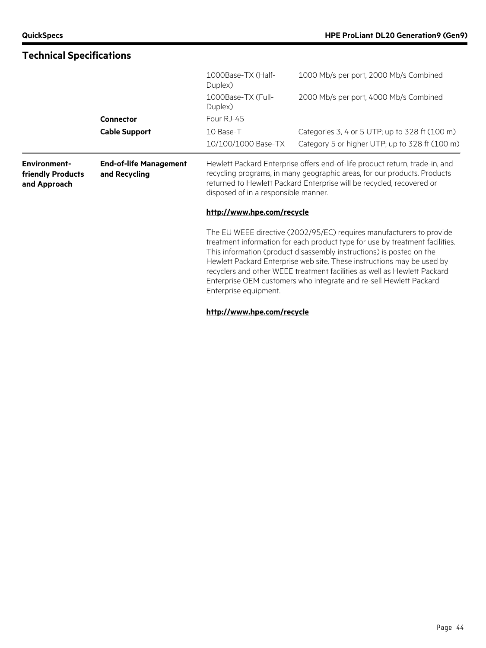| <b>Technical Specifications</b>                          |                                                |                                                                                                                                                                                                                                                                                                                                                                                                                                                                                   |                                                                                                                                                                                                                                  |  |
|----------------------------------------------------------|------------------------------------------------|-----------------------------------------------------------------------------------------------------------------------------------------------------------------------------------------------------------------------------------------------------------------------------------------------------------------------------------------------------------------------------------------------------------------------------------------------------------------------------------|----------------------------------------------------------------------------------------------------------------------------------------------------------------------------------------------------------------------------------|--|
|                                                          |                                                | 1000Base-TX (Half-<br>Duplex)                                                                                                                                                                                                                                                                                                                                                                                                                                                     | 1000 Mb/s per port, 2000 Mb/s Combined                                                                                                                                                                                           |  |
|                                                          |                                                | 1000Base-TX (Full-<br>Duplex)                                                                                                                                                                                                                                                                                                                                                                                                                                                     | 2000 Mb/s per port, 4000 Mb/s Combined                                                                                                                                                                                           |  |
|                                                          | <b>Connector</b>                               | Four RJ-45                                                                                                                                                                                                                                                                                                                                                                                                                                                                        |                                                                                                                                                                                                                                  |  |
|                                                          | <b>Cable Support</b>                           | 10 Base-T<br>10/100/1000 Base-TX                                                                                                                                                                                                                                                                                                                                                                                                                                                  | Categories 3, 4 or 5 UTP; up to 328 ft (100 m)<br>Category 5 or higher UTP; up to 328 ft (100 m)                                                                                                                                 |  |
| <b>Environment-</b><br>friendly Products<br>and Approach | <b>End-of-life Management</b><br>and Recycling | disposed of in a responsible manner.                                                                                                                                                                                                                                                                                                                                                                                                                                              | Hewlett Packard Enterprise offers end-of-life product return, trade-in, and<br>recycling programs, in many geographic areas, for our products. Products<br>returned to Hewlett Packard Enterprise will be recycled, recovered or |  |
|                                                          |                                                | http://www.hpe.com/recycle                                                                                                                                                                                                                                                                                                                                                                                                                                                        |                                                                                                                                                                                                                                  |  |
|                                                          |                                                | The EU WEEE directive (2002/95/EC) requires manufacturers to provide<br>treatment information for each product type for use by treatment facilities.<br>This information (product disassembly instructions) is posted on the<br>Hewlett Packard Enterprise web site. These instructions may be used by<br>recyclers and other WEEE treatment facilities as well as Hewlett Packard<br>Enterprise OEM customers who integrate and re-sell Hewlett Packard<br>Enterprise equipment. |                                                                                                                                                                                                                                  |  |
|                                                          |                                                | http://www.hpe.com/recycle                                                                                                                                                                                                                                                                                                                                                                                                                                                        |                                                                                                                                                                                                                                  |  |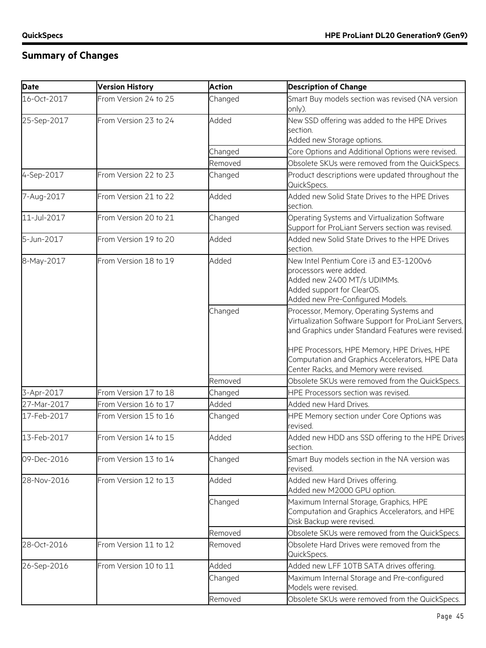# **Summary of Changes**

| <b>Version History</b> | <b>Action</b>         | <b>Description of Change</b>                                                                                                                                                                                                                              |
|------------------------|-----------------------|-----------------------------------------------------------------------------------------------------------------------------------------------------------------------------------------------------------------------------------------------------------|
| From Version 24 to 25  | Changed               | Smart Buy models section was revised (NA version<br>only).                                                                                                                                                                                                |
| From Version 23 to 24  | Added                 | New SSD offering was added to the HPE Drives                                                                                                                                                                                                              |
|                        |                       | section.                                                                                                                                                                                                                                                  |
|                        |                       | Added new Storage options.<br>Core Options and Additional Options were revised.                                                                                                                                                                           |
|                        |                       |                                                                                                                                                                                                                                                           |
|                        |                       | Obsolete SKUs were removed from the QuickSpecs.                                                                                                                                                                                                           |
|                        |                       | Product descriptions were updated throughout the<br>QuickSpecs.                                                                                                                                                                                           |
| From Version 21 to 22  | Added                 | Added new Solid State Drives to the HPE Drives<br>section.                                                                                                                                                                                                |
| From Version 20 to 21  | Changed               | Operating Systems and Virtualization Software<br>Support for ProLiant Servers section was revised.                                                                                                                                                        |
| From Version 19 to 20  | Added                 | Added new Solid State Drives to the HPE Drives<br>section.                                                                                                                                                                                                |
| From Version 18 to 19  | Added                 | New Intel Pentium Core i3 and E3-1200v6<br>processors were added.<br>Added new 2400 MT/s UDIMMs.<br>Added support for ClearOS.<br>Added new Pre-Configured Models.                                                                                        |
|                        | Changed               | Processor, Memory, Operating Systems and<br>Virtualization Software Support for ProLiant Servers,<br>and Graphics under Standard Features were revised.<br>HPE Processors, HPE Memory, HPE Drives, HPE<br>Computation and Graphics Accelerators, HPE Data |
|                        |                       | Center Racks, and Memory were revised.                                                                                                                                                                                                                    |
|                        | Removed               | Obsolete SKUs were removed from the QuickSpecs.                                                                                                                                                                                                           |
| From Version 17 to 18  | Changed               | HPE Processors section was revised.                                                                                                                                                                                                                       |
| From Version 16 to 17  | Added                 | Added new Hard Drives.                                                                                                                                                                                                                                    |
| From Version 15 to 16  | Changed               | HPE Memory section under Core Options was<br>revised.                                                                                                                                                                                                     |
| From Version 14 to 15  | Added                 | Added new HDD ans SSD offering to the HPE Drives<br>section.                                                                                                                                                                                              |
| From Version 13 to 14  | Changed               | Smart Buy models section in the NA version was<br>revised.                                                                                                                                                                                                |
| From Version 12 to 13  | Added                 | Added new Hard Drives offering.<br>Added new M2000 GPU option.                                                                                                                                                                                            |
|                        | Changed               | Maximum Internal Storage, Graphics, HPE<br>Computation and Graphics Accelerators, and HPE<br>Disk Backup were revised.                                                                                                                                    |
|                        | Removed               | Obsolete SKUs were removed from the QuickSpecs.                                                                                                                                                                                                           |
| From Version 11 to 12  | Removed               | Obsolete Hard Drives were removed from the<br>QuickSpecs.                                                                                                                                                                                                 |
| From Version 10 to 11  | Added                 | Added new LFF 10TB SATA drives offering.                                                                                                                                                                                                                  |
|                        | Changed               | Maximum Internal Storage and Pre-configured<br>Models were revised.                                                                                                                                                                                       |
|                        | Removed               | Obsolete SKUs were removed from the QuickSpecs.                                                                                                                                                                                                           |
|                        | From Version 22 to 23 | Changed<br>Removed<br>Changed                                                                                                                                                                                                                             |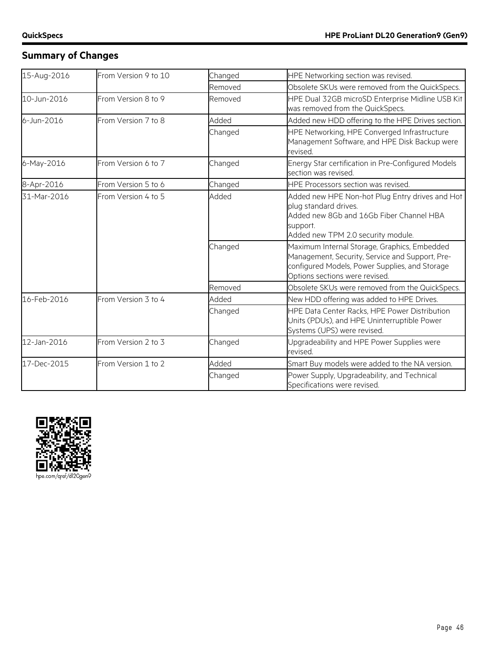# **Summary of Changes**

| 15-Aug-2016 | From Version 9 to 10 | Changed | HPE Networking section was revised.                                                                                                                                                 |
|-------------|----------------------|---------|-------------------------------------------------------------------------------------------------------------------------------------------------------------------------------------|
|             |                      | Removed | Obsolete SKUs were removed from the QuickSpecs.                                                                                                                                     |
| 10-Jun-2016 | From Version 8 to 9  | Removed | HPE Dual 32GB microSD Enterprise Midline USB Kit<br>was removed from the QuickSpecs.                                                                                                |
| 6-Jun-2016  | From Version 7 to 8  | Added   | Added new HDD offering to the HPE Drives section.                                                                                                                                   |
|             |                      | Changed | HPE Networking, HPE Converged Infrastructure<br>Management Software, and HPE Disk Backup were<br>revised.                                                                           |
| 6-May-2016  | From Version 6 to 7  | Changed | Energy Star certification in Pre-Configured Models<br>section was revised.                                                                                                          |
| 8-Apr-2016  | From Version 5 to 6  | Changed | HPE Processors section was revised.                                                                                                                                                 |
| 31-Mar-2016 | From Version 4 to 5  | Added   | Added new HPE Non-hot Plug Entry drives and Hot<br>plug standard drives.<br>Added new 8Gb and 16Gb Fiber Channel HBA<br>support.<br>Added new TPM 2.0 security module.              |
|             |                      | Changed | Maximum Internal Storage, Graphics, Embedded<br>Management, Security, Service and Support, Pre-<br>configured Models, Power Supplies, and Storage<br>Options sections were revised. |
|             |                      | Removed | Obsolete SKUs were removed from the QuickSpecs.                                                                                                                                     |
| 16-Feb-2016 | From Version 3 to 4  | Added   | New HDD offering was added to HPE Drives.                                                                                                                                           |
|             |                      | Changed | HPE Data Center Racks, HPE Power Distribution<br>Units (PDUs), and HPE Uninterruptible Power<br>Systems (UPS) were revised.                                                         |
| 12-Jan-2016 | From Version 2 to 3  | Changed | Upgradeability and HPE Power Supplies were<br>revised.                                                                                                                              |
| 17-Dec-2015 | From Version 1 to 2  | Added   | Smart Buy models were added to the NA version.                                                                                                                                      |
|             |                      | Changed | Power Supply, Upgradeability, and Technical<br>Specifications were revised.                                                                                                         |